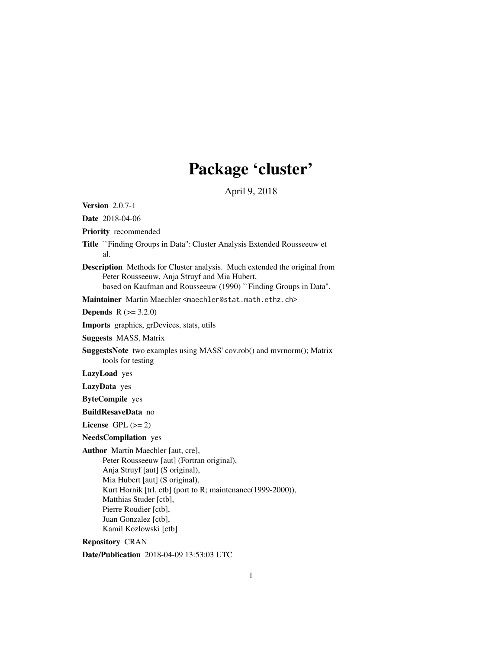# Package 'cluster'

April 9, 2018

<span id="page-0-0"></span>Version 2.0.7-1 Date 2018-04-06 Priority recommended Title ``Finding Groups in Data'': Cluster Analysis Extended Rousseeuw et al. Description Methods for Cluster analysis. Much extended the original from Peter Rousseeuw, Anja Struyf and Mia Hubert, based on Kaufman and Rousseeuw (1990) ``Finding Groups in Data''. Maintainer Martin Maechler <maechler@stat.math.ethz.ch> **Depends** R  $(>= 3.2.0)$ Imports graphics, grDevices, stats, utils Suggests MASS, Matrix SuggestsNote two examples using MASS' cov.rob() and mvrnorm(); Matrix tools for testing LazyLoad yes LazyData yes ByteCompile yes BuildResaveData no License GPL  $(>= 2)$ NeedsCompilation yes Author Martin Maechler [aut, cre], Peter Rousseeuw [aut] (Fortran original), Anja Struyf [aut] (S original), Mia Hubert [aut] (S original), Kurt Hornik [trl, ctb] (port to R; maintenance(1999-2000)), Matthias Studer [ctb], Pierre Roudier [ctb], Juan Gonzalez [ctb], Kamil Kozlowski [ctb]

Repository CRAN

Date/Publication 2018-04-09 13:53:03 UTC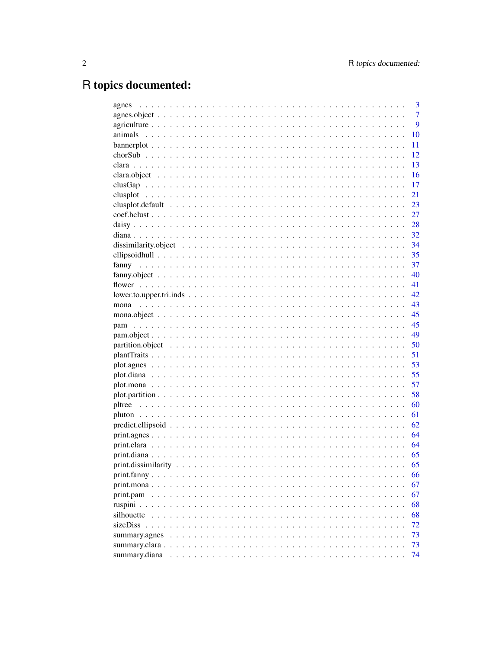# R topics documented:

| agnes                     | 3              |
|---------------------------|----------------|
|                           | $\overline{7}$ |
|                           | 9              |
|                           | 10             |
|                           | 11             |
|                           | 12             |
|                           | 13             |
|                           | 16             |
|                           | 17             |
|                           | 21             |
|                           | 23             |
|                           | 27             |
|                           | 28             |
|                           | 32             |
|                           | 34             |
|                           | 35             |
| fanny                     | 37             |
|                           | 40             |
|                           | 41             |
| $lower.to.upper.tri.inds$ | 42             |
| mona                      | 43             |
|                           | 45             |
|                           | 45             |
|                           | 49             |
|                           | 50             |
|                           | 51             |
|                           | 53             |
|                           | 55             |
|                           | 57             |
|                           | 58             |
|                           | 60             |
|                           | 61             |
|                           | 62             |
|                           | 64             |
|                           | 64             |
|                           | 65             |
|                           | 65             |
|                           | 66             |
|                           | 67             |
| print.pam                 | 67             |
| ruspini $\ldots$ .        | 68             |
| silhouette                | 68             |
|                           | 72             |
| summary.agnes             | 73             |
| summary.clara.            | 73             |
| summary.diana             | 74             |
|                           |                |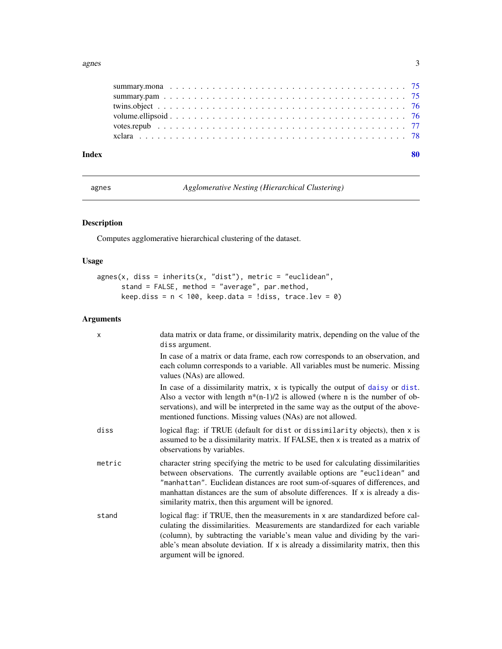#### <span id="page-2-0"></span>agnes 3

| Index |  |
|-------|--|
|       |  |
|       |  |
|       |  |
|       |  |
|       |  |
|       |  |
|       |  |

<span id="page-2-1"></span>agnes *Agglomerative Nesting (Hierarchical Clustering)*

# Description

Computes agglomerative hierarchical clustering of the dataset.

# Usage

```
agnes(x, diss = inherits(x, "dist"), metric = "euclidean",
     stand = FALSE, method = "average", par.method,
     keep.diss = n < 100, keep.data = !diss, trace.lev = 0)
```
# Arguments

| $\mathsf{x}$ | data matrix or data frame, or dissimilarity matrix, depending on the value of the<br>diss argument.                                                                                                                                                                                                                                                                                           |
|--------------|-----------------------------------------------------------------------------------------------------------------------------------------------------------------------------------------------------------------------------------------------------------------------------------------------------------------------------------------------------------------------------------------------|
|              | In case of a matrix or data frame, each row corresponds to an observation, and<br>each column corresponds to a variable. All variables must be numeric. Missing<br>values (NAs) are allowed.                                                                                                                                                                                                  |
|              | In case of a dissimilarity matrix, x is typically the output of daisy or dist.<br>Also a vector with length $n*(n-1)/2$ is allowed (where n is the number of ob-<br>servations), and will be interpreted in the same way as the output of the above-<br>mentioned functions. Missing values (NAs) are not allowed.                                                                            |
| diss         | logical flag: if TRUE (default for dist or dissimilarity objects), then x is<br>assumed to be a dissimilarity matrix. If FALSE, then x is treated as a matrix of<br>observations by variables.                                                                                                                                                                                                |
| metric       | character string specifying the metric to be used for calculating dissimilarities<br>between observations. The currently available options are "euclidean" and<br>"manhattan". Euclidean distances are root sum-of-squares of differences, and<br>manhattan distances are the sum of absolute differences. If $x$ is already a dis-<br>similarity matrix, then this argument will be ignored. |
| stand        | logical flag: if TRUE, then the measurements in x are standardized before cal-<br>culating the dissimilarities. Measurements are standardized for each variable<br>(column), by subtracting the variable's mean value and dividing by the vari-<br>able's mean absolute deviation. If x is already a dissimilarity matrix, then this<br>argument will be ignored.                             |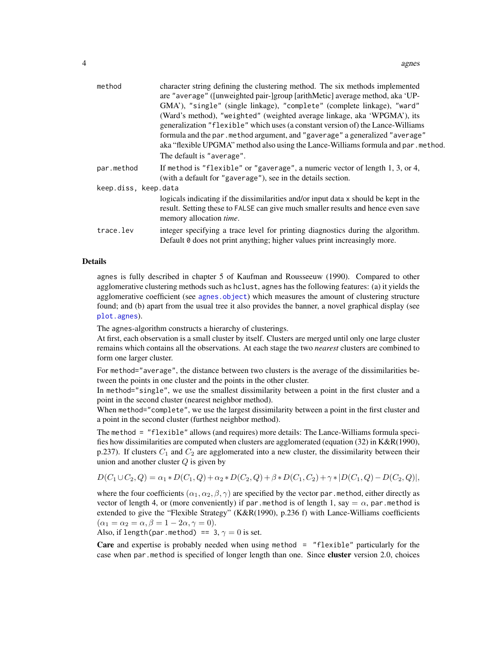| method               | character string defining the clustering method. The six methods implemented<br>are "average" ([unweighted pair-]group [arithMetic] average method, aka 'UP-<br>GMA'), "single" (single linkage), "complete" (complete linkage), "ward"<br>(Ward's method), "weighted" (weighted average linkage, aka 'WPGMA'), its<br>generalization "flexible" which uses (a constant version of) the Lance-Williams<br>formula and the par.method argument, and "gaverage" a generalized "average"<br>aka "flexible UPGMA" method also using the Lance-Williams formula and par . method.<br>The default is "average". |
|----------------------|-----------------------------------------------------------------------------------------------------------------------------------------------------------------------------------------------------------------------------------------------------------------------------------------------------------------------------------------------------------------------------------------------------------------------------------------------------------------------------------------------------------------------------------------------------------------------------------------------------------|
| par.method           | If method is "flexible" or "gaverage", a numeric vector of length $1, 3,$ or $4$ ,<br>(with a default for "gaverage"), see in the details section.                                                                                                                                                                                                                                                                                                                                                                                                                                                        |
| keep.diss, keep.data |                                                                                                                                                                                                                                                                                                                                                                                                                                                                                                                                                                                                           |
|                      | logicals indicating if the dissimilarities and/or input data x should be kept in the<br>result. Setting these to FALSE can give much smaller results and hence even save<br>memory allocation time.                                                                                                                                                                                                                                                                                                                                                                                                       |
| trace.lev            | integer specifying a trace level for printing diagnostics during the algorithm.<br>Default 0 does not print anything; higher values print increasingly more.                                                                                                                                                                                                                                                                                                                                                                                                                                              |

#### Details

agnes is fully described in chapter 5 of Kaufman and Rousseeuw (1990). Compared to other agglomerative clustering methods such as hclust, agnes has the following features: (a) it yields the agglomerative coefficient (see [agnes.object](#page-6-1)) which measures the amount of clustering structure found; and (b) apart from the usual tree it also provides the banner, a novel graphical display (see [plot.agnes](#page-52-1)).

The agnes-algorithm constructs a hierarchy of clusterings.

At first, each observation is a small cluster by itself. Clusters are merged until only one large cluster remains which contains all the observations. At each stage the two *nearest* clusters are combined to form one larger cluster.

For method="average", the distance between two clusters is the average of the dissimilarities between the points in one cluster and the points in the other cluster.

In method="single", we use the smallest dissimilarity between a point in the first cluster and a point in the second cluster (nearest neighbor method).

When method="complete", we use the largest dissimilarity between a point in the first cluster and a point in the second cluster (furthest neighbor method).

The method = "flexible" allows (and requires) more details: The Lance-Williams formula specifies how dissimilarities are computed when clusters are agglomerated (equation (32) in K&R(1990), p.237). If clusters  $C_1$  and  $C_2$  are agglomerated into a new cluster, the dissimilarity between their union and another cluster  $Q$  is given by

$$
D(C_1 \cup C_2, Q) = \alpha_1 * D(C_1, Q) + \alpha_2 * D(C_2, Q) + \beta * D(C_1, C_2) + \gamma * |D(C_1, Q) - D(C_2, Q)|,
$$

where the four coefficients  $(\alpha_1, \alpha_2, \beta, \gamma)$  are specified by the vector par.method, either directly as vector of length 4, or (more conveniently) if par method is of length 1, say  $=\alpha$ , par method is extended to give the "Flexible Strategy" (K&R(1990), p.236 f) with Lance-Williams coefficients  $(\alpha_1 = \alpha_2 = \alpha, \beta = 1 - 2\alpha, \gamma = 0).$ 

Also, if length(par.method) == 3,  $\gamma = 0$  is set.

Care and expertise is probably needed when using method = "flexible" particularly for the case when par.method is specified of longer length than one. Since cluster version 2.0, choices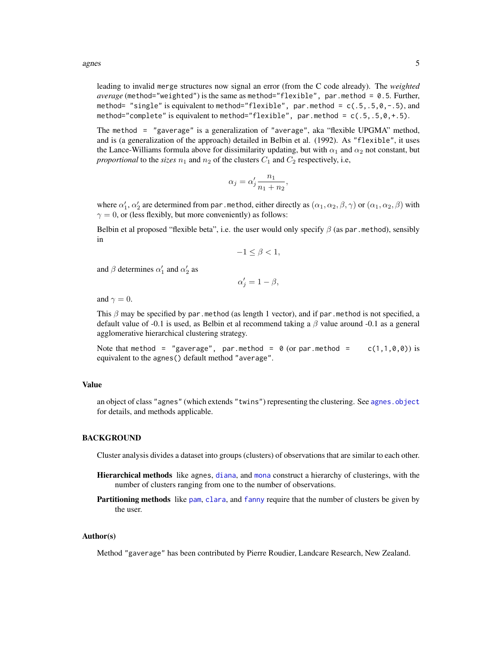agnes 5

leading to invalid merge structures now signal an error (from the C code already). The *weighted average* (method="weighted") is the same as method="flexible", par.method = 0.5. Further, method= "single" is equivalent to method="flexible", par.method =  $c(.5,.5,0,-.5)$ , and method="complete" is equivalent to method="flexible", par.method =  $c(.5,.5,0,+.5)$ .

The method = "gaverage" is a generalization of "average", aka "flexible UPGMA" method, and is (a generalization of the approach) detailed in Belbin et al. (1992). As "flexible", it uses the Lance-Williams formula above for dissimilarity updating, but with  $\alpha_1$  and  $\alpha_2$  not constant, but *proportional* to the *sizes*  $n_1$  and  $n_2$  of the clusters  $C_1$  and  $C_2$  respectively, i.e,

$$
\alpha_j = \alpha'_j \frac{n_1}{n_1 + n_2},
$$

where  $\alpha_1',\alpha_2'$  are determined from par . method, either directly as  $(\alpha_1,\alpha_2,\beta,\gamma)$  or  $(\alpha_1,\alpha_2,\beta)$  with  $\gamma = 0$ , or (less flexibly, but more conveniently) as follows:

Belbin et al proposed "flexible beta", i.e. the user would only specify  $\beta$  (as par.method), sensibly in

$$
-1 \le \beta < 1,
$$

and  $\beta$  determines  $\alpha'_1$  and  $\alpha'_2$  as

$$
\alpha_j' = 1 - \beta,
$$

and  $\gamma = 0$ .

This  $\beta$  may be specified by par.method (as length 1 vector), and if par.method is not specified, a default value of -0.1 is used, as Belbin et al recommend taking a  $\beta$  value around -0.1 as a general agglomerative hierarchical clustering strategy.

Note that method = "gaverage", par.method =  $\theta$  (or par.method = c(1,1,0,0)) is equivalent to the agnes() default method "average".

#### Value

an object of class "agnes" (which extends "twins") representing the clustering. See [agnes.object](#page-6-1) for details, and methods applicable.

# BACKGROUND

Cluster analysis divides a dataset into groups (clusters) of observations that are similar to each other.

- Hierarchical methods like agnes, [diana](#page-31-1), and [mona](#page-42-1) construct a hierarchy of clusterings, with the number of clusters ranging from one to the number of observations.
- Partitioning methods like [pam](#page-44-1), [clara](#page-12-1), and [fanny](#page-36-1) require that the number of clusters be given by the user.

### Author(s)

Method "gaverage" has been contributed by Pierre Roudier, Landcare Research, New Zealand.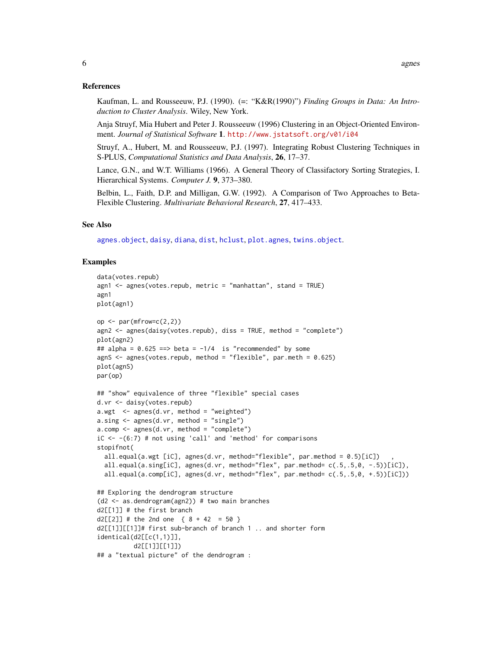#### References

Kaufman, L. and Rousseeuw, P.J. (1990). (=: "K&R(1990)") *Finding Groups in Data: An Introduction to Cluster Analysis*. Wiley, New York.

Anja Struyf, Mia Hubert and Peter J. Rousseeuw (1996) Clustering in an Object-Oriented Environment. *Journal of Statistical Software* 1. <http://www.jstatsoft.org/v01/i04>

Struyf, A., Hubert, M. and Rousseeuw, P.J. (1997). Integrating Robust Clustering Techniques in S-PLUS, *Computational Statistics and Data Analysis*, 26, 17–37.

Lance, G.N., and W.T. Williams (1966). A General Theory of Classifactory Sorting Strategies, I. Hierarchical Systems. *Computer J.* 9, 373–380.

Belbin, L., Faith, D.P. and Milligan, G.W. (1992). A Comparison of Two Approaches to Beta-Flexible Clustering. *Multivariate Behavioral Research*, 27, 417–433.

#### See Also

[agnes.object](#page-6-1), [daisy](#page-27-1), [diana](#page-31-1), [dist](#page-0-0), [hclust](#page-0-0), [plot.agnes](#page-52-1), [twins.object](#page-75-1).

#### Examples

```
data(votes.repub)
agn1 \leq agnes(votes.repub, metric = "manhattan", stand = TRUE)
agn1
plot(agn1)
op \leq par(mfrow=c(2,2))
agn2 <- agnes(daisy(votes.repub), diss = TRUE, method = "complete")
plot(agn2)
## alpha = 0.625 == beta = -1/4 is "recommended" by some
agnS <- agnes(votes.repub, method = "flexible", par.meth = 0.625)
plot(agnS)
par(op)
## "show" equivalence of three "flexible" special cases
d.vr <- daisy(votes.repub)
a.wgt < - agnes(d.vr, method = "weighted")
a.sing <- agnes(d.vr, method = "single")
a.comp < - agnes(d.vr, method = "complete")
iC \leftarrow -(6:7) # not using 'call' and 'method' for comparisons
stopifnot(
  all.equal(a.wgt [iC], agnes(d.vr, method="flexible", par.method = 0.5)[iC])
  all.equal(a.sing[iC], agnes(d.vr, method="flex", par.method= c(.5,.5,0, -.5))[iC]),
  all.equal(a.comp[iC], agnes(d.vr, method="flex", par.method= c(.5,.5,0, +.5))[iC]))
## Exploring the dendrogram structure
(d2 <- as.dendrogram(agn2)) # two main branches
d2[[1]] # the first branch
d2[[2]] # the 2nd one \{ 8 + 42 = 50 \}d2[[1]][[1]]# first sub-branch of branch 1 .. and shorter form
identical(d2[[c(1,1)]],
          d2[[1]][[1]])
## a "textual picture" of the dendrogram :
```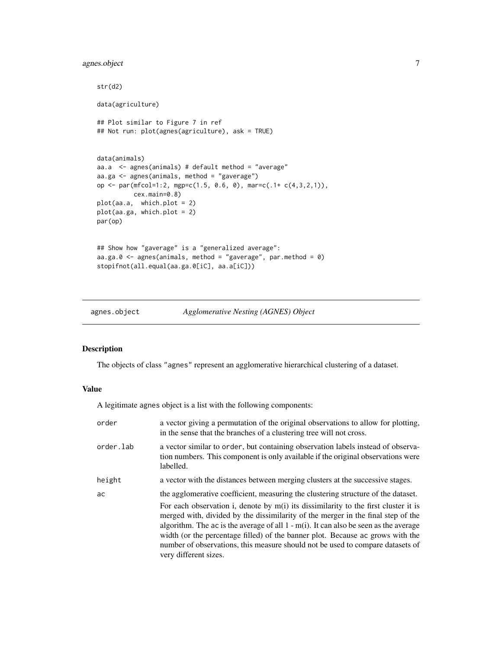# <span id="page-6-0"></span>agnes.object 7

```
str(d2)
data(agriculture)
## Plot similar to Figure 7 in ref
## Not run: plot(agnes(agriculture), ask = TRUE)
data(animals)
aa.a <- agnes(animals) # default method = "average"
aa.ga <- agnes(animals, method = "gaverage")
op <- par(mfcol=1:2, mgp=c(1.5, 0.6, 0), mar=c(.1+ c(4,3,2,1)),
          cex.main=0.8)
plot(aa.a, which.plot = 2)
plot(aa.ga, which.plot = 2)
par(op)
## Show how "gaverage" is a "generalized average":
aa.ga.0 \leq agnes(animals, method = "gaverage", par.method = 0)
stopifnot(all.equal(aa.ga.0[iC], aa.a[iC]))
```
<span id="page-6-1"></span>

# agnes.object *Agglomerative Nesting (AGNES) Object*

# Description

The objects of class "agnes" represent an agglomerative hierarchical clustering of a dataset.

#### Value

A legitimate agnes object is a list with the following components:

| order     | a vector giving a permutation of the original observations to allow for plotting,<br>in the sense that the branches of a clustering tree will not cross.                                                                                                                                                                                                                                                                                                          |
|-----------|-------------------------------------------------------------------------------------------------------------------------------------------------------------------------------------------------------------------------------------------------------------------------------------------------------------------------------------------------------------------------------------------------------------------------------------------------------------------|
| order.lab | a vector similar to order, but containing observation labels instead of observa-<br>tion numbers. This component is only available if the original observations were<br>labelled.                                                                                                                                                                                                                                                                                 |
| height    | a vector with the distances between merging clusters at the successive stages.                                                                                                                                                                                                                                                                                                                                                                                    |
| ac        | the agglomerative coefficient, measuring the clustering structure of the dataset.                                                                                                                                                                                                                                                                                                                                                                                 |
|           | For each observation i, denote by $m(i)$ its dissimilarity to the first cluster it is<br>merged with, divided by the dissimilarity of the merger in the final step of the<br>algorithm. The ac is the average of all $1 - m(i)$ . It can also be seen as the average<br>width (or the percentage filled) of the banner plot. Because ac grows with the<br>number of observations, this measure should not be used to compare datasets of<br>very different sizes. |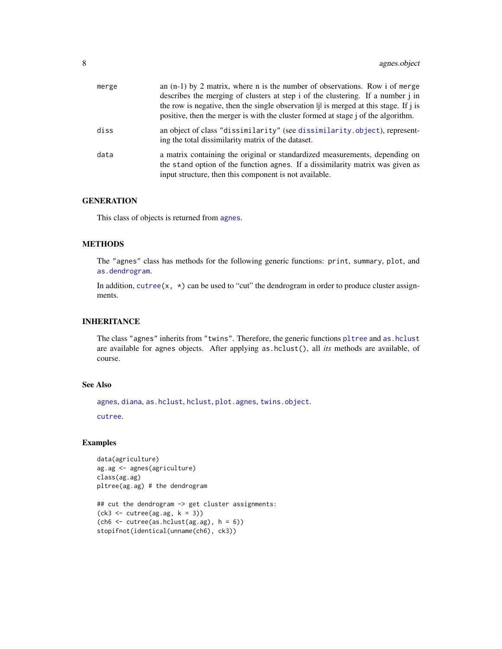| merge | an $(n-1)$ by 2 matrix, where n is the number of observations. Row i of merge<br>describes the merging of clusters at step i of the clustering. If a number j in<br>the row is negative, then the single observation   i is merged at this stage. If i is<br>positive, then the merger is with the cluster formed at stage i of the algorithm. |
|-------|------------------------------------------------------------------------------------------------------------------------------------------------------------------------------------------------------------------------------------------------------------------------------------------------------------------------------------------------|
| diss  | an object of class "dissimilarity" (see dissimilarity.object), represent-<br>ing the total dissimilarity matrix of the dataset.                                                                                                                                                                                                                |
| data  | a matrix containing the original or standardized measurements, depending on<br>the stand option of the function agnes. If a dissimilarity matrix was given as<br>input structure, then this component is not available.                                                                                                                        |

#### **GENERATION**

This class of objects is returned from [agnes](#page-2-1).

### METHODS

The "agnes" class has methods for the following generic functions: print, summary, plot, and [as.dendrogram](#page-0-0).

In addition, [cutree\(](#page-0-0)x,  $\star$ ) can be used to "cut" the dendrogram in order to produce cluster assignments.

# INHERITANCE

The class "agnes" inherits from "twins". Therefore, the generic functions [pltree](#page-59-1) and [as.hclust](#page-0-0) are available for agnes objects. After applying as.hclust(), all *its* methods are available, of course.

# See Also

[agnes](#page-2-1), [diana](#page-31-1), [as.hclust](#page-0-0), [hclust](#page-0-0), [plot.agnes](#page-52-1), [twins.object](#page-75-1).

[cutree](#page-0-0).

#### Examples

```
data(agriculture)
ag.ag <- agnes(agriculture)
class(ag.ag)
pltree(ag.ag) # the dendrogram
## cut the dendrogram -> get cluster assignments:
```

```
(ck3 <- cutree(ag.ag, k = 3))
(ch6 < - cutree(as.hclust(ag.ag), h = 6))
stopifnot(identical(unname(ch6), ck3))
```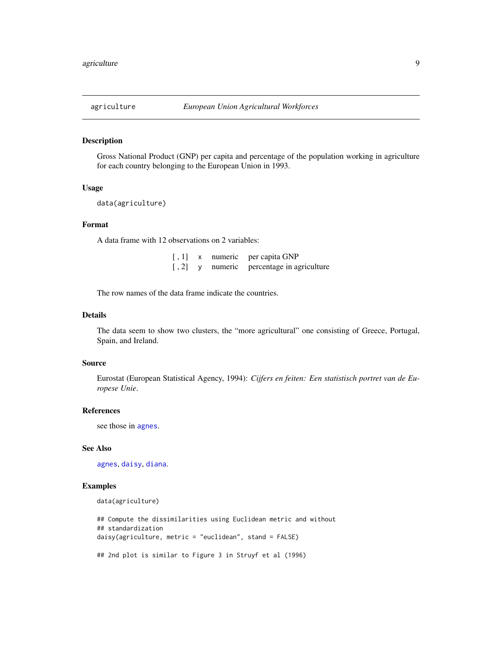<span id="page-8-0"></span>

# Description

Gross National Product (GNP) per capita and percentage of the population working in agriculture for each country belonging to the European Union in 1993.

#### Usage

data(agriculture)

# Format

A data frame with 12 observations on 2 variables:

| [ , 1]                  |   | x numeric | per capita GNP                    |
|-------------------------|---|-----------|-----------------------------------|
| $\left[ \, , 2 \right]$ | V |           | numeric percentage in agriculture |

The row names of the data frame indicate the countries.

### Details

The data seem to show two clusters, the "more agricultural" one consisting of Greece, Portugal, Spain, and Ireland.

#### Source

Eurostat (European Statistical Agency, 1994): *Cijfers en feiten: Een statistisch portret van de Europese Unie*.

#### References

see those in [agnes](#page-2-1).

#### See Also

[agnes](#page-2-1), [daisy](#page-27-1), [diana](#page-31-1).

# Examples

data(agriculture)

## Compute the dissimilarities using Euclidean metric and without ## standardization daisy(agriculture, metric = "euclidean", stand = FALSE)

## 2nd plot is similar to Figure 3 in Struyf et al (1996)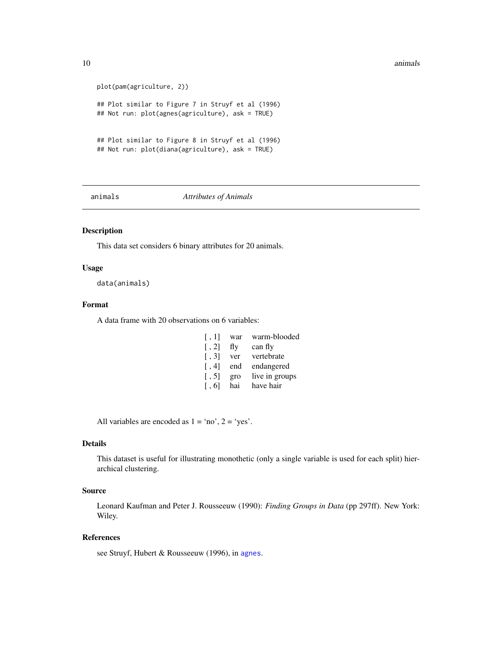#### <span id="page-9-0"></span>10 animals and the contract of the contract of the contract of the contract of the contract of the contract of the contract of the contract of the contract of the contract of the contract of the contract of the contract of

```
plot(pam(agriculture, 2))
## Plot similar to Figure 7 in Struyf et al (1996)
## Not run: plot(agnes(agriculture), ask = TRUE)
## Plot similar to Figure 8 in Struyf et al (1996)
## Not run: plot(diana(agriculture), ask = TRUE)
```
animals *Attributes of Animals*

# Description

This data set considers 6 binary attributes for 20 animals.

#### Usage

data(animals)

#### Format

A data frame with 20 observations on 6 variables:

| [, 1]                 | war | warm-blooded   |
|-----------------------|-----|----------------|
| $\lceil$ , 2]         | fly | can fly        |
| $\lceil .3 \rceil$    | ver | vertebrate     |
| $\lceil$ .4]          | end | endangered     |
| $\lceil .5 \rceil$    | gro | live in groups |
| $\lceil$ , 6 $\lceil$ | hai | have hair      |

All variables are encoded as  $1 = \text{'no'}$ ,  $2 = \text{'yes'}$ .

#### Details

This dataset is useful for illustrating monothetic (only a single variable is used for each split) hierarchical clustering.

# Source

Leonard Kaufman and Peter J. Rousseeuw (1990): *Finding Groups in Data* (pp 297ff). New York: Wiley.

### References

see Struyf, Hubert & Rousseeuw (1996), in [agnes](#page-2-1).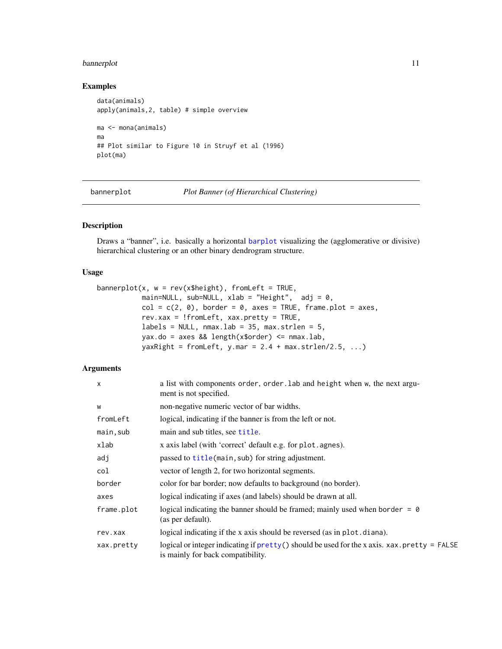# <span id="page-10-0"></span>bannerplot 11

# Examples

```
data(animals)
apply(animals,2, table) # simple overview
ma <- mona(animals)
ma
## Plot similar to Figure 10 in Struyf et al (1996)
plot(ma)
```
bannerplot *Plot Banner (of Hierarchical Clustering)*

# Description

Draws a "banner", i.e. basically a horizontal [barplot](#page-0-0) visualizing the (agglomerative or divisive) hierarchical clustering or an other binary dendrogram structure.

# Usage

```
bannerplot(x, w = rev(x$height), fromLeft = TRUE,
          main=NULL, sub=NULL, xlab = "Height", adj = 0,
          col = c(2, 0), border = 0, axes = TRUE, frame.plot = axes,
          rev.xax = !fromLeft, xax.pretty = TRUE,
          labels = NULL, maxu = 35, max.strlen = 5,yax.do = axes && length(x$order) \le nmax.lab,
          yaxRight = fromLeft, y.mac = 2.4 + max.strlen/2.5, ...
```
# Arguments

| $\mathsf{x}$ | a list with components order, order. Lab and height when w, the next argu-<br>ment is not specified.                                                       |
|--------------|------------------------------------------------------------------------------------------------------------------------------------------------------------|
| W            | non-negative numeric vector of bar widths.                                                                                                                 |
| fromLeft     | logical, indicating if the banner is from the left or not.                                                                                                 |
| main, sub    | main and sub titles, see title.                                                                                                                            |
| xlab         | x axis label (with 'correct' default e.g. for plot. agnes).                                                                                                |
| adj          | passed to title (main, sub) for string adjustment.                                                                                                         |
| col          | vector of length 2, for two horizontal segments.                                                                                                           |
| border       | color for bar border; now defaults to background (no border).                                                                                              |
| axes         | logical indicating if axes (and labels) should be drawn at all.                                                                                            |
| frame.plot   | logical indicating the banner should be framed; mainly used when border = $\theta$<br>(as per default).                                                    |
| rev.xax      | logical indicating if the x axis should be reversed (as in plot.diana).                                                                                    |
| xax.pretty   | logical or integer indicating if $\text{pretry}()$ should be used for the x axis. xax. $\text{pretry} = \text{FALSE}$<br>is mainly for back compatibility. |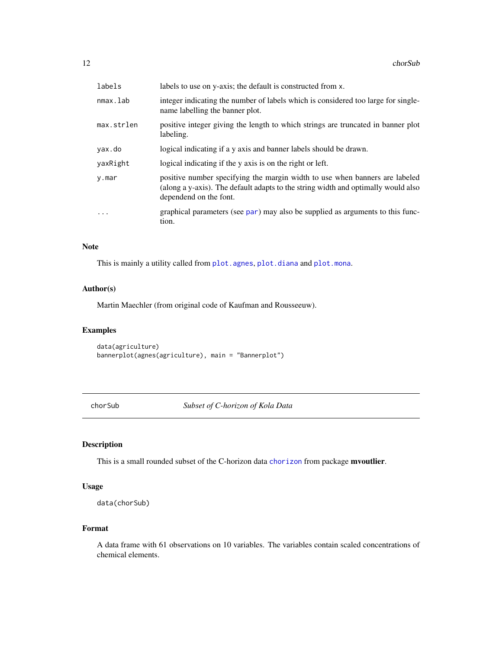<span id="page-11-0"></span>

| labels     | labels to use on y-axis; the default is constructed from x.                                                                                                                                |
|------------|--------------------------------------------------------------------------------------------------------------------------------------------------------------------------------------------|
| nmax.lab   | integer indicating the number of labels which is considered too large for single-<br>name labelling the banner plot.                                                                       |
| max.strlen | positive integer giving the length to which strings are truncated in banner plot<br>labeling.                                                                                              |
| yax.do     | logical indicating if a y axis and banner labels should be drawn.                                                                                                                          |
| yaxRight   | logical indicating if the y axis is on the right or left.                                                                                                                                  |
| y.mar      | positive number specifying the margin width to use when banners are labeled<br>(along a y-axis). The default adapts to the string width and optimally would also<br>dependend on the font. |
| $\ddotsc$  | graphical parameters (see par) may also be supplied as arguments to this func-<br>tion.                                                                                                    |

#### Note

This is mainly a utility called from [plot.agnes](#page-52-1), [plot.diana](#page-54-1) and [plot.mona](#page-56-1).

# Author(s)

Martin Maechler (from original code of Kaufman and Rousseeuw).

# Examples

```
data(agriculture)
bannerplot(agnes(agriculture), main = "Bannerplot")
```
chorSub *Subset of C-horizon of Kola Data*

# Description

This is a small rounded subset of the C-horizon data [chorizon](#page-0-0) from package mvoutlier.

# Usage

```
data(chorSub)
```
# Format

A data frame with 61 observations on 10 variables. The variables contain scaled concentrations of chemical elements.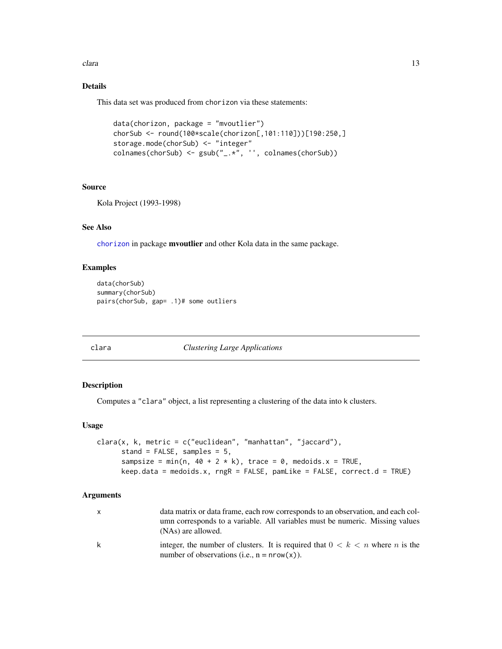<span id="page-12-0"></span>clara (13) and the contract of the contract of the contract of the contract of the contract of the contract of the contract of the contract of the contract of the contract of the contract of the contract of the contract of

# Details

This data set was produced from chorizon via these statements:

```
data(chorizon, package = "mvoutlier")
chorSub <- round(100*scale(chorizon[,101:110]))[190:250,]
storage.mode(chorSub) <- "integer"
colnames(chorSub) <- gsub("_.*", '', colnames(chorSub))
```
#### Source

Kola Project (1993-1998)

### See Also

[chorizon](#page-0-0) in package mvoutlier and other Kola data in the same package.

#### Examples

```
data(chorSub)
summary(chorSub)
pairs(chorSub, gap= .1)# some outliers
```
<span id="page-12-1"></span>clara *Clustering Large Applications*

# Description

Computes a "clara" object, a list representing a clustering of the data into k clusters.

#### Usage

```
clara(x, k, metric = c("euclidean", "manhattan", "jaccard"),
      stand = FALSE, samples = 5,
      sampsize = min(n, 40 + 2 * k), trace = 0, medoids.x = TRUE,
      keep.data = medoids.x, rngR = FALSE, pamLike = FALSE, correct.d = TRUE)
```
#### Arguments

|   | data matrix or data frame, each row corresponds to an observation, and each col-<br>umn corresponds to a variable. All variables must be numeric. Missing values<br>(NAs) are allowed. |
|---|----------------------------------------------------------------------------------------------------------------------------------------------------------------------------------------|
| k | integer, the number of clusters. It is required that $0 < k < n$ where n is the<br>number of observations (i.e., $n = nrow(x)$ ).                                                      |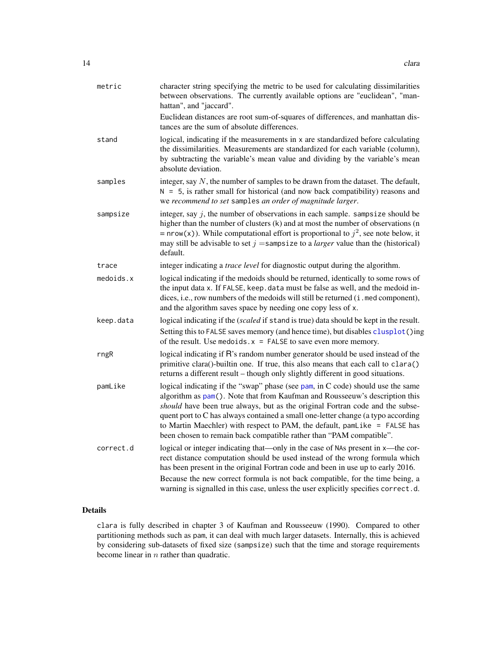| metric    | character string specifying the metric to be used for calculating dissimilarities<br>between observations. The currently available options are "euclidean", "man-<br>hattan", and "jaccard".                                                                                                                                                                                                                                                                                            |
|-----------|-----------------------------------------------------------------------------------------------------------------------------------------------------------------------------------------------------------------------------------------------------------------------------------------------------------------------------------------------------------------------------------------------------------------------------------------------------------------------------------------|
|           | Euclidean distances are root sum-of-squares of differences, and manhattan dis-<br>tances are the sum of absolute differences.                                                                                                                                                                                                                                                                                                                                                           |
| stand     | logical, indicating if the measurements in x are standardized before calculating<br>the dissimilarities. Measurements are standardized for each variable (column),<br>by subtracting the variable's mean value and dividing by the variable's mean<br>absolute deviation.                                                                                                                                                                                                               |
| samples   | integer, say $N$ , the number of samples to be drawn from the dataset. The default,<br>$N = 5$ , is rather small for historical (and now back compatibility) reasons and<br>we recommend to set samples an order of magnitude larger.                                                                                                                                                                                                                                                   |
| sampsize  | integer, say $j$ , the number of observations in each sample. sampsize should be<br>higher than the number of clusters (k) and at most the number of observations (n<br>= nrow(x)). While computational effort is proportional to $j^2$ , see note below, it<br>may still be advisable to set $j =$ sampsize to a <i>larger</i> value than the (historical)<br>default.                                                                                                                 |
| trace     | integer indicating a trace level for diagnostic output during the algorithm.                                                                                                                                                                                                                                                                                                                                                                                                            |
| medoids.x | logical indicating if the medoids should be returned, identically to some rows of<br>the input data x. If FALSE, keep. data must be false as well, and the medoid in-<br>dices, i.e., row numbers of the medoids will still be returned (i.med component),<br>and the algorithm saves space by needing one copy less of x.                                                                                                                                                              |
| keep.data | logical indicating if the (scaled if stand is true) data should be kept in the result.                                                                                                                                                                                                                                                                                                                                                                                                  |
|           | Setting this to FALSE saves memory (and hence time), but disables clusplot ()ing<br>of the result. Use medoids $x =$ FALSE to save even more memory.                                                                                                                                                                                                                                                                                                                                    |
| rngR      | logical indicating if R's random number generator should be used instead of the<br>primitive clara()-builtin one. If true, this also means that each call to clara()<br>returns a different result – though only slightly different in good situations.                                                                                                                                                                                                                                 |
| pamLike   | logical indicating if the "swap" phase (see pam, in C code) should use the same<br>algorithm as pam(). Note that from Kaufman and Rousseeuw's description this<br>should have been true always, but as the original Fortran code and the subse-<br>quent port to C has always contained a small one-letter change (a typo according<br>to Martin Maechler) with respect to PAM, the default, pamLike = FALSE has<br>been chosen to remain back compatible rather than "PAM compatible". |
| correct.d | logical or integer indicating that—only in the case of NAs present in x—the cor-<br>rect distance computation should be used instead of the wrong formula which<br>has been present in the original Fortran code and been in use up to early 2016.<br>Because the new correct formula is not back compatible, for the time being, a<br>warning is signalled in this case, unless the user explicitly specifies correct.d.                                                               |

# Details

clara is fully described in chapter 3 of Kaufman and Rousseeuw (1990). Compared to other partitioning methods such as pam, it can deal with much larger datasets. Internally, this is achieved by considering sub-datasets of fixed size (sampsize) such that the time and storage requirements become linear in  $n$  rather than quadratic.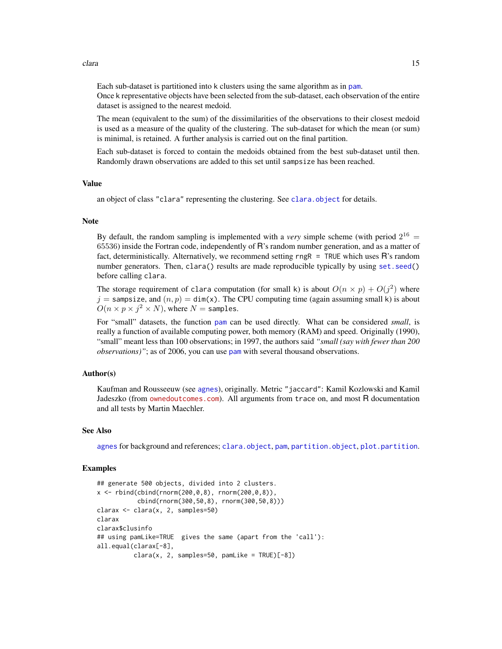Each sub-dataset is partitioned into k clusters using the same algorithm as in [pam](#page-44-1). Once k representative objects have been selected from the sub-dataset, each observation of the entire dataset is assigned to the nearest medoid.

The mean (equivalent to the sum) of the dissimilarities of the observations to their closest medoid is used as a measure of the quality of the clustering. The sub-dataset for which the mean (or sum) is minimal, is retained. A further analysis is carried out on the final partition.

Each sub-dataset is forced to contain the medoids obtained from the best sub-dataset until then. Randomly drawn observations are added to this set until sampsize has been reached.

#### Value

an object of class "clara" representing the clustering. See [clara.object](#page-15-1) for details.

#### **Note**

By default, the random sampling is implemented with a *very* simple scheme (with period  $2^{16}$  = 65536) inside the Fortran code, independently of R's random number generation, and as a matter of fact, deterministically. Alternatively, we recommend setting rngR = TRUE which uses R's random number generators. Then, clara() results are made reproducible typically by using set. seed() before calling clara.

The storage requirement of clara computation (for small k) is about  $O(n \times p) + O(j^2)$  where  $j =$  sampsize, and  $(n, p) =$  dim(x). The CPU computing time (again assuming small k) is about  $O(n \times p \times j^2 \times N)$ , where  $N =$  samples.

For "small" datasets, the function [pam](#page-44-1) can be used directly. What can be considered *small*, is really a function of available computing power, both memory (RAM) and speed. Originally (1990), "small" meant less than 100 observations; in 1997, the authors said *"small (say with fewer than 200 observations)"*; as of 2006, you can use [pam](#page-44-1) with several thousand observations.

### Author(s)

Kaufman and Rousseeuw (see [agnes](#page-2-1)), originally. Metric "jaccard": Kamil Kozlowski and Kamil Jadeszko (from <ownedoutcomes.com>). All arguments from trace on, and most R documentation and all tests by Martin Maechler.

# See Also

[agnes](#page-2-1) for background and references; [clara.object](#page-15-1), [pam](#page-44-1), [partition.object](#page-49-1), [plot.partition](#page-57-1).

#### Examples

```
## generate 500 objects, divided into 2 clusters.
x \le - rbind(cbind(rnorm(200,0,8), rnorm(200,0,8)),
           cbind(rnorm(300,50,8), rnorm(300,50,8)))
clarax <- clara(x, 2, samples=50)
clarax
clarax$clusinfo
## using pamLike=TRUE gives the same (apart from the 'call'):
all.equal(clarax[-8],
          chara(x, 2, samples=50, pamlike = TRUE)[-8])
```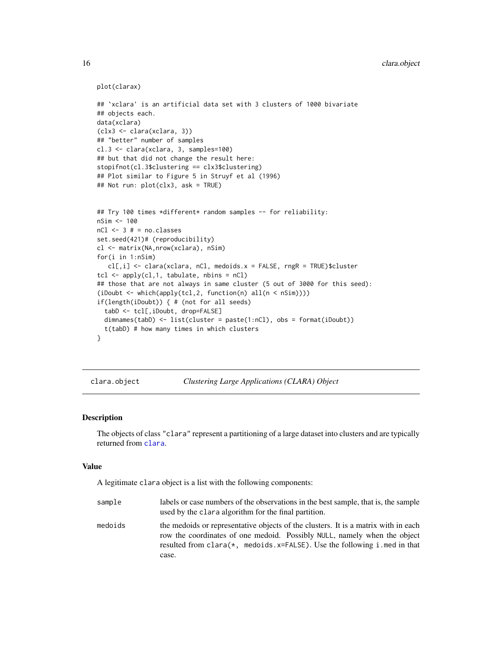```
plot(clarax)
## `xclara' is an artificial data set with 3 clusters of 1000 bivariate
## objects each.
data(xclara)
(clx3 <- clara(xclara, 3))
## "better" number of samples
cl.3 <- clara(xclara, 3, samples=100)
## but that did not change the result here:
stopifnot(cl.3$clustering == clx3$clustering)
## Plot similar to Figure 5 in Struyf et al (1996)
## Not run: plot(clx3, ask = TRUE)
## Try 100 times *different* random samples -- for reliability:
nSim <- 100
nCl < -3 # = no.classesset.seed(421)# (reproducibility)
cl <- matrix(NA,nrow(xclara), nSim)
for(i in 1:nSim)
   cl[,i] <- clara(xclara, nCl, medoids.x = FALSE, rngR = TRUE)$cluster
tcl <- apply(cl,1, tabulate, nbins = nCl)
## those that are not always in same cluster (5 out of 3000 for this seed):
(iDoubt <- which(apply(tcl,2, function(n) all(n < nSim))))
if(length(iDoubt)) { # (not for all seeds)
  tabD <- tcl[,iDoubt, drop=FALSE]
  dimnames(tabD) \le list(cluster = paste(1:nCl), obs = format(iDoubt))
  t(tabD) # how many times in which clusters
}
```
<span id="page-15-1"></span>clara.object *Clustering Large Applications (CLARA) Object*

#### Description

The objects of class "clara" represent a partitioning of a large dataset into clusters and are typically returned from [clara](#page-12-1).

#### Value

A legitimate clara object is a list with the following components:

| sample  | labels or case numbers of the observations in the best sample, that is, the sample<br>used by the clara algorithm for the final partition.                                                                                                               |
|---------|----------------------------------------------------------------------------------------------------------------------------------------------------------------------------------------------------------------------------------------------------------|
| medoids | the medoids or representative objects of the clusters. It is a matrix with in each<br>row the coordinates of one medoid. Possibly NULL, namely when the object<br>resulted from clara( $\star$ , medoids. $x = FALSE$ ). Use the following i med in that |
|         | case.                                                                                                                                                                                                                                                    |

<span id="page-15-0"></span>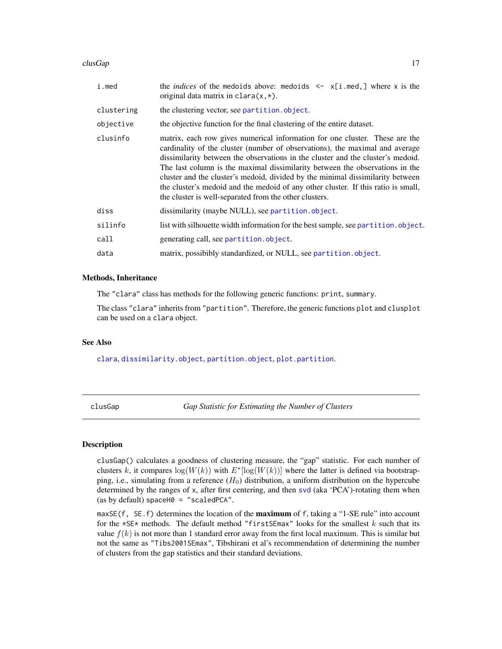#### <span id="page-16-0"></span> $\log$ Gap 17

| i.med      | the <i>indices</i> of the medoids above: medoids $\leq -x[i]$ . med, where x is the<br>original data matrix in clara $(x,*)$ .                                                                                                                                                                                                                                                                                                                                                                                                                                  |
|------------|-----------------------------------------------------------------------------------------------------------------------------------------------------------------------------------------------------------------------------------------------------------------------------------------------------------------------------------------------------------------------------------------------------------------------------------------------------------------------------------------------------------------------------------------------------------------|
| clustering | the clustering vector, see partition.object.                                                                                                                                                                                                                                                                                                                                                                                                                                                                                                                    |
| objective  | the objective function for the final clustering of the entire dataset.                                                                                                                                                                                                                                                                                                                                                                                                                                                                                          |
| clusinfo   | matrix, each row gives numerical information for one cluster. These are the<br>cardinality of the cluster (number of observations), the maximal and average<br>dissimilarity between the observations in the cluster and the cluster's medoid.<br>The last column is the maximal dissimilarity between the observations in the<br>cluster and the cluster's medoid, divided by the minimal dissimilarity between<br>the cluster's medoid and the medoid of any other cluster. If this ratio is small,<br>the cluster is well-separated from the other clusters. |
| diss       | dissimilarity (maybe NULL), see partition.object.                                                                                                                                                                                                                                                                                                                                                                                                                                                                                                               |
| silinfo    | list with silhouette width information for the best sample, see partition. object.                                                                                                                                                                                                                                                                                                                                                                                                                                                                              |
| call       | generating call, see partition.object.                                                                                                                                                                                                                                                                                                                                                                                                                                                                                                                          |
| data       | matrix, possibibly standardized, or NULL, see partition.object.                                                                                                                                                                                                                                                                                                                                                                                                                                                                                                 |

#### Methods, Inheritance

The "clara" class has methods for the following generic functions: print, summary.

The class "clara" inherits from "partition". Therefore, the generic functions plot and clusplot can be used on a clara object.

# See Also

[clara](#page-12-1), [dissimilarity.object](#page-33-1), [partition.object](#page-49-1), [plot.partition](#page-57-1).

clusGap *Gap Statistic for Estimating the Number of Clusters*

#### Description

clusGap() calculates a goodness of clustering measure, the "gap" statistic. For each number of clusters k, it compares  $\log(W(k))$  with  $E^*[\log(W(k))]$  where the latter is defined via bootstrapping, i.e., simulating from a reference  $(H_0)$  distribution, a uniform distribution on the hypercube determined by the ranges of x, after first centering, and then [svd](#page-0-0) (aka 'PCA')-rotating them when (as by default) spaceH $\theta$  = "scaledPCA".

maxSE(f, SE.f) determines the location of the **maximum** of f, taking a "1-SE rule" into account for the  $\star$ SE $\star$  methods. The default method "firstSEmax" looks for the smallest k such that its value  $f(k)$  is not more than 1 standard error away from the first local maximum. This is similar but not the same as "Tibs2001SEmax", Tibshirani et al's recommendation of determining the number of clusters from the gap statistics and their standard deviations.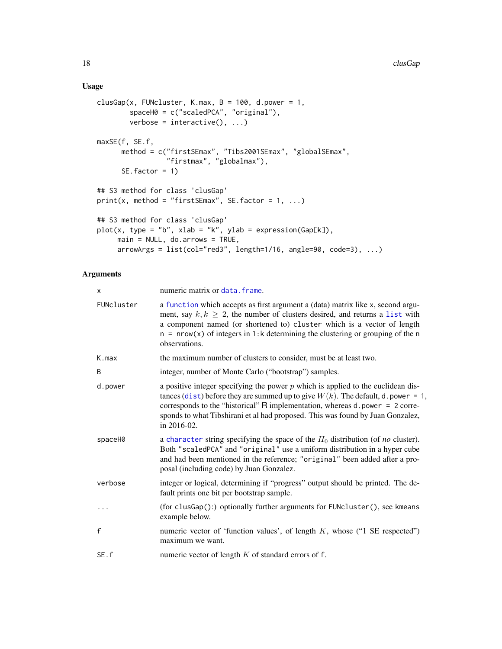# Usage

```
clusGap(x, FUNcluster, K.max, B = 100, d.power = 1,
        spaceH0 = c("scaledPCA", "original"),
        verbose = interactive(), ...)
maxSE(f, SE.f,
     method = c("firstSEmax", "Tibs2001SEmax", "globalSEmax",
                 "firstmax", "globalmax"),
     SE.factor = 1)
## S3 method for class 'clusGap'
print(x, method = "firstSEmax", SE.factory = 1, ...)## S3 method for class 'clusGap'
plot(x, type = "b", xlab = "k", ylab = expression(Gap[k]),main = NULL, do.arrows = TRUE,
     arrowArgs = list(col="red3", length=1/16, angle=90, code=3), ...
```
#### Arguments

| x            | numeric matrix or data. frame.                                                                                                                                                                                                                                                                                                                             |
|--------------|------------------------------------------------------------------------------------------------------------------------------------------------------------------------------------------------------------------------------------------------------------------------------------------------------------------------------------------------------------|
| FUNcluster   | a function which accepts as first argument a (data) matrix like x, second argu-<br>ment, say $k, k \geq 2$ , the number of clusters desired, and returns a list with<br>a component named (or shortened to) cluster which is a vector of length<br>$n = nrow(x)$ of integers in 1:k determining the clustering or grouping of the n<br>observations.       |
| K.max        | the maximum number of clusters to consider, must be at least two.                                                                                                                                                                                                                                                                                          |
| B            | integer, number of Monte Carlo ("bootstrap") samples.                                                                                                                                                                                                                                                                                                      |
| d.power      | a positive integer specifying the power $p$ which is applied to the euclidean dis-<br>tances (dist) before they are summed up to give $W(k)$ . The default, d. power = 1,<br>corresponds to the "historical" R implementation, whereas d.power = 2 corre-<br>sponds to what Tibshirani et al had proposed. This was found by Juan Gonzalez,<br>in 2016-02. |
| spaceH0      | a character string specifying the space of the $H_0$ distribution (of <i>no</i> cluster).<br>Both "scaledPCA" and "original" use a uniform distribution in a hyper cube<br>and had been mentioned in the reference; "original" been added after a pro-<br>posal (including code) by Juan Gonzalez.                                                         |
| verbose      | integer or logical, determining if "progress" output should be printed. The de-<br>fault prints one bit per bootstrap sample.                                                                                                                                                                                                                              |
|              | (for clusGap():) optionally further arguments for FUNcluster(), see kmeans<br>example below.                                                                                                                                                                                                                                                               |
| $\mathsf{f}$ | numeric vector of 'function values', of length $K$ , whose ("1 SE respected")<br>maximum we want.                                                                                                                                                                                                                                                          |
| SE.f         | numeric vector of length $K$ of standard errors of f.                                                                                                                                                                                                                                                                                                      |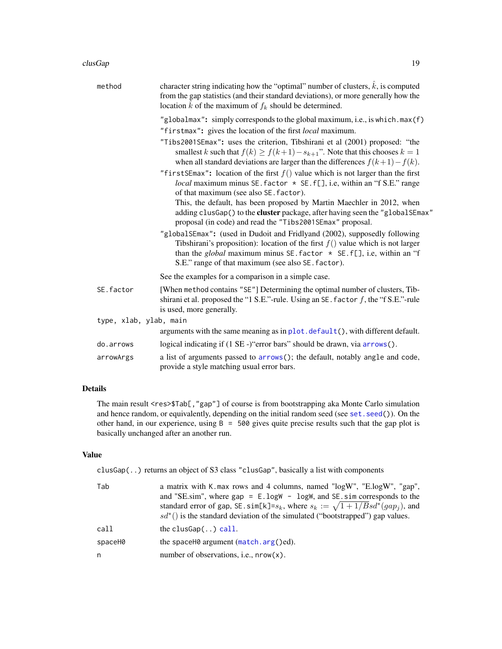| method                 | character string indicating how the "optimal" number of clusters, $k$ , is computed<br>from the gap statistics (and their standard deviations), or more generally how the<br>location $k$ of the maximum of $f_k$ should be determined.                                                            |
|------------------------|----------------------------------------------------------------------------------------------------------------------------------------------------------------------------------------------------------------------------------------------------------------------------------------------------|
|                        | "globalmax": simply corresponds to the global maximum, i.e., is which.max $(f)$<br>"firstmax": gives the location of the first local maximum.                                                                                                                                                      |
|                        | "Tibs2001SEmax": uses the criterion, Tibshirani et al (2001) proposed: "the<br>smallest k such that $f(k) \ge f(k+1) - s_{k+1}$ ". Note that this chooses $k = 1$<br>when all standard deviations are larger than the differences $f(k+1) - f(k)$ .                                                |
|                        | "first SEmax": location of the first $f()$ value which is not larger than the first<br><i>local</i> maximum minus SE. factor $*$ SE. f[], i.e, within an "f S.E." range<br>of that maximum (see also SE. factor).                                                                                  |
|                        | This, the default, has been proposed by Martin Maechler in 2012, when<br>adding clusGap() to the cluster package, after having seen the "globalSEmax"<br>proposal (in code) and read the "Tibs2001SEmax" proposal.                                                                                 |
|                        | "globalSEmax": (used in Dudoit and Fridlyand (2002), supposedly following<br>Tibshirani's proposition): location of the first $f()$ value which is not larger<br>than the global maximum minus SE. factor $\star$ SE. f[], i.e, within an "f<br>S.E." range of that maximum (see also SE. factor). |
|                        | See the examples for a comparison in a simple case.                                                                                                                                                                                                                                                |
| SE.factor              | [When method contains "SE"] Determining the optimal number of clusters, Tib-<br>shirani et al. proposed the "1 S.E."-rule. Using an SE. factor $f$ , the "f S.E."-rule<br>is used, more generally.                                                                                                 |
| type, xlab, ylab, main |                                                                                                                                                                                                                                                                                                    |
|                        | arguments with the same meaning as in $plot$ . $default()$ , with different default.                                                                                                                                                                                                               |
| do.arrows              | logical indicating if (1 SE -) "error bars" should be drawn, via arrows ().                                                                                                                                                                                                                        |
| arrowArgs              | a list of arguments passed to arrows(); the default, notably angle and code,<br>provide a style matching usual error bars.                                                                                                                                                                         |

# Details

The main result <res>\$Tab[,"gap"] of course is from bootstrapping aka Monte Carlo simulation and hence random, or equivalently, depending on the initial random seed (see [set.seed\(](#page-0-0))). On the other hand, in our experience, using  $B = 500$  gives quite precise results such that the gap plot is basically unchanged after an another run.

# Value

clusGap(..) returns an object of S3 class "clusGap", basically a list with components

| Tab     | a matrix with K max rows and 4 columns, named "logW", "E logW", "gap",<br>and "SE.sim", where $gap = E.logW - logW$ , and SE.sim corresponds to the<br>standard error of gap, SE. sim[k]= $s_k$ , where $s_k := \sqrt{1 + 1/Bsd^*(gap_i)}$ , and<br>$sd^*($ ) is the standard deviation of the simulated ("bootstrapped") gap values. |
|---------|---------------------------------------------------------------------------------------------------------------------------------------------------------------------------------------------------------------------------------------------------------------------------------------------------------------------------------------|
| call    | the clusGap $()$ call.                                                                                                                                                                                                                                                                                                                |
| spaceH0 | the space H $\theta$ argument (match. $arg()$ ed).                                                                                                                                                                                                                                                                                    |
| n       | number of observations, i.e., $nrow(x)$ .                                                                                                                                                                                                                                                                                             |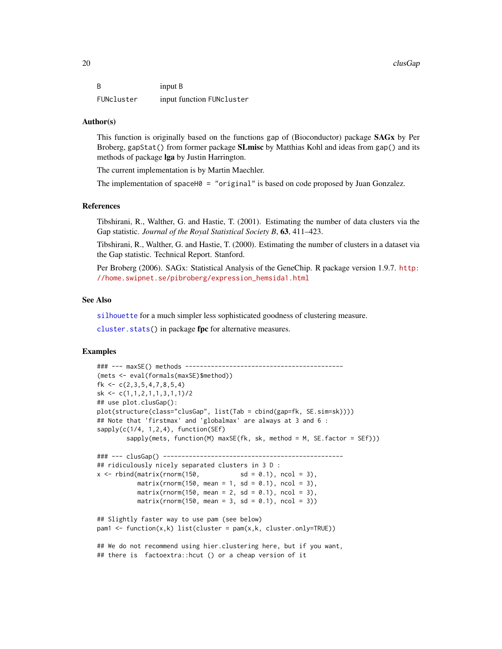B input B FUNcluster input function FUNcluster

#### Author(s)

This function is originally based on the functions gap of (Bioconductor) package SAGx by Per Broberg, gapStat() from former package **SLmisc** by Matthias Kohl and ideas from gap() and its methods of package lga by Justin Harrington.

The current implementation is by Martin Maechler.

The implementation of spaceH $\theta$  = "original" is based on code proposed by Juan Gonzalez.

#### References

Tibshirani, R., Walther, G. and Hastie, T. (2001). Estimating the number of data clusters via the Gap statistic. *Journal of the Royal Statistical Society B*, 63, 411–423.

Tibshirani, R., Walther, G. and Hastie, T. (2000). Estimating the number of clusters in a dataset via the Gap statistic. Technical Report. Stanford.

Per Broberg (2006). SAGx: Statistical Analysis of the GeneChip. R package version 1.9.7. [http:](http://home.swipnet.se/pibroberg/expression_hemsida1.html) [//home.swipnet.se/pibroberg/expression\\_hemsida1.html](http://home.swipnet.se/pibroberg/expression_hemsida1.html)

#### See Also

[silhouette](#page-67-1) for a much simpler less sophisticated goodness of clustering measure.

[cluster.stats\(](#page-0-0)) in package fpc for alternative measures.

# Examples

```
### --- maxSE() methods -------------------------------------------
(mets <- eval(formals(maxSE)$method))
fk \leq c(2,3,5,4,7,8,5,4)sk \leftarrow c(1,1,2,1,1,3,1,1)/2## use plot.clusGap():
plot(structure(class="clusGap", list(Tab = cbind(gap=fk, SE.sim=sk))))
## Note that 'firstmax' and 'globalmax' are always at 3 and 6 :
sapply(c(1/4, 1, 2, 4), function(SEf)sapply(mets, function(M) maxSE(fk, sk, method = M, SE.factor = SEf)))
### --- clusGap() -------------------------------------------------
## ridiculously nicely separated clusters in 3 D :
x \le rbind(matrix(rnorm(150, sd = 0.1), ncol = 3),
          matrix( rnorm(150, mean = 1, sd = 0.1), ncol = 3),
          matrix(rnorm(150, mean = 2, sd = 0.1), ncol = 3),matrix(rnorm(150, mean = 3, sd = 0.1), ncol = 3))## Slightly faster way to use pam (see below)
pam1 \leq function(x,k) list(cluster = pam(x,k, cluster.only=True))
## We do not recommend using hier.clustering here, but if you want,
## there is factoextra::hcut () or a cheap version of it
```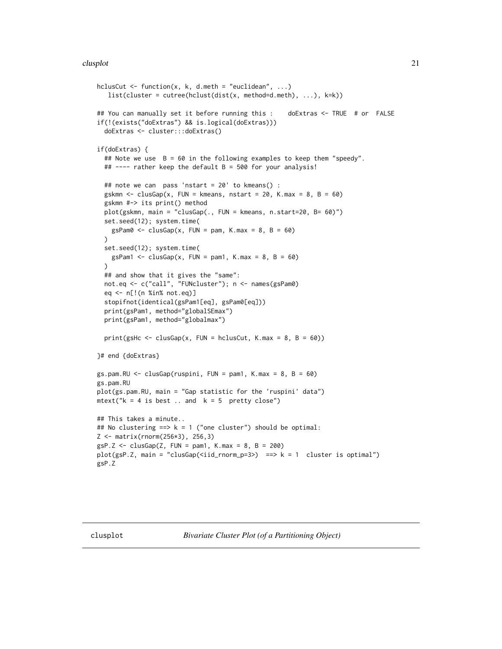```
hclusCut \leq function(x, k, d.meth = "euclidean", ...)
   list(cluster = cutree(hclust(dist(x, method=d.meth), ...), k=k))
## You can manually set it before running this : doExtras <- TRUE # or FALSE
if(!(exists("doExtras") && is.logical(doExtras)))
  doExtras <- cluster:::doExtras()
if(doExtras) {
  ## Note we use B = 60 in the following examples to keep them "speedy".
  ## ---- rather keep the default B = 500 for your analysis!
  ## note we can pass 'nstart = 20' to kmeans() :
  gskmn \le clusGap(x, FUN = kmeans, nstart = 20, K.max = 8, B = 60)
  gskmn #-> its print() method
  plot(gskmn, main = "clusGap(., FUN = kmeans, n.start=20, B= 60)")
  set.seed(12); system.time(
   gsPam0 \leq clusGap(x, FUN = pam, K.max = 8, B = 60)\lambdaset.seed(12); system.time(
   gsPam1 \le clusGap(x, FUN = pam1, K.max = 8, B = 60)
  )
  ## and show that it gives the "same":
  not.eq <- c("call", "FUNcluster"); n <- names(gsPam0)
  eq <- n[!(n %in% not.eq)]
  stopifnot(identical(gsPam1[eq], gsPam0[eq]))
  print(gsPam1, method="globalSEmax")
  print(gsPam1, method="globalmax")
  print(gsHc <- clusGap(x, FUN = hclusCut, K.max = 8, B = 60))
}# end {doExtras}
gs.pam.RU < - \text{clusGap(ruspini}, \text{FUN} = \text{pam1}, \text{K.max} = 8, \text{B} = 60)gs.pam.RU
plot(gs.pam.RU, main = "Gap statistic for the 'ruspini' data")
mtext{text("k = 4 is best ... and k = 5 pretty close")}## This takes a minute..
## No clustering ==> k = 1 ("one cluster") should be optimal:
Z <- matrix(rnorm(256*3), 256,3)
gsP.Z \leq clusGap(Z, FUN = pam1, K.max = 8, B = 200)plot(gsP.Z, main = "clusGap(<iid_rnorm_p=3>) ==> k = 1 cluster is optimal")
gsP.Z
```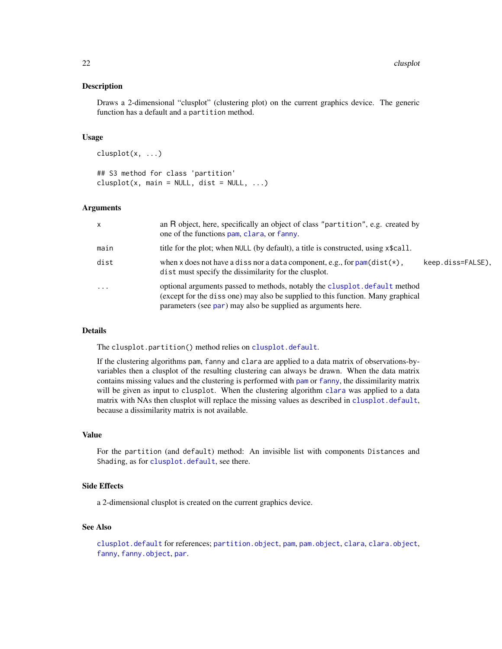#### Description

Draws a 2-dimensional "clusplot" (clustering plot) on the current graphics device. The generic function has a default and a partition method.

#### Usage

clusplot(x, ...)

## S3 method for class 'partition'  $clusplot(x, main = NULL, dist = NULL, ...)$ 

#### **Arguments**

| $\mathsf{x}$ | an R object, here, specifically an object of class "partition", e.g. created by<br>one of the functions pam, clara, or fanny.                                                                                                 |                   |
|--------------|-------------------------------------------------------------------------------------------------------------------------------------------------------------------------------------------------------------------------------|-------------------|
| main         | title for the plot; when NULL (by default), a title is constructed, using x\$call.                                                                                                                                            |                   |
| dist         | when x does not have a diss nor a data component, e.g., for $pam(dist(*))$ ,<br>dist must specify the dissimilarity for the clusplot.                                                                                         | keep.diss=FALSE). |
| $\cdot$      | optional arguments passed to methods, notably the clusplot. default method<br>(except for the diss one) may also be supplied to this function. Many graphical<br>parameters (see par) may also be supplied as arguments here. |                   |

#### Details

The clusplot.partition() method relies on [clusplot.default](#page-22-1).

If the clustering algorithms pam, fanny and clara are applied to a data matrix of observations-byvariables then a clusplot of the resulting clustering can always be drawn. When the data matrix contains missing values and the clustering is performed with [pam](#page-44-1) or [fanny](#page-36-1), the dissimilarity matrix will be given as input to clusplot. When the clustering algorithm [clara](#page-12-1) was applied to a data matrix with NAs then clusplot will replace the missing values as described in [clusplot.default](#page-22-1), because a dissimilarity matrix is not available.

#### Value

For the partition (and default) method: An invisible list with components Distances and Shading, as for [clusplot.default](#page-22-1), see there.

### Side Effects

a 2-dimensional clusplot is created on the current graphics device.

# See Also

[clusplot.default](#page-22-1) for references; [partition.object](#page-49-1), [pam](#page-44-1), [pam.object](#page-48-1), [clara](#page-12-1), [clara.object](#page-15-1), [fanny](#page-36-1), [fanny.object](#page-39-1), [par](#page-0-0).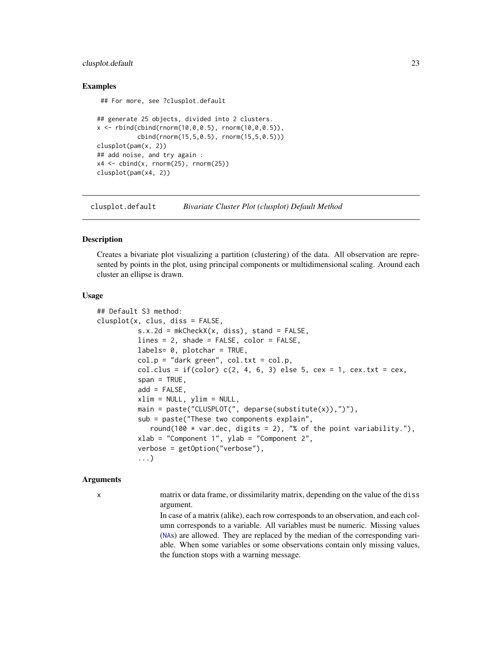#### <span id="page-22-0"></span>clusplot.default 23

#### Examples

## For more, see ?clusplot.default

```
## generate 25 objects, divided into 2 clusters.
x \le rbind(cbind(rnorm(10,0,0.5), rnorm(10,0,0.5)),
           cbind(rnorm(15,5,0.5), rnorm(15,5,0.5)))
clusplot(pam(x, 2))
## add noise, and try again :
x4 \le cbind(x, rnorm(25), rnorm(25))
clusplot(pam(x4, 2))
```
<span id="page-22-1"></span>clusplot.default *Bivariate Cluster Plot (clusplot) Default Method*

#### Description

Creates a bivariate plot visualizing a partition (clustering) of the data. All observation are represented by points in the plot, using principal components or multidimensional scaling. Around each cluster an ellipse is drawn.

#### Usage

```
## Default S3 method:
clusplot(x, clus, diss = FALSE,
          s.x.2d = mkCheckX(x, diss), stand = FALSE,lines = 2, shade = FALSE, color = FALSE,
          labels= 0, plotchar = TRUE,
          col.p = "dark green", col.txt = col.p,col.class = if(color) <math>c(2, 4, 6, 3) else 5, cex = 1, cex.txt = cex,
          span = TRUE,add = FALSE.
          xlim = NULL, ylim = NULL,
          main = paste("CLUSPLOT(", deparse(substitute(x)),")"),
          sub = paste("These two components explain",
             round(100 * var.dec, digits = 2), "% of the point variability."),
          xlab = "Component 1", ylab = "Component 2",
          verbose = getOption("verbose"),
          ...)
```
#### Arguments

x matrix or data frame, or dissimilarity matrix, depending on the value of the diss argument.

> In case of a matrix (alike), each row corresponds to an observation, and each column corresponds to a variable. All variables must be numeric. Missing values ([NA](#page-0-0)s) are allowed. They are replaced by the median of the corresponding variable. When some variables or some observations contain only missing values, the function stops with a warning message.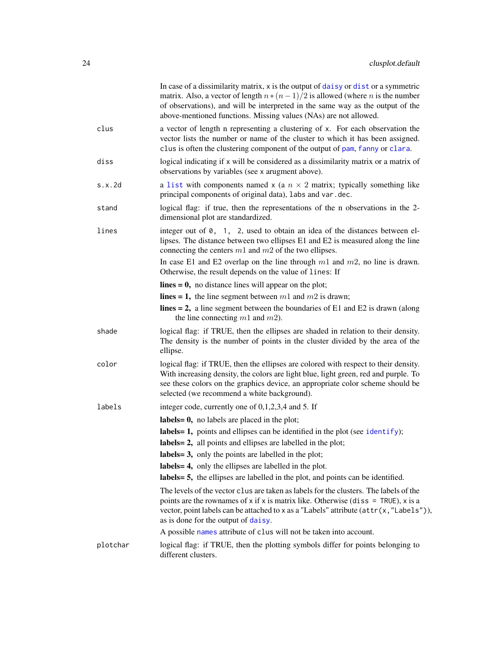|          | In case of a dissimilarity matrix, x is the output of daisy or dist or a symmetric<br>matrix. Also, a vector of length $n * (n-1)/2$ is allowed (where <i>n</i> is the number<br>of observations), and will be interpreted in the same way as the output of the<br>above-mentioned functions. Missing values (NAs) are not allowed. |
|----------|-------------------------------------------------------------------------------------------------------------------------------------------------------------------------------------------------------------------------------------------------------------------------------------------------------------------------------------|
| clus     | a vector of length n representing a clustering of x. For each observation the<br>vector lists the number or name of the cluster to which it has been assigned.<br>clus is often the clustering component of the output of pam, fanny or clara.                                                                                      |
| diss     | logical indicating if x will be considered as a dissimilarity matrix or a matrix of<br>observations by variables (see x arugment above).                                                                                                                                                                                            |
| s.x.2d   | a list with components named x (a $n \times 2$ matrix; typically something like<br>principal components of original data), labs and var.dec.                                                                                                                                                                                        |
| stand    | logical flag: if true, then the representations of the n observations in the 2-<br>dimensional plot are standardized.                                                                                                                                                                                                               |
| lines    | integer out of $\theta$ , 1, 2, used to obtain an idea of the distances between el-<br>lipses. The distance between two ellipses E1 and E2 is measured along the line<br>connecting the centers $m1$ and $m2$ of the two ellipses.                                                                                                  |
|          | In case E1 and E2 overlap on the line through $m1$ and $m2$ , no line is drawn.<br>Otherwise, the result depends on the value of lines: If                                                                                                                                                                                          |
|          | $lines = 0$ , no distance lines will appear on the plot;                                                                                                                                                                                                                                                                            |
|          | lines = 1, the line segment between $m1$ and $m2$ is drawn;                                                                                                                                                                                                                                                                         |
|          | lines = 2, a line segment between the boundaries of E1 and E2 is drawn (along<br>the line connecting $m1$ and $m2$ ).                                                                                                                                                                                                               |
| shade    | logical flag: if TRUE, then the ellipses are shaded in relation to their density.<br>The density is the number of points in the cluster divided by the area of the<br>ellipse.                                                                                                                                                      |
| color    | logical flag: if TRUE, then the ellipses are colored with respect to their density.<br>With increasing density, the colors are light blue, light green, red and purple. To<br>see these colors on the graphics device, an appropriate color scheme should be<br>selected (we recommend a white background).                         |
| labels   | integer code, currently one of $0,1,2,3,4$ and 5. If                                                                                                                                                                                                                                                                                |
|          | labels = $\theta$ , no labels are placed in the plot;                                                                                                                                                                                                                                                                               |
|          | labels = 1, points and ellipses can be identified in the plot (see identify);                                                                                                                                                                                                                                                       |
|          | labels = 2, all points and ellipses are labelled in the plot;                                                                                                                                                                                                                                                                       |
|          | labels = $3$ , only the points are labelled in the plot;                                                                                                                                                                                                                                                                            |
|          | labels = 4, only the ellipses are labelled in the plot.                                                                                                                                                                                                                                                                             |
|          | labels = 5, the ellipses are labelled in the plot, and points can be identified.                                                                                                                                                                                                                                                    |
|          | The levels of the vector clus are taken as labels for the clusters. The labels of the<br>points are the rownames of x if x is matrix like. Otherwise (diss = $TRUE$ ), x is a<br>vector, point labels can be attached to x as a "Labels" attribute ( $attr(x, "Labels"),$<br>as is done for the output of daisy.                    |
|          | A possible names attribute of clus will not be taken into account.                                                                                                                                                                                                                                                                  |
| plotchar | logical flag: if TRUE, then the plotting symbols differ for points belonging to<br>different clusters.                                                                                                                                                                                                                              |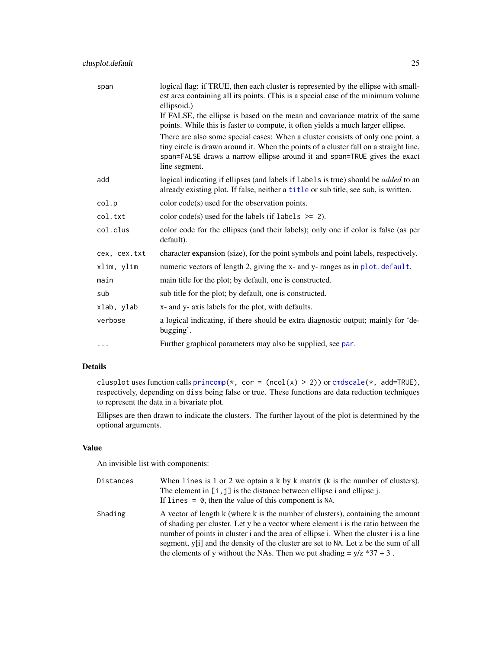| span         | logical flag: if TRUE, then each cluster is represented by the ellipse with small-<br>est area containing all its points. (This is a special case of the minimum volume<br>ellipsoid.)                                                                                 |
|--------------|------------------------------------------------------------------------------------------------------------------------------------------------------------------------------------------------------------------------------------------------------------------------|
|              | If FALSE, the ellipse is based on the mean and covariance matrix of the same<br>points. While this is faster to compute, it often yields a much larger ellipse.                                                                                                        |
|              | There are also some special cases: When a cluster consists of only one point, a<br>tiny circle is drawn around it. When the points of a cluster fall on a straight line,<br>span=FALSE draws a narrow ellipse around it and span=TRUE gives the exact<br>line segment. |
| add          | logical indicating if ellipses (and labels if labels is true) should be <i>added</i> to an<br>already existing plot. If false, neither a title or sub title, see sub, is written.                                                                                      |
| col.p        | color code(s) used for the observation points.                                                                                                                                                                                                                         |
| col.txt      | color code(s) used for the labels (if labels $\ge$ = 2).                                                                                                                                                                                                               |
| col.clus     | color code for the ellipses (and their labels); only one if color is false (as per<br>default).                                                                                                                                                                        |
| cex, cex.txt | character expansion (size), for the point symbols and point labels, respectively.                                                                                                                                                                                      |
| xlim, ylim   | numeric vectors of length 2, giving the x- and y- ranges as in plot. default.                                                                                                                                                                                          |
| main         | main title for the plot; by default, one is constructed.                                                                                                                                                                                                               |
| sub          | sub title for the plot; by default, one is constructed.                                                                                                                                                                                                                |
| xlab, ylab   | x- and y- axis labels for the plot, with defaults.                                                                                                                                                                                                                     |
| verbose      | a logical indicating, if there should be extra diagnostic output; mainly for 'de-<br>bugging'.                                                                                                                                                                         |
| $\cdots$     | Further graphical parameters may also be supplied, see par.                                                                                                                                                                                                            |

# Details

clusplot uses function calls  $\text{princomp}(*, \text{cor} = (\text{ncol}(x) > 2))$  or  $\text{cmdscale}(*, \text{ add}=TRUE)$ , respectively, depending on diss being false or true. These functions are data reduction techniques to represent the data in a bivariate plot.

Ellipses are then drawn to indicate the clusters. The further layout of the plot is determined by the optional arguments.

## Value

An invisible list with components:

| Distances | When lines is $1$ or $2$ we optain a k by k matrix (k is the number of clusters).<br>The element in $[i, j]$ is the distance between ellipse i and ellipse i.<br>If lines $= 0$ , then the value of this component is NA.                                                                                                                                                                                                                  |
|-----------|--------------------------------------------------------------------------------------------------------------------------------------------------------------------------------------------------------------------------------------------------------------------------------------------------------------------------------------------------------------------------------------------------------------------------------------------|
| Shading   | A vector of length k (where k is the number of clusters), containing the amount<br>of shading per cluster. Let y be a vector where element i is the ratio between the<br>number of points in cluster i and the area of ellipse i. When the cluster i is a line<br>segment, y[i] and the density of the cluster are set to NA. Let z be the sum of all<br>the elements of y without the NAs. Then we put shading $= \frac{y}{z} * 37 + 3$ . |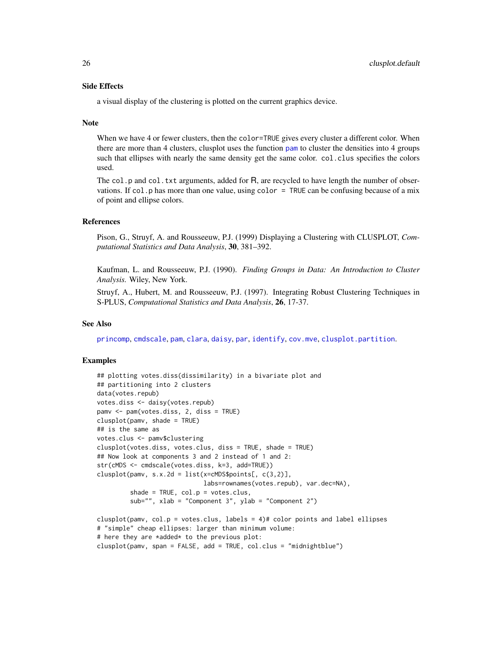#### Side Effects

a visual display of the clustering is plotted on the current graphics device.

#### Note

When we have 4 or fewer clusters, then the color=TRUE gives every cluster a different color. When there are more than 4 clusters, clusplot uses the function [pam](#page-44-1) to cluster the densities into 4 groups such that ellipses with nearly the same density get the same color. col.clus specifies the colors used.

The col.p and col.txt arguments, added for  $R$ , are recycled to have length the number of observations. If col.p has more than one value, using color  $=$  TRUE can be confusing because of a mix of point and ellipse colors.

#### References

Pison, G., Struyf, A. and Rousseeuw, P.J. (1999) Displaying a Clustering with CLUSPLOT, *Computational Statistics and Data Analysis*, 30, 381–392.

Kaufman, L. and Rousseeuw, P.J. (1990). *Finding Groups in Data: An Introduction to Cluster Analysis.* Wiley, New York.

Struyf, A., Hubert, M. and Rousseeuw, P.J. (1997). Integrating Robust Clustering Techniques in S-PLUS, *Computational Statistics and Data Analysis*, 26, 17-37.

### See Also

[princomp](#page-0-0), [cmdscale](#page-0-0), [pam](#page-44-1), [clara](#page-12-1), [daisy](#page-27-1), [par](#page-0-0), [identify](#page-0-0), [cov.mve](#page-0-0), [clusplot.partition](#page-20-2).

#### Examples

```
## plotting votes.diss(dissimilarity) in a bivariate plot and
## partitioning into 2 clusters
data(votes.repub)
votes.diss <- daisy(votes.repub)
pamv <- pam(votes.diss, 2, diss = TRUE)
clusplot(pamv, shade = TRUE)
## is the same as
votes.clus <- pamv$clustering
clusplot(votes.diss, votes.clus, diss = TRUE, shade = TRUE)
## Now look at components 3 and 2 instead of 1 and 2:
str(cMDS <- cmdscale(votes.diss, k=3, add=TRUE))
clusplot(pamv, s.x.2d = list(x=cMDS$points[, c(3,2)],
                             labs=rownames(votes.repub), var.dec=NA),
         shade = TRUE, col.p = votes.clus,
         sub="", xlab = "Component 3", ylab = "Component 2")
clusplot(pamv, col.p = votes.class) labels = 4)# color points and label ellipses
# "simple" cheap ellipses: larger than minimum volume:
# here they are *added* to the previous plot:
clusplot(pamv, span = FALSE, add = TRUE, col.clus = "midnightblue")
```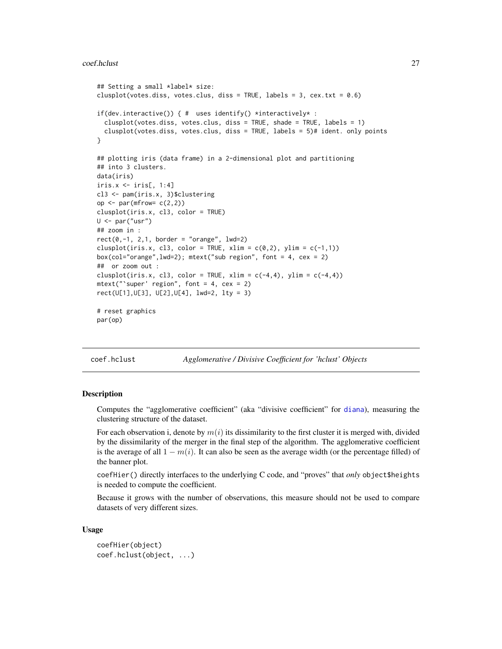```
## Setting a small *label* size:
clusplot(votes.diss, votes.clus, diss = TRUE, labels = 3, cex.txt = 0.6)
if(dev.interactive()) { # uses identify() *interactively* :
 clusplot(votes.diss, votes.clus, diss = TRUE, shade = TRUE, labels = 1)
 clusplot(votes.diss, votes.clus, diss = TRUE, labels = 5)# ident. only points
}
## plotting iris (data frame) in a 2-dimensional plot and partitioning
## into 3 clusters.
data(iris)
iris.x <- iris[, 1:4]
cl3 <- pam(iris.x, 3)$clustering
op \leq par(mfrow= c(2,2))
clusplot(iris.x, cl3, color = TRUE)
U <- par("usr")
## zoom in :
rect(0,-1, 2,1, border = "orange", lwd=2)clusplot(iris.x, cl3, color = TRUE, xlim = c(0,2), ylim = c(-1,1))
box(col="orange",lwd=2); mtext("sub region", font = 4, cex = 2)
## or zoom out :
clusplot(iris.x, cl3, color = TRUE, xlim = c(-4,4), ylim = c(-4,4))
mtext{text("super' region", font = 4, cex = 2)}rect(U[1],U[3], U[2],U[4], lwd=2, lty = 3)
# reset graphics
par(op)
```
coef.hclust *Agglomerative / Divisive Coefficient for 'hclust' Objects*

#### **Description**

Computes the "agglomerative coefficient" (aka "divisive coefficient" for [diana](#page-31-1)), measuring the clustering structure of the dataset.

For each observation i, denote by  $m(i)$  its dissimilarity to the first cluster it is merged with, divided by the dissimilarity of the merger in the final step of the algorithm. The agglomerative coefficient is the average of all  $1 - m(i)$ . It can also be seen as the average width (or the percentage filled) of the banner plot.

coefHier() directly interfaces to the underlying C code, and "proves" that *only* object\$heights is needed to compute the coefficient.

Because it grows with the number of observations, this measure should not be used to compare datasets of very different sizes.

#### Usage

coefHier(object) coef.hclust(object, ...)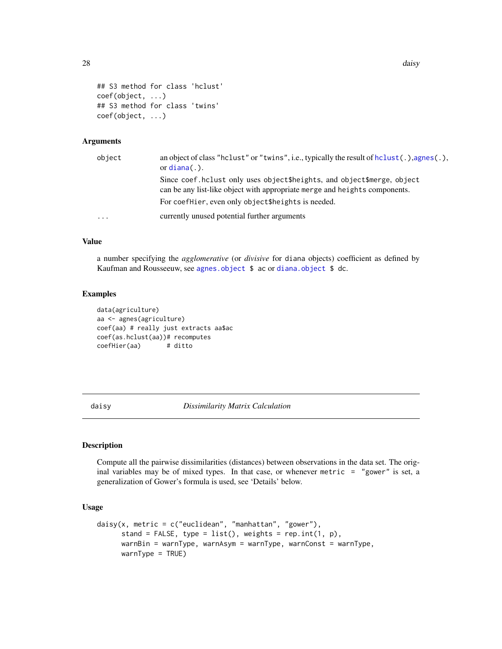```
28 daisy and the contract of the contract of the contract of the contract of the contract of the contract of the contract of the contract of the contract of the contract of the contract of the contract of the contract of t
```

```
## S3 method for class 'hclust'
coef(object, ...)
## S3 method for class 'twins'
coef(object, ...)
```
# Arguments

| object   | an object of class "helust" or "twins", i.e., typically the result of helust(.), agnes(.),<br>or $diana(.)$ .                                        |
|----------|------------------------------------------------------------------------------------------------------------------------------------------------------|
|          | Since coef.hclust only uses object\$heights, and object\$merge, object<br>can be any list-like object with appropriate merge and heights components. |
|          | For coefhier, even only object theights is needed.                                                                                                   |
| $\cdots$ | currently unused potential further arguments                                                                                                         |

#### Value

a number specifying the *agglomerative* (or *divisive* for diana objects) coefficient as defined by Kaufman and Rousseeuw, see [agnes.object](#page-6-1) \$ ac or [diana.object](#page-31-2) \$ dc.

#### Examples

```
data(agriculture)
aa <- agnes(agriculture)
coef(aa) # really just extracts aa$ac
coef(as.hclust(aa))# recomputes
coefHier(aa) # ditto
```
<span id="page-27-1"></span>daisy *Dissimilarity Matrix Calculation*

# Description

Compute all the pairwise dissimilarities (distances) between observations in the data set. The original variables may be of mixed types. In that case, or whenever metric  $=$  "gower" is set, a generalization of Gower's formula is used, see 'Details' below.

#### Usage

```
daisy(x, metric = c("euclidean", "manhattan", "gower"),
     stand = FALSE, type = list(), weights = rep.int(1, p),
     warnBin = warnType, warnAsym = warnType, warnConst = warnType,
     warnype = TRUE)
```
<span id="page-27-0"></span>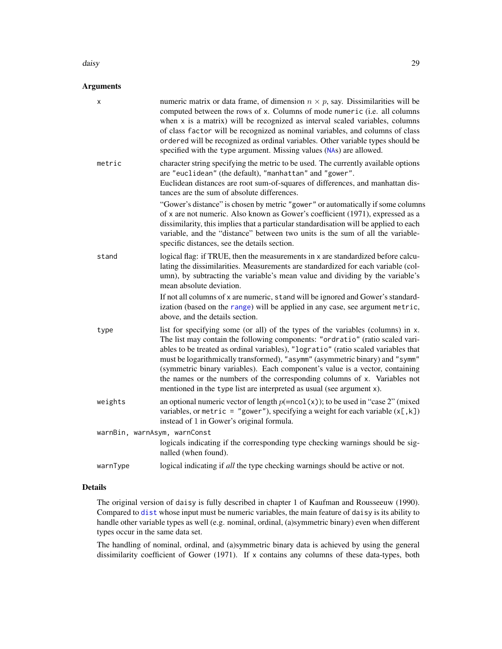#### daisy 29

# Arguments

| x                            | numeric matrix or data frame, of dimension $n \times p$ , say. Dissimilarities will be<br>computed between the rows of x. Columns of mode numeric (i.e. all columns<br>when x is a matrix) will be recognized as interval scaled variables, columns<br>of class factor will be recognized as nominal variables, and columns of class<br>ordered will be recognized as ordinal variables. Other variable types should be<br>specified with the type argument. Missing values (NAs) are allowed.                                                                               |
|------------------------------|------------------------------------------------------------------------------------------------------------------------------------------------------------------------------------------------------------------------------------------------------------------------------------------------------------------------------------------------------------------------------------------------------------------------------------------------------------------------------------------------------------------------------------------------------------------------------|
| metric                       | character string specifying the metric to be used. The currently available options<br>are "euclidean" (the default), "manhattan" and "gower".<br>Euclidean distances are root sum-of-squares of differences, and manhattan dis-<br>tances are the sum of absolute differences.                                                                                                                                                                                                                                                                                               |
|                              | "Gower's distance" is chosen by metric "gower" or automatically if some columns<br>of x are not numeric. Also known as Gower's coefficient (1971), expressed as a<br>dissimilarity, this implies that a particular standardisation will be applied to each<br>variable, and the "distance" between two units is the sum of all the variable-<br>specific distances, see the details section.                                                                                                                                                                                 |
| stand                        | logical flag: if TRUE, then the measurements in x are standardized before calcu-<br>lating the dissimilarities. Measurements are standardized for each variable (col-<br>umn), by subtracting the variable's mean value and dividing by the variable's<br>mean absolute deviation.                                                                                                                                                                                                                                                                                           |
|                              | If not all columns of x are numeric, stand will be ignored and Gower's standard-<br>ization (based on the range) will be applied in any case, see argument metric,<br>above, and the details section.                                                                                                                                                                                                                                                                                                                                                                        |
| type                         | list for specifying some (or all) of the types of the variables (columns) in x.<br>The list may contain the following components: "ordratio" (ratio scaled vari-<br>ables to be treated as ordinal variables), "logratio" (ratio scaled variables that<br>must be logarithmically transformed), "asymm" (asymmetric binary) and "symm"<br>(symmetric binary variables). Each component's value is a vector, containing<br>the names or the numbers of the corresponding columns of x. Variables not<br>mentioned in the type list are interpreted as usual (see argument x). |
| weights                      | an optional numeric vector of length $p(=\text{ncol}(x))$ ; to be used in "case 2" (mixed<br>variables, or metric = "gower"), specifying a weight for each variable $(x[, k])$<br>instead of 1 in Gower's original formula.                                                                                                                                                                                                                                                                                                                                                  |
| warnBin, warnAsym, warnConst |                                                                                                                                                                                                                                                                                                                                                                                                                                                                                                                                                                              |
|                              | logicals indicating if the corresponding type checking warnings should be sig-<br>nalled (when found).                                                                                                                                                                                                                                                                                                                                                                                                                                                                       |
| warnType                     | logical indicating if all the type checking warnings should be active or not.                                                                                                                                                                                                                                                                                                                                                                                                                                                                                                |

# Details

The original version of daisy is fully described in chapter 1 of Kaufman and Rousseeuw (1990). Compared to [dist](#page-0-0) whose input must be numeric variables, the main feature of daisy is its ability to handle other variable types as well (e.g. nominal, ordinal, (a)symmetric binary) even when different types occur in the same data set.

The handling of nominal, ordinal, and (a)symmetric binary data is achieved by using the general dissimilarity coefficient of Gower (1971). If x contains any columns of these data-types, both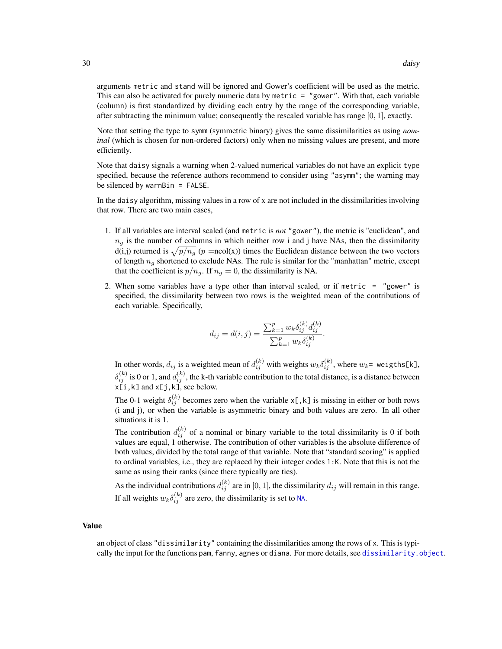arguments metric and stand will be ignored and Gower's coefficient will be used as the metric. This can also be activated for purely numeric data by metric = "gower". With that, each variable (column) is first standardized by dividing each entry by the range of the corresponding variable, after subtracting the minimum value; consequently the rescaled variable has range  $[0, 1]$ , exactly.

Note that setting the type to symm (symmetric binary) gives the same dissimilarities as using *nominal* (which is chosen for non-ordered factors) only when no missing values are present, and more efficiently.

Note that daisy signals a warning when 2-valued numerical variables do not have an explicit type specified, because the reference authors recommend to consider using "asymm"; the warning may be silenced by warnBin = FALSE.

In the daisy algorithm, missing values in a row of x are not included in the dissimilarities involving that row. There are two main cases,

- 1. If all variables are interval scaled (and metric is *not* "gower"), the metric is "euclidean", and  $n<sub>g</sub>$  is the number of columns in which neither row i and j have NAs, then the dissimilarity d(i,j) returned is  $\sqrt{p/n_g}$  (p =ncol(x)) times the Euclidean distance between the two vectors of length  $n_q$  shortened to exclude NAs. The rule is similar for the "manhattan" metric, except that the coefficient is  $p/n<sub>g</sub>$ . If  $n<sub>g</sub> = 0$ , the dissimilarity is NA.
- 2. When some variables have a type other than interval scaled, or if metric = "gower" is specified, the dissimilarity between two rows is the weighted mean of the contributions of each variable. Specifically,

$$
d_{ij} = d(i,j) = \frac{\sum_{k=1}^{p} w_k \delta_{ij}^{(k)} d_{ij}^{(k)}}{\sum_{k=1}^{p} w_k \delta_{ij}^{(k)}}.
$$

In other words,  $d_{ij}$  is a weighted mean of  $d_{ij}^{(k)}$  with weights  $w_k\delta_{ij}^{(k)}$ , where  $w_k$ = weigths[k],  $\delta_{ij}^{(k)}$  is 0 or 1, and  $d_{ij}^{(k)}$ , the k-th variable contribution to the total distance, is a distance between  $x[i, k]$  and  $x[j, k]$ , see below.

The 0-1 weight  $\delta_{ij}^{(k)}$  becomes zero when the variable x[, k] is missing in either or both rows (i and j), or when the variable is asymmetric binary and both values are zero. In all other situations it is 1.

The contribution  $d_{ij}^{(k)}$  of a nominal or binary variable to the total dissimilarity is 0 if both values are equal, 1 otherwise. The contribution of other variables is the absolute difference of both values, divided by the total range of that variable. Note that "standard scoring" is applied to ordinal variables, i.e., they are replaced by their integer codes 1:K. Note that this is not the same as using their ranks (since there typically are ties).

As the individual contributions  $d_{ij}^{(k)}$  are in [0, 1], the dissimilarity  $d_{ij}$  will remain in this range. If all weights  $w_k \delta_{ij}^{(k)}$  are zero, the dissimilarity is set to [NA](#page-0-0).

#### Value

an object of class "dissimilarity" containing the dissimilarities among the rows of x. This is typically the input for the functions pam, fanny, agnes or diana. For more details, see [dissimilarity.object](#page-33-1).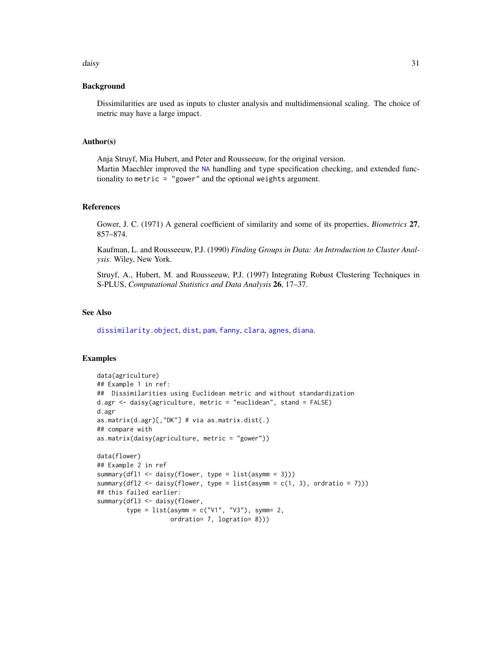#### daisy 31

#### Background

Dissimilarities are used as inputs to cluster analysis and multidimensional scaling. The choice of metric may have a large impact.

#### Author(s)

Anja Struyf, Mia Hubert, and Peter and Rousseeuw, for the original version. Martin Maechler improved the [NA](#page-0-0) handling and type specification checking, and extended functionality to metric = "gower" and the optional weights argument.

#### References

Gower, J. C. (1971) A general coefficient of similarity and some of its properties, *Biometrics* 27, 857–874.

Kaufman, L. and Rousseeuw, P.J. (1990) *Finding Groups in Data: An Introduction to Cluster Analysis*. Wiley, New York.

Struyf, A., Hubert, M. and Rousseeuw, P.J. (1997) Integrating Robust Clustering Techniques in S-PLUS, *Computational Statistics and Data Analysis* 26, 17–37.

#### See Also

[dissimilarity.object](#page-33-1), [dist](#page-0-0), [pam](#page-44-1), [fanny](#page-36-1), [clara](#page-12-1), [agnes](#page-2-1), [diana](#page-31-1).

#### Examples

```
data(agriculture)
## Example 1 in ref:
## Dissimilarities using Euclidean metric and without standardization
d.agr <- daisy(agriculture, metric = "euclidean", stand = FALSE)
d.agr
as.matrix(d.agr)[,"DK"] # via as.matrix.dist(.)
## compare with
as.matrix(daisy(agriculture, metric = "gower"))
data(flower)
## Example 2 in ref
summary(dfl1 <- daisy(flower, type = list(asymm = 3)))
summary(dfl2 <- daisy(flower, type = list(asymm = c(1, 3), ordratio = 7)))
## this failed earlier:
summary(dfl3 <- daisy(flower,
        type = list(asymm = c("V1", "V3"), symm= 2,
                    ordratio= 7, logratio= 8)))
```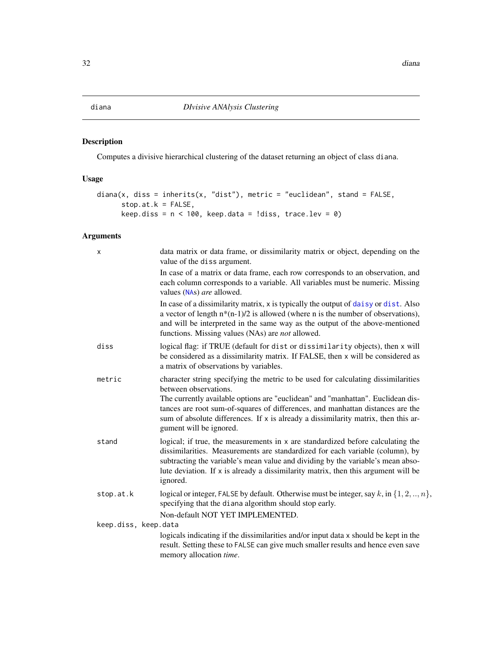# <span id="page-31-2"></span><span id="page-31-1"></span><span id="page-31-0"></span>Description

Computes a divisive hierarchical clustering of the dataset returning an object of class diana.

# Usage

```
diana(x, diss = inherits(x, "dist"), metric = "euclidean", stand = FALSE,
     stop.at.k = FALSE,
     keep.diss = n < 100, keep.data = !diss, trace.lev = 0)
```
# Arguments

| X                    | data matrix or data frame, or dissimilarity matrix or object, depending on the<br>value of the diss argument.                                                                                                                                                                                                                                                                                    |
|----------------------|--------------------------------------------------------------------------------------------------------------------------------------------------------------------------------------------------------------------------------------------------------------------------------------------------------------------------------------------------------------------------------------------------|
|                      | In case of a matrix or data frame, each row corresponds to an observation, and<br>each column corresponds to a variable. All variables must be numeric. Missing<br>values (NAs) are allowed.                                                                                                                                                                                                     |
|                      | In case of a dissimilarity matrix, x is typically the output of daisy or dist. Also<br>a vector of length $n*(n-1)/2$ is allowed (where n is the number of observations),<br>and will be interpreted in the same way as the output of the above-mentioned<br>functions. Missing values (NAs) are <i>not</i> allowed.                                                                             |
| diss                 | logical flag: if TRUE (default for dist or dissimilarity objects), then x will<br>be considered as a dissimilarity matrix. If FALSE, then x will be considered as<br>a matrix of observations by variables.                                                                                                                                                                                      |
| metric               | character string specifying the metric to be used for calculating dissimilarities<br>between observations.<br>The currently available options are "euclidean" and "manhattan". Euclidean dis-<br>tances are root sum-of-squares of differences, and manhattan distances are the<br>sum of absolute differences. If x is already a dissimilarity matrix, then this ar-<br>gument will be ignored. |
| stand                | logical; if true, the measurements in x are standardized before calculating the<br>dissimilarities. Measurements are standardized for each variable (column), by<br>subtracting the variable's mean value and dividing by the variable's mean abso-<br>lute deviation. If x is already a dissimilarity matrix, then this argument will be<br>ignored.                                            |
| stop.at.k            | logical or integer, FALSE by default. Otherwise must be integer, say k, in $\{1, 2, , n\}$ ,<br>specifying that the diana algorithm should stop early.                                                                                                                                                                                                                                           |
| keep.diss, keep.data | Non-default NOT YET IMPLEMENTED.                                                                                                                                                                                                                                                                                                                                                                 |
|                      | logicals indicating if the dissimilarities and/or input data x should be kept in the<br>result. Setting these to FALSE can give much smaller results and hence even save<br>memory allocation time.                                                                                                                                                                                              |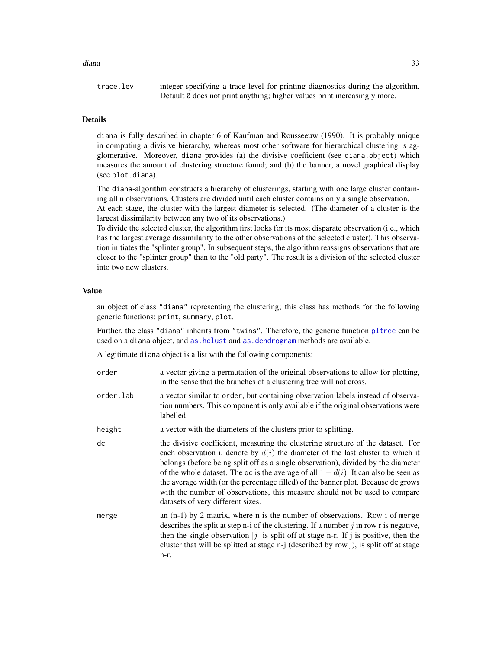#### diana 33

trace.lev integer specifying a trace level for printing diagnostics during the algorithm. Default 0 does not print anything; higher values print increasingly more.

#### Details

diana is fully described in chapter 6 of Kaufman and Rousseeuw (1990). It is probably unique in computing a divisive hierarchy, whereas most other software for hierarchical clustering is agglomerative. Moreover, diana provides (a) the divisive coefficient (see diana.object) which measures the amount of clustering structure found; and (b) the banner, a novel graphical display (see plot.diana).

The diana-algorithm constructs a hierarchy of clusterings, starting with one large cluster containing all n observations. Clusters are divided until each cluster contains only a single observation.

At each stage, the cluster with the largest diameter is selected. (The diameter of a cluster is the largest dissimilarity between any two of its observations.)

To divide the selected cluster, the algorithm first looks for its most disparate observation (i.e., which has the largest average dissimilarity to the other observations of the selected cluster). This observation initiates the "splinter group". In subsequent steps, the algorithm reassigns observations that are closer to the "splinter group" than to the "old party". The result is a division of the selected cluster into two new clusters.

#### Value

an object of class "diana" representing the clustering; this class has methods for the following generic functions: print, summary, plot.

Further, the class "diana" inherits from "twins". Therefore, the generic function [pltree](#page-59-1) can be used on a diana object, and [as.hclust](#page-0-0) and [as.dendrogram](#page-0-0) methods are available.

A legitimate diana object is a list with the following components:

| order     | a vector giving a permutation of the original observations to allow for plotting,<br>in the sense that the branches of a clustering tree will not cross.                                                                                                                                                                                                                                                                                                                                                                                                      |
|-----------|---------------------------------------------------------------------------------------------------------------------------------------------------------------------------------------------------------------------------------------------------------------------------------------------------------------------------------------------------------------------------------------------------------------------------------------------------------------------------------------------------------------------------------------------------------------|
| order.lab | a vector similar to order, but containing observation labels instead of observa-<br>tion numbers. This component is only available if the original observations were<br>labelled.                                                                                                                                                                                                                                                                                                                                                                             |
| height    | a vector with the diameters of the clusters prior to splitting.                                                                                                                                                                                                                                                                                                                                                                                                                                                                                               |
| dc        | the divisive coefficient, measuring the clustering structure of the dataset. For<br>each observation i, denote by $d(i)$ the diameter of the last cluster to which it<br>belongs (before being split off as a single observation), divided by the diameter<br>of the whole dataset. The dc is the average of all $1 - d(i)$ . It can also be seen as<br>the average width (or the percentage filled) of the banner plot. Because dc grows<br>with the number of observations, this measure should not be used to compare<br>datasets of very different sizes. |
| merge     | an $(n-1)$ by 2 matrix, where n is the number of observations. Row i of merge<br>describes the split at step n-i of the clustering. If a number $j$ in row r is negative,<br>then the single observation $ j $ is split off at stage n-r. If j is positive, then the<br>cluster that will be splitted at stage n-j (described by row j), is split off at stage<br>n-r.                                                                                                                                                                                        |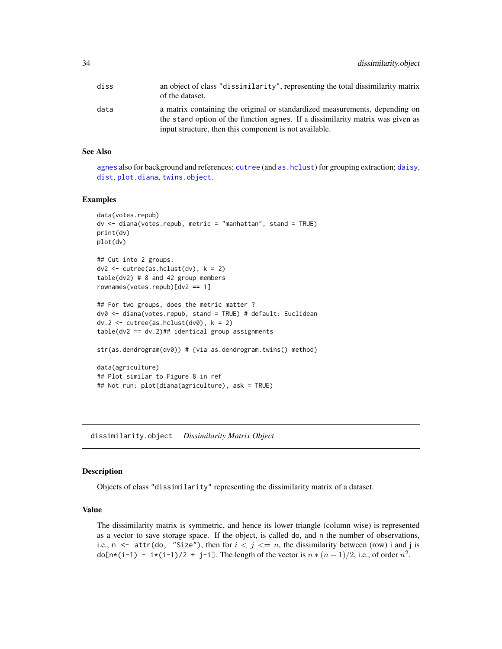<span id="page-33-0"></span>

| diss | an object of class "dissimilarity", representing the total dissimilarity matrix<br>of the dataset.                                                                                                                      |
|------|-------------------------------------------------------------------------------------------------------------------------------------------------------------------------------------------------------------------------|
| data | a matrix containing the original or standardized measurements, depending on<br>the stand option of the function agnes. If a dissimilarity matrix was given as<br>input structure, then this component is not available. |

#### See Also

[agnes](#page-2-1) also for background and references; [cutree](#page-0-0) (and [as.hclust](#page-0-0)) for grouping extraction; [daisy](#page-27-1), [dist](#page-0-0), [plot.diana](#page-54-1), [twins.object](#page-75-1).

#### Examples

```
data(votes.repub)
dv <- diana(votes.repub, metric = "manhattan", stand = TRUE)
print(dv)
plot(dv)
## Cut into 2 groups:
dv2 \leq cutree(as.hclust(dv), k = 2)table(dv2) # 8 and 42 group members
rownames(votes.repub)[dv2 == 1]
## For two groups, does the metric matter ?
dv0 <- diana(votes.repub, stand = TRUE) # default: Euclidean
dv.2 \leq cutree(as.hclust(dv0), k = 2)table(dv2 == dv.2)## identical group assignments
str(as.dendrogram(dv0)) # {via as.dendrogram.twins() method}
data(agriculture)
## Plot similar to Figure 8 in ref
## Not run: plot(diana(agriculture), ask = TRUE)
```
<span id="page-33-1"></span>dissimilarity.object *Dissimilarity Matrix Object*

#### Description

Objects of class "dissimilarity" representing the dissimilarity matrix of a dataset.

# Value

The dissimilarity matrix is symmetric, and hence its lower triangle (column wise) is represented as a vector to save storage space. If the object, is called do, and n the number of observations, i.e.,  $n \leq$  attr(do, "Size"), then for  $i \leq j \leq n$ , the dissimilarity between (row) i and j is do[n\*(i-1) - i\*(i-1)/2 + j-i]. The length of the vector is  $n * (n - 1)/2$ , i.e., of order  $n^2$ .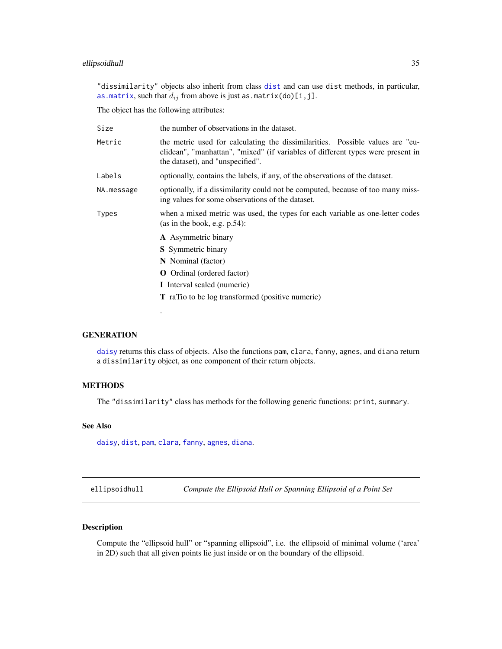# <span id="page-34-0"></span>ellipsoidhull 35

"dissimilarity" objects also inherit from class [dist](#page-0-0) and can use dist methods, in particular, [as.matrix](#page-0-0), such that  $d_{ij}$  from above is just as.matrix(do)[i,j].

The object has the following attributes:

.

| Size       | the number of observations in the dataset.                                                                                                                                                           |
|------------|------------------------------------------------------------------------------------------------------------------------------------------------------------------------------------------------------|
| Metric     | the metric used for calculating the dissimilarities. Possible values are "eu-<br>clidean", "manhattan", "mixed" (if variables of different types were present in<br>the dataset), and "unspecified". |
| Labels     | optionally, contains the labels, if any, of the observations of the dataset.                                                                                                                         |
| NA.message | optionally, if a dissimilarity could not be computed, because of too many miss-<br>ing values for some observations of the dataset.                                                                  |
| Types      | when a mixed metric was used, the types for each variable as one-letter codes<br>(as in the book, e.g. $p.54$ ):                                                                                     |
|            | <b>A</b> Asymmetric binary                                                                                                                                                                           |
|            | <b>S</b> Symmetric binary                                                                                                                                                                            |
|            | N Nominal (factor)                                                                                                                                                                                   |
|            | <b>O</b> Ordinal (ordered factor)                                                                                                                                                                    |
|            | I Interval scaled (numeric)                                                                                                                                                                          |
|            | <b>T</b> raTio to be log transformed (positive numeric)                                                                                                                                              |
|            |                                                                                                                                                                                                      |

### **GENERATION**

[daisy](#page-27-1) returns this class of objects. Also the functions pam, clara, fanny, agnes, and diana return a dissimilarity object, as one component of their return objects.

# METHODS

The "dissimilarity" class has methods for the following generic functions: print, summary.

### See Also

[daisy](#page-27-1), [dist](#page-0-0), [pam](#page-44-1), [clara](#page-12-1), [fanny](#page-36-1), [agnes](#page-2-1), [diana](#page-31-1).

ellipsoidhull *Compute the Ellipsoid Hull or Spanning Ellipsoid of a Point Set*

# Description

Compute the "ellipsoid hull" or "spanning ellipsoid", i.e. the ellipsoid of minimal volume ('area' in 2D) such that all given points lie just inside or on the boundary of the ellipsoid.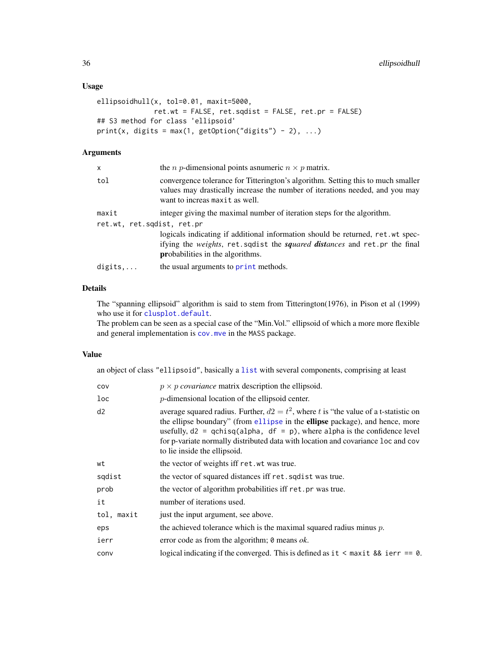# Usage

```
ellipsoidhull(x, tol=0.01, maxit=5000,
             ret.wt = FALSE, ret.sqdist = FALSE, ret.pr = FALSE)
## S3 method for class 'ellipsoid'
print(x, digits = max(1, getOption("digits") - 2), ...)
```
# Arguments

| x                          | the <i>n p</i> -dimensional points assumeric $n \times p$ matrix.                                                                                                                                                     |  |
|----------------------------|-----------------------------------------------------------------------------------------------------------------------------------------------------------------------------------------------------------------------|--|
| tol                        | convergence tolerance for Titterington's algorithm. Setting this to much smaller<br>values may drastically increase the number of iterations needed, and you may<br>want to increas maxit as well.                    |  |
| maxit                      | integer giving the maximal number of iteration steps for the algorithm.                                                                                                                                               |  |
| ret.wt, ret.sqdist, ret.pr |                                                                                                                                                                                                                       |  |
|                            | logicals indicating if additional information should be returned, ret.wt spec-<br>ifying the <i>weights</i> , ret.sqdist the <i>squared distances</i> and ret.pr the final<br><b>probabilities</b> in the algorithms. |  |
| digits                     | the usual arguments to print methods.                                                                                                                                                                                 |  |
|                            |                                                                                                                                                                                                                       |  |

# Details

The "spanning ellipsoid" algorithm is said to stem from Titterington(1976), in Pison et al (1999) who use it for [clusplot.default](#page-22-1).

The problem can be seen as a special case of the "Min.Vol." ellipsoid of which a more more flexible and general implementation is [cov.mve](#page-0-0) in the MASS package.

#### Value

an object of class "ellipsoid", basically a [list](#page-0-0) with several components, comprising at least

| cov        | $p \times p$ covariance matrix description the ellipsoid.                                                                                                                                                                                                                                                                                                                   |
|------------|-----------------------------------------------------------------------------------------------------------------------------------------------------------------------------------------------------------------------------------------------------------------------------------------------------------------------------------------------------------------------------|
| loc        | $p$ -dimensional location of the ellipsoid center.                                                                                                                                                                                                                                                                                                                          |
| d2         | average squared radius. Further, $d2 = t^2$ , where t is "the value of a t-statistic on<br>the ellipse boundary" (from ellipse in the ellipse package), and hence, more<br>usefully, $d2 = qchisq(alpha, df = p)$ , where alpha is the confidence level<br>for p-variate normally distributed data with location and covariance loc and cov<br>to lie inside the ellipsoid. |
| wt         | the vector of weights iff ret. wt was true.                                                                                                                                                                                                                                                                                                                                 |
| sqdist     | the vector of squared distances iff ret. squares true.                                                                                                                                                                                                                                                                                                                      |
| prob       | the vector of algorithm probabilities iff ret.pr was true.                                                                                                                                                                                                                                                                                                                  |
| it         | number of iterations used.                                                                                                                                                                                                                                                                                                                                                  |
| tol, maxit | just the input argument, see above.                                                                                                                                                                                                                                                                                                                                         |
| eps        | the achieved tolerance which is the maximal squared radius minus $p$ .                                                                                                                                                                                                                                                                                                      |
| ierr       | error code as from the algorithm; $\theta$ means <i>ok</i> .                                                                                                                                                                                                                                                                                                                |
| conv       | logical indicating if the converged. This is defined as it $\leq$ maxit && ierr == 0.                                                                                                                                                                                                                                                                                       |
|            |                                                                                                                                                                                                                                                                                                                                                                             |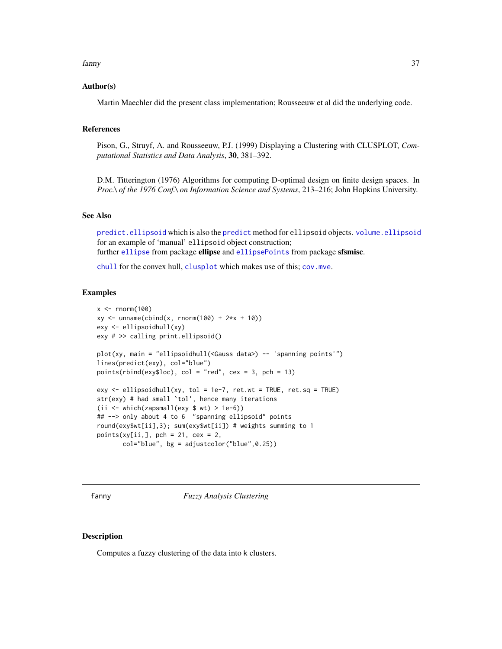#### fanny 37

### Author(s)

Martin Maechler did the present class implementation; Rousseeuw et al did the underlying code.

### References

Pison, G., Struyf, A. and Rousseeuw, P.J. (1999) Displaying a Clustering with CLUSPLOT, *Computational Statistics and Data Analysis*, 30, 381–392.

D.M. Titterington (1976) Algorithms for computing D-optimal design on finite design spaces. In *Proc.\ of the 1976 Conf.\ on Information Science and Systems*, 213–216; John Hopkins University.

# See Also

[predict.ellipsoid](#page-61-0) which is also the [predict](#page-0-0) method for ellipsoid objects. [volume.ellipsoid](#page-75-0) for an example of 'manual' ellipsoid object construction; further [ellipse](#page-0-0) from package ellipse and [ellipsePoints](#page-0-0) from package sfsmisc.

[chull](#page-0-0) for the convex hull, [clusplot](#page-20-0) which makes use of this; [cov.mve](#page-0-0).

### Examples

```
x \le - rnorm(100)xy \le - unname(cbind(x, rnorm(100) + 2*x + 10))
exy <- ellipsoidhull(xy)
exy # >> calling print.ellipsoid()
plot(xy, main = "ellipsoidhull(<Gauss data>) -- 'spanning points'")
lines(predict(exy), col="blue")
points(rbind(exy$loc), col = "red", cex = 3, pch = 13)exy \le ellipsoidhull(xy, tol = 1e-7, ret.wt = TRUE, ret.sq = TRUE)
str(exy) # had small `tol', hence many iterations
(ii <- which(zapsmall(exy $ wt) > 1e-6))
## --> only about 4 to 6 "spanning ellipsoid" points
round(exy$wt[ii],3); sum(exy$wt[ii]) # weights summing to 1
points(xy[ii,], pch = 21, cex = 2,col="blue", bg = adjustcolor("blue", 0.25))
```
<span id="page-36-0"></span>fanny *Fuzzy Analysis Clustering*

### **Description**

Computes a fuzzy clustering of the data into k clusters.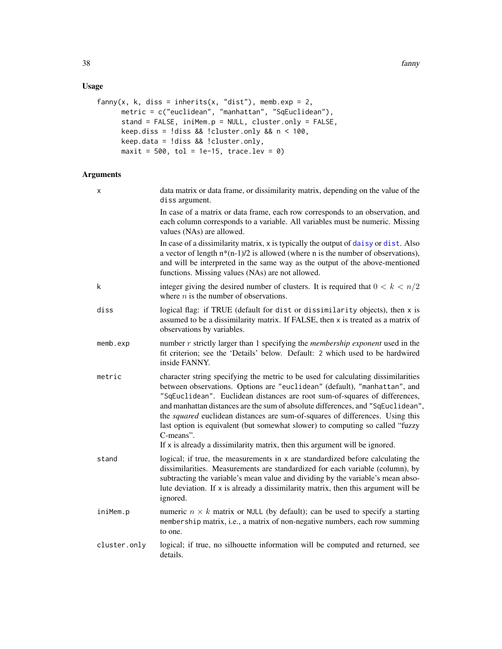# Usage

```
fanny(x, k, diss = inherits(x, "dist"), memb.exp = 2,
     metric = c("euclidean", "manhattan", "SqEuclidean"),
     stand = FALSE, iniMem.p = NULL, cluster.only = FALSE,
     keep.diss = !diss && !cluster-only && n < 100,
     keep.data = !diss && !cluster.only,
     maxit = 500, tol = 1e-15, trace.lev = 0)
```
# Arguments

| х            | data matrix or data frame, or dissimilarity matrix, depending on the value of the<br>diss argument.                                                                                                                                                                                                                                                                                                                                                                                                                                                                                                    |
|--------------|--------------------------------------------------------------------------------------------------------------------------------------------------------------------------------------------------------------------------------------------------------------------------------------------------------------------------------------------------------------------------------------------------------------------------------------------------------------------------------------------------------------------------------------------------------------------------------------------------------|
|              | In case of a matrix or data frame, each row corresponds to an observation, and<br>each column corresponds to a variable. All variables must be numeric. Missing<br>values (NAs) are allowed.                                                                                                                                                                                                                                                                                                                                                                                                           |
|              | In case of a dissimilarity matrix, x is typically the output of daisy or dist. Also<br>a vector of length $n*(n-1)/2$ is allowed (where n is the number of observations),<br>and will be interpreted in the same way as the output of the above-mentioned<br>functions. Missing values (NAs) are not allowed.                                                                                                                                                                                                                                                                                          |
| k            | integer giving the desired number of clusters. It is required that $0 < k < n/2$<br>where $n$ is the number of observations.                                                                                                                                                                                                                                                                                                                                                                                                                                                                           |
| diss         | logical flag: if TRUE (default for dist or dissimilarity objects), then x is<br>assumed to be a dissimilarity matrix. If FALSE, then x is treated as a matrix of<br>observations by variables.                                                                                                                                                                                                                                                                                                                                                                                                         |
| memb.exp     | number $r$ strictly larger than 1 specifying the <i>membership exponent</i> used in the<br>fit criterion; see the 'Details' below. Default: 2 which used to be hardwired<br>inside FANNY.                                                                                                                                                                                                                                                                                                                                                                                                              |
| metric       | character string specifying the metric to be used for calculating dissimilarities<br>between observations. Options are "euclidean" (default), "manhattan", and<br>"SqEuclidean". Euclidean distances are root sum-of-squares of differences,<br>and manhattan distances are the sum of absolute differences, and "SqEuclidean",<br>the <i>squared</i> euclidean distances are sum-of-squares of differences. Using this<br>last option is equivalent (but somewhat slower) to computing so called "fuzzy<br>C-means".<br>If $x$ is already a dissimilarity matrix, then this argument will be ignored. |
| stand        | logical; if true, the measurements in x are standardized before calculating the<br>dissimilarities. Measurements are standardized for each variable (column), by<br>subtracting the variable's mean value and dividing by the variable's mean abso-<br>lute deviation. If $x$ is already a dissimilarity matrix, then this argument will be<br>ignored.                                                                                                                                                                                                                                                |
| iniMem.p     | numeric $n \times k$ matrix or NULL (by default); can be used to specify a starting<br>membership matrix, i.e., a matrix of non-negative numbers, each row summing<br>to one.                                                                                                                                                                                                                                                                                                                                                                                                                          |
| cluster.only | logical; if true, no silhouette information will be computed and returned, see<br>details.                                                                                                                                                                                                                                                                                                                                                                                                                                                                                                             |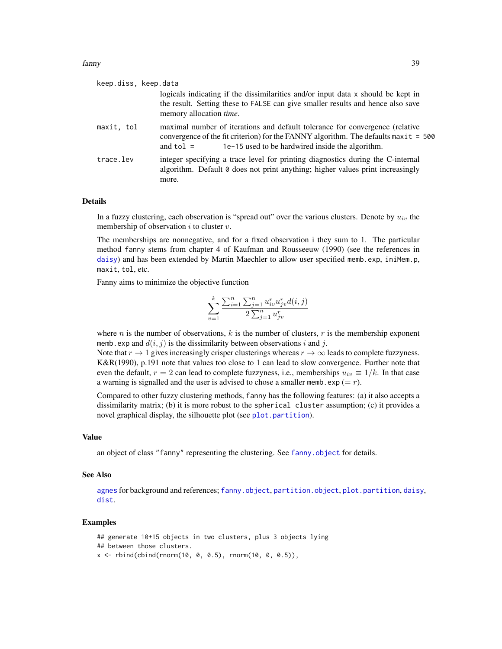| keep.diss, keep.data |                                                                                                                                                                                                                                          |
|----------------------|------------------------------------------------------------------------------------------------------------------------------------------------------------------------------------------------------------------------------------------|
|                      | logicals indicating if the dissimilarities and/or input data x should be kept in<br>the result. Setting these to FALSE can give smaller results and hence also save<br>memory allocation <i>time</i> .                                   |
| maxit, tol           | maximal number of iterations and default tolerance for convergence (relative<br>convergence of the fit criterion) for the FANNY algorithm. The defaults $maxit = 500$<br>1e-15 used to be hardwired inside the algorithm.<br>and $tol =$ |
| trace.lev            | integer specifying a trace level for printing diagnostics during the C-internal<br>algorithm. Default 0 does not print anything; higher values print increasingly<br>more.                                                               |

#### Details

In a fuzzy clustering, each observation is "spread out" over the various clusters. Denote by  $u_{iv}$  the membership of observation  $i$  to cluster  $v$ .

The memberships are nonnegative, and for a fixed observation i they sum to 1. The particular method fanny stems from chapter 4 of Kaufman and Rousseeuw (1990) (see the references in [daisy](#page-27-0)) and has been extended by Martin Maechler to allow user specified memb.exp, iniMem.p, maxit, tol, etc.

Fanny aims to minimize the objective function

$$
\sum_{v=1}^{k} \frac{\sum_{i=1}^{n} \sum_{j=1}^{n} u_{iv}^r u_{jv}^r d(i,j)}{2 \sum_{j=1}^{n} u_{jv}^r}
$$

where *n* is the number of observations, *k* is the number of clusters, *r* is the membership exponent memb.exp and  $d(i, j)$  is the dissimilarity between observations i and j.

Note that  $r \to 1$  gives increasingly crisper clusterings whereas  $r \to \infty$  leads to complete fuzzyness. K&R(1990), p.191 note that values too close to 1 can lead to slow convergence. Further note that even the default,  $r = 2$  can lead to complete fuzzyness, i.e., memberships  $u_{iv} \equiv 1/k$ . In that case a warning is signalled and the user is advised to chose a smaller memb.exp  $(= r)$ .

Compared to other fuzzy clustering methods, fanny has the following features: (a) it also accepts a dissimilarity matrix; (b) it is more robust to the spherical cluster assumption; (c) it provides a novel graphical display, the silhouette plot (see [plot.partition](#page-57-0)).

### Value

an object of class "fanny" representing the clustering. See [fanny.object](#page-39-0) for details.

### See Also

[agnes](#page-2-0) for background and references; [fanny.object](#page-39-0), [partition.object](#page-49-0), [plot.partition](#page-57-0), [daisy](#page-27-0), [dist](#page-0-0).

### Examples

```
## generate 10+15 objects in two clusters, plus 3 objects lying
## between those clusters.
x \le rbind(cbind(rnorm(10, 0, 0.5), rnorm(10, 0, 0.5)),
```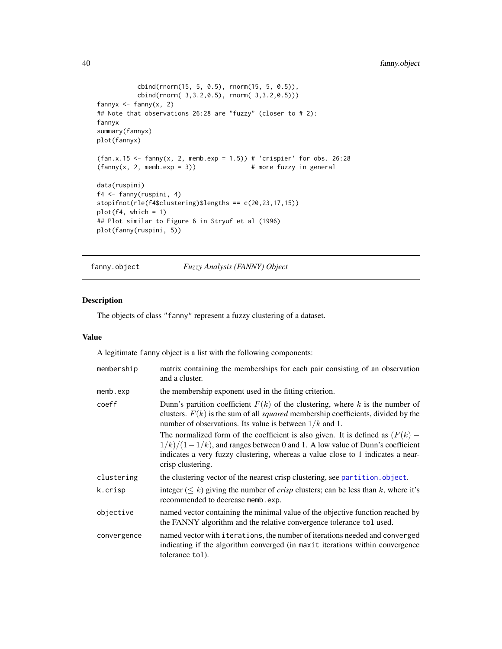```
cbind(rnorm(15, 5, 0.5), rnorm(15, 5, 0.5)),
          cbind(rnorm( 3,3.2,0.5), rnorm( 3,3.2,0.5)))
fannyx \leq fanny(x, 2)
## Note that observations 26:28 are "fuzzy" (closer to # 2):
fannyx
summary(fannyx)
plot(fannyx)
(fan.x.15 \leq fanny(x, 2, memb.exp = 1.5)) # 'crispier' for obs. 26:28
(fanny(x, 2, memb.exp = 3)) # more fuzzy in general
data(ruspini)
f4 <- fanny(ruspini, 4)
stopifnot(rle(f4$clustering)$lengths == c(20,23,17,15))
plot(f4, which = 1)## Plot similar to Figure 6 in Stryuf et al (1996)
plot(fanny(ruspini, 5))
```
<span id="page-39-0"></span>fanny.object *Fuzzy Analysis (FANNY) Object*

## Description

The objects of class "fanny" represent a fuzzy clustering of a dataset.

### Value

A legitimate fanny object is a list with the following components:

| membership  | matrix containing the memberships for each pair consisting of an observation<br>and a cluster.                                                                                                                                                                             |
|-------------|----------------------------------------------------------------------------------------------------------------------------------------------------------------------------------------------------------------------------------------------------------------------------|
| memb. exp   | the membership exponent used in the fitting criterion.                                                                                                                                                                                                                     |
| coeff       | Dunn's partition coefficient $F(k)$ of the clustering, where k is the number of<br>clusters. $F(k)$ is the sum of all <i>squared</i> membership coefficients, divided by the<br>number of observations. Its value is between $1/k$ and 1.                                  |
|             | The normalized form of the coefficient is also given. It is defined as $(F(k) -$<br>$1/k)/(1-1/k)$ , and ranges between 0 and 1. A low value of Dunn's coefficient<br>indicates a very fuzzy clustering, whereas a value close to 1 indicates a near-<br>crisp clustering. |
| clustering  | the clustering vector of the nearest crisp clustering, see partition.object.                                                                                                                                                                                               |
| k.crisp     | integer ( $\leq k$ ) giving the number of <i>crisp</i> clusters; can be less than k, where it's<br>recommended to decrease memb. exp.                                                                                                                                      |
| objective   | named vector containing the minimal value of the objective function reached by<br>the FANNY algorithm and the relative convergence tolerance tol used.                                                                                                                     |
| convergence | named vector with i terations, the number of iterations needed and converged<br>indicating if the algorithm converged (in maxit iterations within convergence<br>tolerance tol.                                                                                            |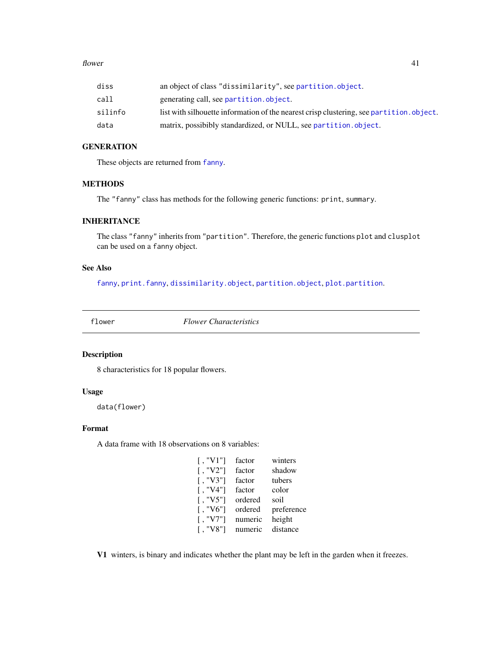#### flower that the set of the set of the set of the set of the set of the set of the set of the set of the set of the set of the set of the set of the set of the set of the set of the set of the set of the set of the set of t

| diss    | an object of class "dissimilarity", see partition.object.                               |
|---------|-----------------------------------------------------------------------------------------|
| call    | generating call, see partition. object.                                                 |
| silinfo | list with silhouette information of the nearest crisp clustering, see partition.object. |
| data    | matrix, possibibly standardized, or NULL, see partition.object.                         |

# **GENERATION**

These objects are returned from [fanny](#page-36-0).

## METHODS

The "fanny" class has methods for the following generic functions: print, summary.

# INHERITANCE

The class "fanny" inherits from "partition". Therefore, the generic functions plot and clusplot can be used on a fanny object.

# See Also

[fanny](#page-36-0), [print.fanny](#page-65-0), [dissimilarity.object](#page-33-0), [partition.object](#page-49-0), [plot.partition](#page-57-0).

flower *Flower Characteristics*

# Description

8 characteristics for 18 popular flowers.

### Usage

```
data(flower)
```
### Format

A data frame with 18 observations on 8 variables:

| $\lceil$ . "V1"] | factor  | winters    |
|------------------|---------|------------|
| $\lceil$ , "V2"] | factor  | shadow     |
| $\lceil$ , "V3"] | factor  | tubers     |
| $\lceil$ , "V4"] | factor  | color      |
| $\lceil$ , "V5"] | ordered | soil       |
| $\lceil$ . "V6"] | ordered | preference |
| "V7"]            | numeric | height     |
| "V8"]            | numeric | distance   |

V1 winters, is binary and indicates whether the plant may be left in the garden when it freezes.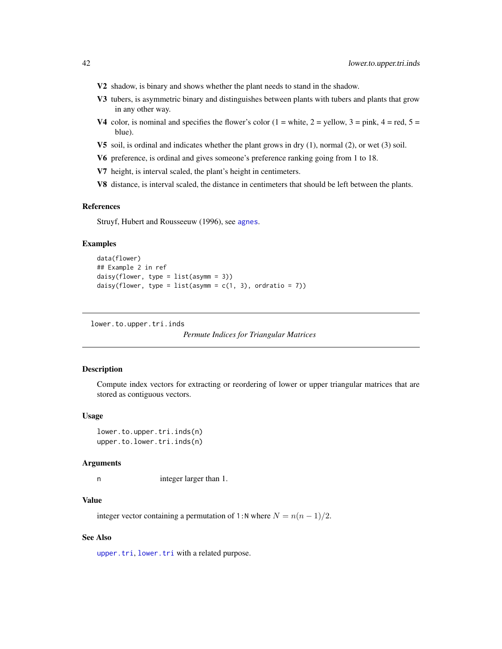- V2 shadow, is binary and shows whether the plant needs to stand in the shadow.
- V3 tubers, is asymmetric binary and distinguishes between plants with tubers and plants that grow in any other way.
- V4 color, is nominal and specifies the flower's color  $(1 = \text{white}, 2 = \text{yellow}, 3 = \text{pink}, 4 = \text{red}, 5 = \text{pink}$ blue).
- V5 soil, is ordinal and indicates whether the plant grows in dry (1), normal (2), or wet (3) soil.
- V6 preference, is ordinal and gives someone's preference ranking going from 1 to 18.
- V7 height, is interval scaled, the plant's height in centimeters.
- V8 distance, is interval scaled, the distance in centimeters that should be left between the plants.

#### References

Struyf, Hubert and Rousseeuw (1996), see [agnes](#page-2-0).

### Examples

```
data(flower)
## Example 2 in ref
daisy(flower, type = list(asymm = 3))
daisy(flower, type = list(asymm = c(1, 3), ordratio = 7))
```
lower.to.upper.tri.inds

```
Permute Indices for Triangular Matrices
```
## **Description**

Compute index vectors for extracting or reordering of lower or upper triangular matrices that are stored as contiguous vectors.

### Usage

lower.to.upper.tri.inds(n) upper.to.lower.tri.inds(n)

#### Arguments

n integer larger than 1.

## Value

integer vector containing a permutation of 1:N where  $N = n(n - 1)/2$ .

# See Also

[upper.tri](#page-0-0), [lower.tri](#page-0-0) with a related purpose.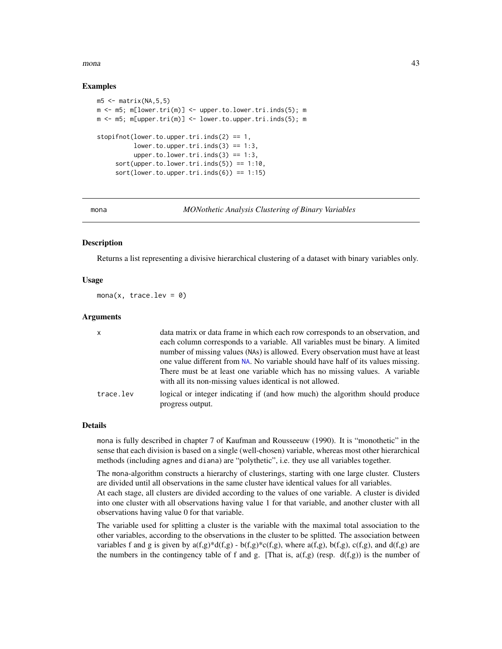#### $mona$  and  $43$

### Examples

```
m5 < - matrix(NA, 5, 5)
m \le -m5; m[lower.tri(m)] \le -upper.to.lower.tri.index(5); m
m \le -m5; m[upper.tri(m)] \le -1 ower.to.upper.tri.inds(5); m
stopifnot(lower.to.upper.tri.index(2) == 1,lower.to.upper.tri.inds(3) == 1:3,
          upper.to.lower.tri.inds(3) == 1:3,
     sort(upper.to.lower.tri.index(5)) == 1:10,sort(lower.to.upper.tri.index(6)) == 1:15)
```
<span id="page-42-0"></span>

mona *MONothetic Analysis Clustering of Binary Variables*

### **Description**

Returns a list representing a divisive hierarchical clustering of a dataset with binary variables only.

### Usage

mona(x, trace.lev =  $\theta$ )

#### Arguments

| $\mathsf{x}$ | data matrix or data frame in which each row corresponds to an observation, and                                                                                    |
|--------------|-------------------------------------------------------------------------------------------------------------------------------------------------------------------|
|              | each column corresponds to a variable. All variables must be binary. A limited<br>number of missing values (NAs) is allowed. Every observation must have at least |
|              | one value different from NA. No variable should have half of its values missing.                                                                                  |
|              | There must be at least one variable which has no missing values. A variable<br>with all its non-missing values identical is not allowed.                          |
| trace.lev    | logical or integer indicating if (and how much) the algorithm should produce<br>progress output.                                                                  |

#### Details

mona is fully described in chapter 7 of Kaufman and Rousseeuw (1990). It is "monothetic" in the sense that each division is based on a single (well-chosen) variable, whereas most other hierarchical methods (including agnes and diana) are "polythetic", i.e. they use all variables together.

The mona-algorithm constructs a hierarchy of clusterings, starting with one large cluster. Clusters are divided until all observations in the same cluster have identical values for all variables.

At each stage, all clusters are divided according to the values of one variable. A cluster is divided into one cluster with all observations having value 1 for that variable, and another cluster with all observations having value 0 for that variable.

The variable used for splitting a cluster is the variable with the maximal total association to the other variables, according to the observations in the cluster to be splitted. The association between variables f and g is given by  $a(f,g)^*d(f,g) - b(f,g)^*c(f,g)$ , where  $a(f,g)$ ,  $b(f,g)$ ,  $c(f,g)$ , and  $d(f,g)$  are the numbers in the contingency table of f and g. [That is,  $a(f,g)$  (resp.  $d(f,g)$ ) is the number of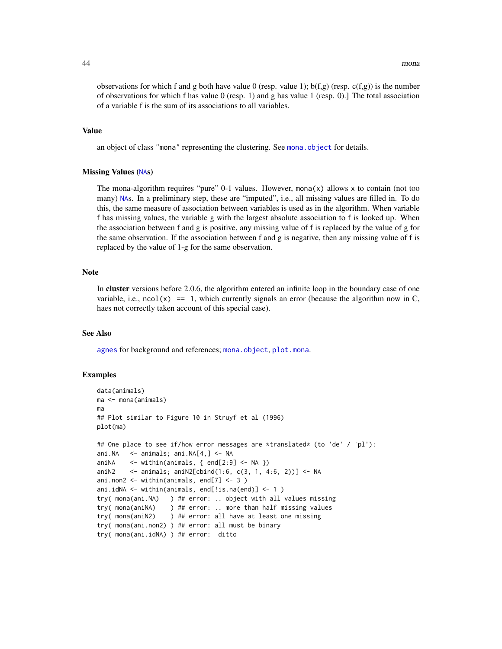observations for which f and g both have value 0 (resp. value 1);  $b(f,g)$  (resp.  $c(f,g)$ ) is the number of observations for which f has value 0 (resp. 1) and g has value 1 (resp. 0).] The total association of a variable f is the sum of its associations to all variables.

# Value

an object of class "mona" representing the clustering. See [mona.object](#page-44-0) for details.

#### Missing Values ([NA](#page-0-0)s)

The mona-algorithm requires "pure" 0-1 values. However, mona $(x)$  allows x to contain (not too many) [NA](#page-0-0)s. In a preliminary step, these are "imputed", i.e., all missing values are filled in. To do this, the same measure of association between variables is used as in the algorithm. When variable f has missing values, the variable g with the largest absolute association to f is looked up. When the association between f and g is positive, any missing value of f is replaced by the value of g for the same observation. If the association between f and g is negative, then any missing value of f is replaced by the value of 1-g for the same observation.

### **Note**

In cluster versions before 2.0.6, the algorithm entered an infinite loop in the boundary case of one variable, i.e.,  $ncol(x) = 1$ , which currently signals an error (because the algorithm now in C, haes not correctly taken account of this special case).

# See Also

[agnes](#page-2-0) for background and references; [mona.object](#page-44-0), [plot.mona](#page-56-0).

### Examples

```
data(animals)
ma <- mona(animals)
ma
## Plot similar to Figure 10 in Struyf et al (1996)
plot(ma)
## One place to see if/how error messages are *translated* (to 'de' / 'pl'):
ani.NA <- animals; ani.NA[4,] <- NA
aniNA \le within(animals, { end[2:9] \le NA })
aniN2 <- animals; aniN2[cbind(1:6, c(3, 1, 4:6, 2))] <- NA
ani.non2 <- within(animals, end[7] <- 3 )
ani.idNA <- within(animals, end[!is.na(end)] <- 1 )
try( mona(ani.NA) ) ## error: .. object with all values missing
try( mona(aniNA) ) ## error: .. more than half missing values
try( mona(aniN2) ) ## error: all have at least one missing
try( mona(ani.non2) ) ## error: all must be binary
try( mona(ani.idNA) ) ## error: ditto
```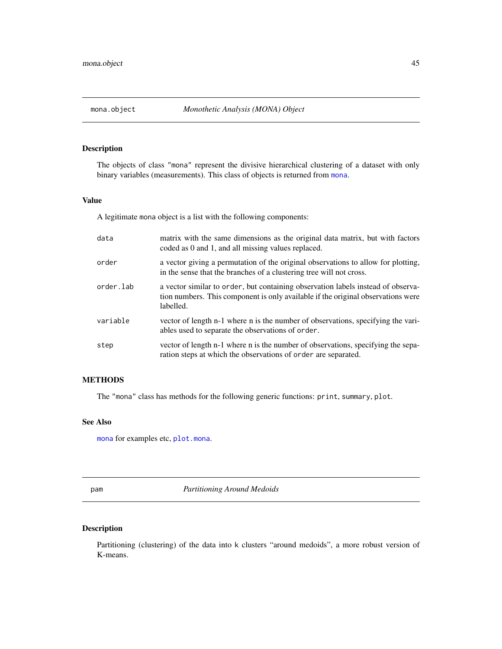<span id="page-44-0"></span>

# Description

The objects of class "mona" represent the divisive hierarchical clustering of a dataset with only binary variables (measurements). This class of objects is returned from [mona](#page-42-0).

# Value

A legitimate mona object is a list with the following components:

| data      | matrix with the same dimensions as the original data matrix, but with factors<br>coded as 0 and 1, and all missing values replaced.                                               |
|-----------|-----------------------------------------------------------------------------------------------------------------------------------------------------------------------------------|
| order     | a vector giving a permutation of the original observations to allow for plotting,<br>in the sense that the branches of a clustering tree will not cross.                          |
| order.lab | a vector similar to order, but containing observation labels instead of observa-<br>tion numbers. This component is only available if the original observations were<br>labelled. |
| variable  | vector of length n-1 where n is the number of observations, specifying the vari-<br>ables used to separate the observations of order.                                             |
| step      | vector of length n-1 where n is the number of observations, specifying the sepa-<br>ration steps at which the observations of order are separated.                                |

# METHODS

The "mona" class has methods for the following generic functions: print, summary, plot.

## See Also

[mona](#page-42-0) for examples etc, [plot.mona](#page-56-0).

<span id="page-44-1"></span>pam *Partitioning Around Medoids*

# Description

Partitioning (clustering) of the data into k clusters "around medoids", a more robust version of K-means.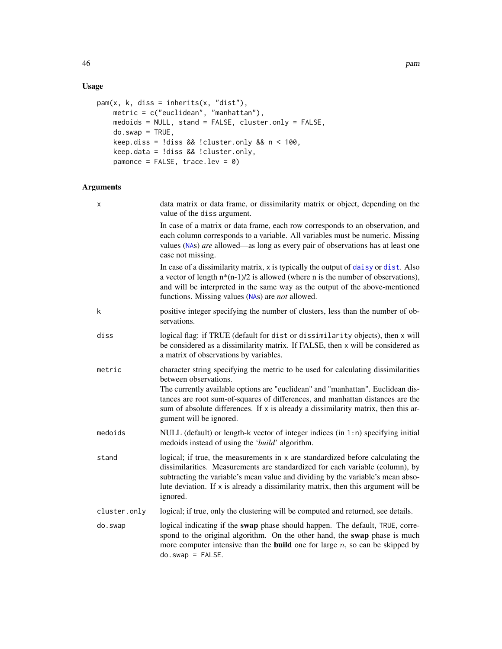# Usage

```
pam(x, k, diss = inherits(x, "dist"),
   metric = c("euclidean", "manhattan"),
   medoids = NULL, stand = FALSE, cluster.only = FALSE,
   do.sum = TRUE,keep.diss = !diss & !cluster.only & n < 100,
   keep.data = !diss && !cluster.only,
   pamonce = FALSE, trace.lev = 0)
```
# Arguments

| X            | data matrix or data frame, or dissimilarity matrix or object, depending on the<br>value of the diss argument.                                                                                                                                                                                                                                                                                    |
|--------------|--------------------------------------------------------------------------------------------------------------------------------------------------------------------------------------------------------------------------------------------------------------------------------------------------------------------------------------------------------------------------------------------------|
|              | In case of a matrix or data frame, each row corresponds to an observation, and<br>each column corresponds to a variable. All variables must be numeric. Missing<br>values (NAs) are allowed—as long as every pair of observations has at least one<br>case not missing.                                                                                                                          |
|              | In case of a dissimilarity matrix, x is typically the output of daisy or dist. Also<br>a vector of length $n*(n-1)/2$ is allowed (where n is the number of observations),<br>and will be interpreted in the same way as the output of the above-mentioned<br>functions. Missing values (NAs) are <i>not</i> allowed.                                                                             |
| k            | positive integer specifying the number of clusters, less than the number of ob-<br>servations.                                                                                                                                                                                                                                                                                                   |
| diss         | logical flag: if TRUE (default for dist or dissimilarity objects), then x will<br>be considered as a dissimilarity matrix. If FALSE, then x will be considered as<br>a matrix of observations by variables.                                                                                                                                                                                      |
| metric       | character string specifying the metric to be used for calculating dissimilarities<br>between observations.<br>The currently available options are "euclidean" and "manhattan". Euclidean dis-<br>tances are root sum-of-squares of differences, and manhattan distances are the<br>sum of absolute differences. If x is already a dissimilarity matrix, then this ar-<br>gument will be ignored. |
| medoids      | NULL (default) or length-k vector of integer indices (in 1:n) specifying initial<br>medoids instead of using the 'build' algorithm.                                                                                                                                                                                                                                                              |
| stand        | logical; if true, the measurements in x are standardized before calculating the<br>dissimilarities. Measurements are standardized for each variable (column), by<br>subtracting the variable's mean value and dividing by the variable's mean abso-<br>lute deviation. If $x$ is already a dissimilarity matrix, then this argument will be<br>ignored.                                          |
| cluster.only | logical; if true, only the clustering will be computed and returned, see details.                                                                                                                                                                                                                                                                                                                |
| do.swap      | logical indicating if the swap phase should happen. The default, TRUE, corre-<br>spond to the original algorithm. On the other hand, the swap phase is much<br>more computer intensive than the <b>build</b> one for large $n$ , so can be skipped by<br>$do.sum = FALSE.$                                                                                                                       |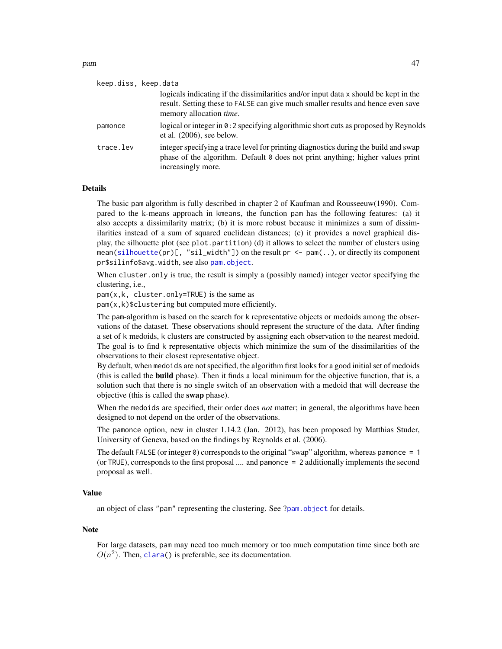keep.diss, keep.data

| keep.diss, keep.data |                                                                                                                                                                                                             |
|----------------------|-------------------------------------------------------------------------------------------------------------------------------------------------------------------------------------------------------------|
|                      | logicals indicating if the dissimilarities and/or input data x should be kept in the<br>result. Setting these to FALSE can give much smaller results and hence even save<br>memory allocation <i>time</i> . |
| pamonce              | logical or integer in $\theta$ : 2 specifying algorithmic short cuts as proposed by Reynolds<br>et al. $(2006)$ , see below.                                                                                |
| trace.lev            | integer specifying a trace level for printing diagnostics during the build and swap<br>phase of the algorithm. Default 0 does not print anything; higher values print<br>increasingly more.                 |

# Details

The basic pam algorithm is fully described in chapter 2 of Kaufman and Rousseeuw(1990). Compared to the k-means approach in kmeans, the function pam has the following features: (a) it also accepts a dissimilarity matrix; (b) it is more robust because it minimizes a sum of dissimilarities instead of a sum of squared euclidean distances; (c) it provides a novel graphical display, the silhouette plot (see plot.partition) (d) it allows to select the number of clusters using mean[\(silhouette\(](#page-67-0)pr)[, "sil\_width"]) on the result pr <- pam(..), or directly its component pr\$silinfo\$avg.width, see also [pam.object](#page-48-0).

When cluster.only is true, the result is simply a (possibly named) integer vector specifying the clustering, i.e.,

 $pam(x, k, cluster, only = TRUE)$  is the same as

pam(x,k)\$clustering but computed more efficiently.

The pam-algorithm is based on the search for k representative objects or medoids among the observations of the dataset. These observations should represent the structure of the data. After finding a set of k medoids, k clusters are constructed by assigning each observation to the nearest medoid. The goal is to find k representative objects which minimize the sum of the dissimilarities of the observations to their closest representative object.

By default, when medoids are not specified, the algorithm first looks for a good initial set of medoids (this is called the build phase). Then it finds a local minimum for the objective function, that is, a solution such that there is no single switch of an observation with a medoid that will decrease the objective (this is called the swap phase).

When the medoids are specified, their order does *not* matter; in general, the algorithms have been designed to not depend on the order of the observations.

The pamonce option, new in cluster 1.14.2 (Jan. 2012), has been proposed by Matthias Studer, University of Geneva, based on the findings by Reynolds et al. (2006).

The default FALSE (or integer 0) corresponds to the original "swap" algorithm, whereas pamonce = 1 (or TRUE), corresponds to the first proposal .... and pamonce = 2 additionally implements the second proposal as well.

#### Value

an object of class "pam" representing the clustering. See [?pam.object](#page-48-0) for details.

#### Note

For large datasets, pam may need too much memory or too much computation time since both are  $O(n^2)$ . Then, [clara\(](#page-12-0)) is preferable, see its documentation.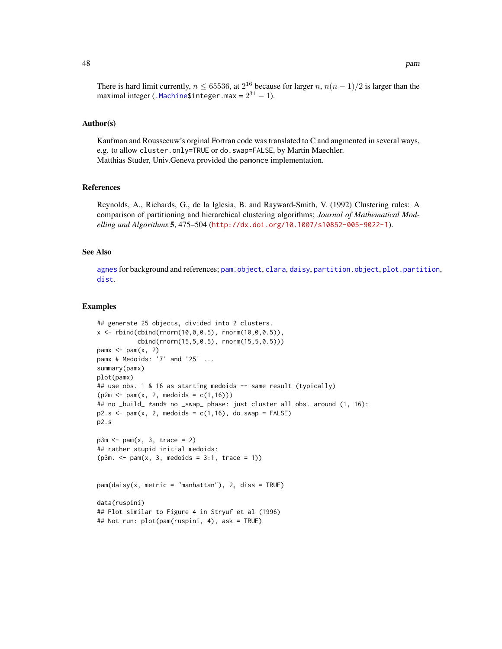There is hard limit currently,  $n \le 65536$ , at  $2^{16}$  because for larger  $n$ ,  $n(n-1)/2$  is larger than the maximal integer ([.Machine\\$](#page-0-0)integer.max =  $2^{31} - 1$ ).

#### Author(s)

Kaufman and Rousseeuw's orginal Fortran code was translated to C and augmented in several ways, e.g. to allow cluster.only=TRUE or do.swap=FALSE, by Martin Maechler. Matthias Studer, Univ.Geneva provided the pamonce implementation.

### References

Reynolds, A., Richards, G., de la Iglesia, B. and Rayward-Smith, V. (1992) Clustering rules: A comparison of partitioning and hierarchical clustering algorithms; *Journal of Mathematical Modelling and Algorithms* 5, 475–504 (<http://dx.doi.org/10.1007/s10852-005-9022-1>).

# See Also

[agnes](#page-2-0) for background and references; [pam.object](#page-48-0), [clara](#page-12-0), [daisy](#page-27-0), [partition.object](#page-49-0), [plot.partition](#page-57-0), [dist](#page-0-0).

#### Examples

```
## generate 25 objects, divided into 2 clusters.
x \le rbind(cbind(rnorm(10,0,0.5), rnorm(10,0,0.5)),
           cbind(rnorm(15,5,0.5), rnorm(15,5,0.5)))
pamx \leq pam(x, 2)pamx # Medoids: '7' and '25' ...
summary(pamx)
plot(pamx)
## use obs. 1 & 16 as starting medoids -- same result (typically)
(p2m \leq -pam(x, 2, medoids = c(1,16)))## no _build_ *and* no _swap_ phase: just cluster all obs. around (1, 16):
p2.s \leq pam(x, 2, medoids = c(1, 16), do.sum = FALSE)p2.s
p3m \leq -pam(x, 3, trace = 2)## rather stupid initial medoids:
(p3m. < - pam(x, 3, medoids = 3:1, trace = 1))pam(daisy(x, metric = "manhattan"), 2, diss = TRUE)
data(ruspini)
## Plot similar to Figure 4 in Stryuf et al (1996)
## Not run: plot(pam(ruspini, 4), ask = TRUE)
```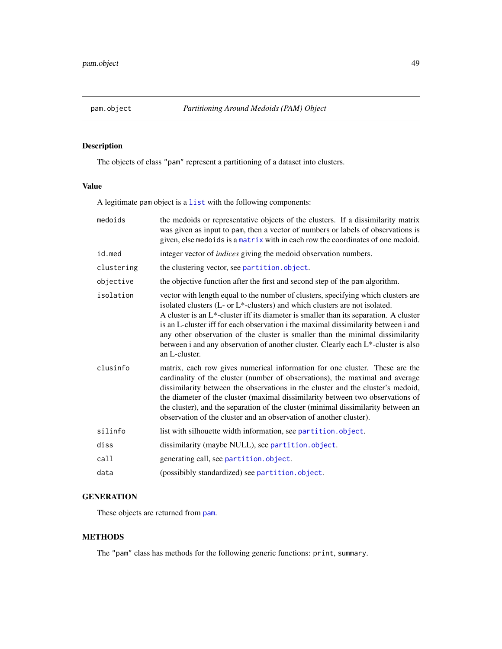<span id="page-48-0"></span>

# Description

The objects of class "pam" represent a partitioning of a dataset into clusters.

# Value

A legitimate pam object is a [list](#page-0-0) with the following components:

| medoids    | the medoids or representative objects of the clusters. If a dissimilarity matrix<br>was given as input to pam, then a vector of numbers or labels of observations is<br>given, else medoids is a matrix with in each row the coordinates of one medoid.                                                                                                                                                                                                                                                                                    |
|------------|--------------------------------------------------------------------------------------------------------------------------------------------------------------------------------------------------------------------------------------------------------------------------------------------------------------------------------------------------------------------------------------------------------------------------------------------------------------------------------------------------------------------------------------------|
| id.med     | integer vector of <i>indices</i> giving the medoid observation numbers.                                                                                                                                                                                                                                                                                                                                                                                                                                                                    |
| clustering | the clustering vector, see partition.object.                                                                                                                                                                                                                                                                                                                                                                                                                                                                                               |
| objective  | the objective function after the first and second step of the pam algorithm.                                                                                                                                                                                                                                                                                                                                                                                                                                                               |
| isolation  | vector with length equal to the number of clusters, specifying which clusters are<br>isolated clusters (L- or L*-clusters) and which clusters are not isolated.<br>A cluster is an $L^*$ -cluster iff its diameter is smaller than its separation. A cluster<br>is an L-cluster iff for each observation i the maximal dissimilarity between i and<br>any other observation of the cluster is smaller than the minimal dissimilarity<br>between i and any observation of another cluster. Clearly each L*-cluster is also<br>an L-cluster. |
| clusinfo   | matrix, each row gives numerical information for one cluster. These are the<br>cardinality of the cluster (number of observations), the maximal and average<br>dissimilarity between the observations in the cluster and the cluster's medoid,<br>the diameter of the cluster (maximal dissimilarity between two observations of<br>the cluster), and the separation of the cluster (minimal dissimilarity between an<br>observation of the cluster and an observation of another cluster).                                                |
| silinfo    | list with silhouette width information, see partition.object.                                                                                                                                                                                                                                                                                                                                                                                                                                                                              |
| diss       | dissimilarity (maybe NULL), see partition.object.                                                                                                                                                                                                                                                                                                                                                                                                                                                                                          |
| call       | generating call, see partition.object.                                                                                                                                                                                                                                                                                                                                                                                                                                                                                                     |
| data       | (possibibly standardized) see partition.object.                                                                                                                                                                                                                                                                                                                                                                                                                                                                                            |

# **GENERATION**

These objects are returned from [pam](#page-44-1).

# **METHODS**

The "pam" class has methods for the following generic functions: print, summary.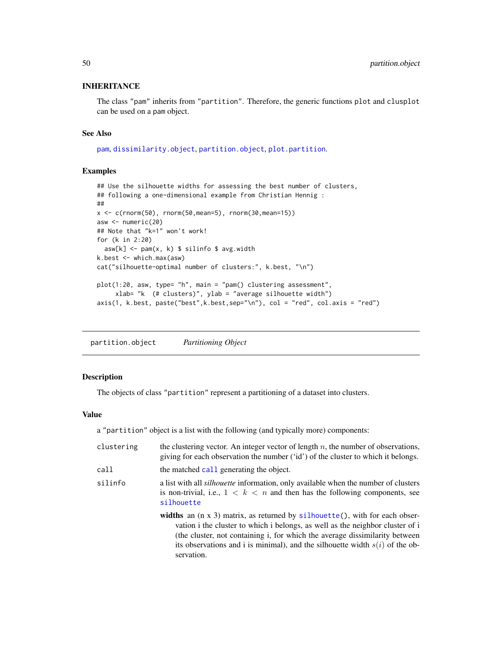# INHERITANCE

The class "pam" inherits from "partition". Therefore, the generic functions plot and clusplot can be used on a pam object.

#### See Also

[pam](#page-44-1), [dissimilarity.object](#page-33-0), [partition.object](#page-49-0), [plot.partition](#page-57-0).

### Examples

```
## Use the silhouette widths for assessing the best number of clusters,
## following a one-dimensional example from Christian Hennig :
##
x \leq c(\text{norm}(50), \text{norm}(50, \text{mean}=5), \text{norm}(30, \text{mean}=15))asw <- numeric(20)
## Note that "k=1" won't work!
for (k in 2:20)
 asw[k] < -pam(x, k) $ silinfo $ avg.width
k.best <- which.max(asw)
cat("silhouette-optimal number of clusters:", k.best, "\n")
plot(1:20, asw, type= "h", main = "pam() clustering assessment",
     xlab= "k (# clusters)", ylab = "average silhouette width")
axis(1, k.best, paste("best",k.best,sep="\n"), col = "red", col.axis = "red")
```
<span id="page-49-0"></span>partition.object *Partitioning Object*

### <span id="page-49-1"></span>Description

The objects of class "partition" represent a partitioning of a dataset into clusters.

### Value

a "partition" object is a list with the following (and typically more) components:

| clustering | the clustering vector. An integer vector of length $n$ , the number of observations,<br>giving for each observation the number ('id') of the cluster to which it belongs.                                                                                                                                                                           |
|------------|-----------------------------------------------------------------------------------------------------------------------------------------------------------------------------------------------------------------------------------------------------------------------------------------------------------------------------------------------------|
| call       | the matched call generating the object.                                                                                                                                                                                                                                                                                                             |
| silinfo    | a list with all <i>silhouette</i> information, only available when the number of clusters<br>is non-trivial, i.e., $1 \leq k \leq n$ and then has the following components, see<br>silhouette                                                                                                                                                       |
|            | widths an $(n \times 3)$ matrix, as returned by silhouette(), with for each obser-<br>vation i the cluster to which i belongs, as well as the neighbor cluster of i<br>(the cluster, not containing i, for which the average dissimilarity between)<br>its observations and i is minimal), and the silhouette width $s(i)$ of the ob-<br>servation. |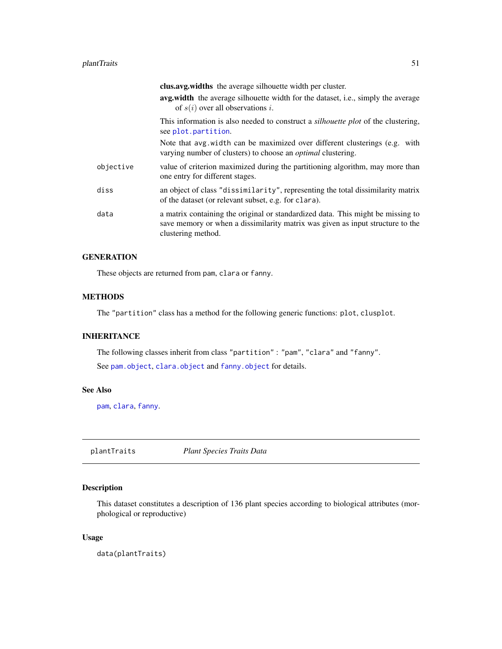#### plantTraits 51

|           | <b>clus.avg.widths</b> the average silhouette width per cluster.<br>avg.width the average silhouette width for the dataset, i.e., simply the average<br>of $s(i)$ over all observations i. |
|-----------|--------------------------------------------------------------------------------------------------------------------------------------------------------------------------------------------|
|           | This information is also needed to construct a <i>silhouette plot</i> of the clustering,<br>see plot.partition.                                                                            |
|           | Note that avg. width can be maximized over different clusterings (e.g. with<br>varying number of clusters) to choose an <i>optimal</i> clustering.                                         |
| objective | value of criterion maximized during the partitioning algorithm, may more than<br>one entry for different stages.                                                                           |
| diss      | an object of class "dissimilarity", representing the total dissimilarity matrix<br>of the dataset (or relevant subset, e.g. for clara).                                                    |
| data      | a matrix containing the original or standardized data. This might be missing to<br>save memory or when a dissimilarity matrix was given as input structure to the<br>clustering method.    |

# **GENERATION**

These objects are returned from pam, clara or fanny.

# **METHODS**

The "partition" class has a method for the following generic functions: plot, clusplot.

# INHERITANCE

The following classes inherit from class "partition" : "pam", "clara" and "fanny". See [pam.object](#page-48-0), [clara.object](#page-15-0) and [fanny.object](#page-39-0) for details.

# See Also

[pam](#page-44-1), [clara](#page-12-0), [fanny](#page-36-0).

plantTraits *Plant Species Traits Data*

# Description

This dataset constitutes a description of 136 plant species according to biological attributes (morphological or reproductive)

# Usage

data(plantTraits)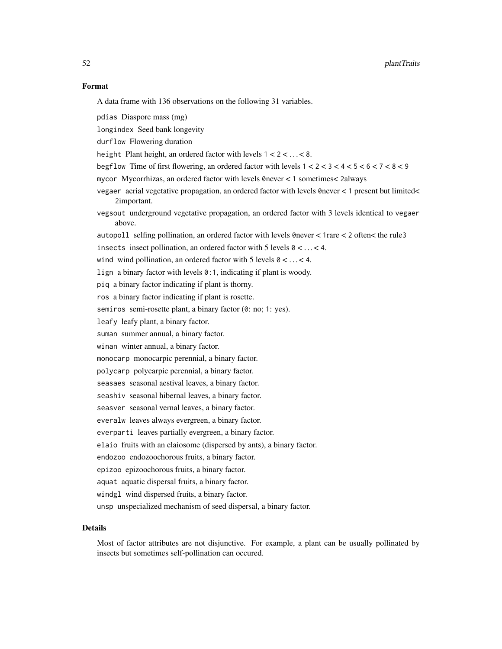### Format

A data frame with 136 observations on the following 31 variables.

pdias Diaspore mass (mg)

longindex Seed bank longevity

durflow Flowering duration

height Plant height, an ordered factor with levels  $1 < 2 < ... < 8$ .

begflow Time of first flowering, an ordered factor with levels  $1 < 2 < 3 < 4 < 5 < 6 < 7 < 8 < 9$ 

mycor Mycorrhizas, an ordered factor with levels 0never < 1 sometimes< 2always

vegaer aerial vegetative propagation, an ordered factor with levels 0never < 1 present but limited< 2important.

vegsout underground vegetative propagation, an ordered factor with 3 levels identical to vegaer above.

autopoll selfing pollination, an ordered factor with levels 0never < 1rare < 2 often< the rule3

insects insect pollination, an ordered factor with 5 levels  $0 < ... < 4$ .

wind wind pollination, an ordered factor with 5 levels  $0 < \ldots < 4$ .

lign a binary factor with levels 0:1, indicating if plant is woody.

piq a binary factor indicating if plant is thorny.

ros a binary factor indicating if plant is rosette.

semiros semi-rosette plant, a binary factor (0: no; 1: yes).

leafy leafy plant, a binary factor.

suman summer annual, a binary factor.

winan winter annual, a binary factor.

monocarp monocarpic perennial, a binary factor.

polycarp polycarpic perennial, a binary factor.

seasaes seasonal aestival leaves, a binary factor.

seashiv seasonal hibernal leaves, a binary factor.

seasver seasonal vernal leaves, a binary factor.

everalw leaves always evergreen, a binary factor.

everparti leaves partially evergreen, a binary factor.

elaio fruits with an elaiosome (dispersed by ants), a binary factor.

endozoo endozoochorous fruits, a binary factor.

epizoo epizoochorous fruits, a binary factor.

aquat aquatic dispersal fruits, a binary factor.

windgl wind dispersed fruits, a binary factor.

unsp unspecialized mechanism of seed dispersal, a binary factor.

#### Details

Most of factor attributes are not disjunctive. For example, a plant can be usually pollinated by insects but sometimes self-pollination can occured.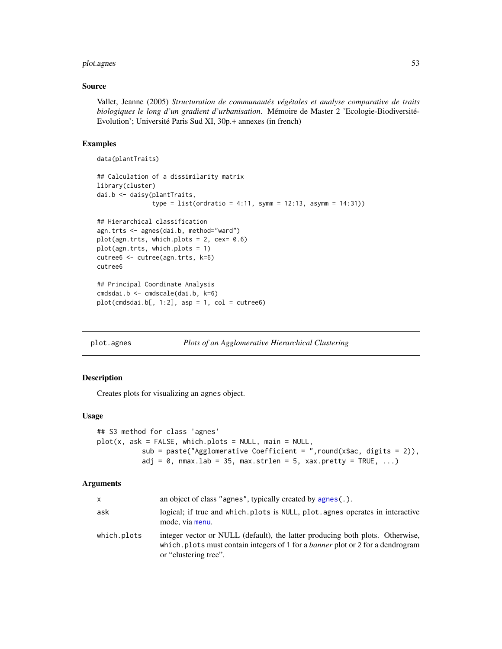#### plot.agnes 53

### Source

Vallet, Jeanne (2005) *Structuration de communautés végétales et analyse comparative de traits biologiques le long d'un gradient d'urbanisation*. Mémoire de Master 2 'Ecologie-Biodiversité-Evolution'; Université Paris Sud XI, 30p.+ annexes (in french)

# Examples

```
data(plantTraits)
## Calculation of a dissimilarity matrix
library(cluster)
dai.b <- daisy(plantTraits,
               type = list(ordratio = 4:11, symm = 12:13, asymm = 14:31))## Hierarchical classification
agn.trts <- agnes(dai.b, method="ward")
plot(agn.trts, which.plots = 2, cex= 0.6)
plot(agn.trts, which.plots = 1)
cutree6 <- cutree(agn.trts, k=6)
cutree6
## Principal Coordinate Analysis
cmdsdai.b <- cmdscale(dai.b, k=6)
plot(cmdsdai.b[, 1:2], asp = 1, col = cutree6)
```
<span id="page-52-0"></span>plot.agnes *Plots of an Agglomerative Hierarchical Clustering*

# Description

Creates plots for visualizing an agnes object.

#### Usage

```
## S3 method for class 'agnes'
plot(x, ask = FALSE, which.plots = NULL, main = NULL,sub = paste("Agglomerative Coefficient = ", round(x$ac, digits = 2)),
          adj = 0, nmax.lab = 35, max.strlen = 5, xax.pretty = TRUE, ...)
```
#### Arguments

| x           | an object of class "agnes", typically created by $\alpha$ gnes(.).                                                                                                                              |
|-------------|-------------------------------------------------------------------------------------------------------------------------------------------------------------------------------------------------|
| ask         | logical; if true and which plots is NULL, plot agnes operates in interactive<br>mode, via menu.                                                                                                 |
| which.plots | integer vector or NULL (default), the latter producing both plots. Otherwise,<br>which.plots must contain integers of 1 for a <i>banner</i> plot or 2 for a dendrogram<br>or "clustering tree". |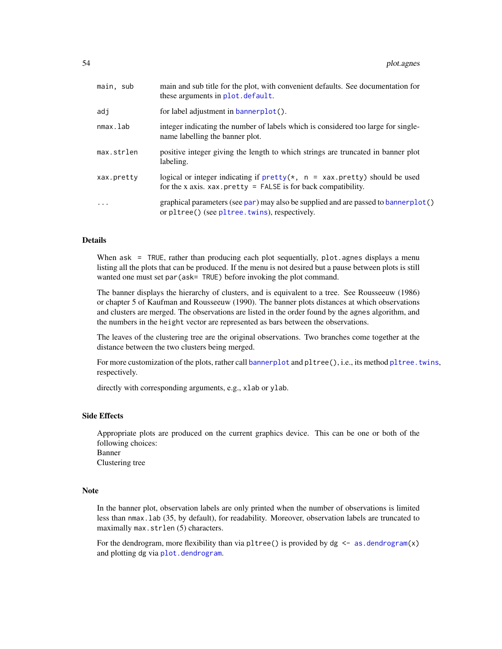| main, sub  | main and sub title for the plot, with convenient defaults. See documentation for<br>these arguments in plot. default.                          |
|------------|------------------------------------------------------------------------------------------------------------------------------------------------|
| adj        | for label adjustment in bannerplot().                                                                                                          |
| nmax.lab   | integer indicating the number of labels which is considered too large for single-<br>name labelling the banner plot.                           |
| max.strlen | positive integer giving the length to which strings are truncated in banner plot<br>labeling.                                                  |
| xax.pretty | logical or integer indicating if $prety(*, n = xax.pretty)$ should be used<br>for the x axis. $xax.$ pretty = FALSE is for back compatibility. |
| $\ddots$ . | graphical parameters (see par) may also be supplied and are passed to bannerplot()<br>or pltree() (see pltree.twins), respectively.            |

### Details

When  $ask = TRUE$ , rather than producing each plot sequentially, plot agnes displays a menu listing all the plots that can be produced. If the menu is not desired but a pause between plots is still wanted one must set par (ask= TRUE) before invoking the plot command.

The banner displays the hierarchy of clusters, and is equivalent to a tree. See Rousseeuw (1986) or chapter 5 of Kaufman and Rousseeuw (1990). The banner plots distances at which observations and clusters are merged. The observations are listed in the order found by the agnes algorithm, and the numbers in the height vector are represented as bars between the observations.

The leaves of the clustering tree are the original observations. Two branches come together at the distance between the two clusters being merged.

For more customization of the plots, rather call [bannerplot](#page-10-0) and pltree(), i.e., its method pltree. twins, respectively.

directly with corresponding arguments, e.g., xlab or ylab.

### Side Effects

Appropriate plots are produced on the current graphics device. This can be one or both of the following choices: Banner Clustering tree

## Note

In the banner plot, observation labels are only printed when the number of observations is limited less than nmax.lab (35, by default), for readability. Moreover, observation labels are truncated to maximally max.strlen (5) characters.

For the dendrogram, more flexibility than via pltree() is provided by  $dg \le -as.dendrogram(x)$  $dg \le -as.dendrogram(x)$  $dg \le -as.dendrogram(x)$ and plotting dg via [plot.dendrogram](#page-0-0).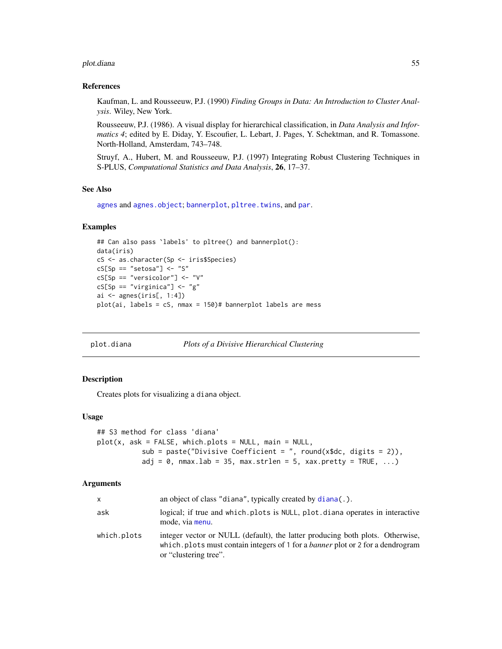#### plot.diana 55

#### References

Kaufman, L. and Rousseeuw, P.J. (1990) *Finding Groups in Data: An Introduction to Cluster Analysis*. Wiley, New York.

Rousseeuw, P.J. (1986). A visual display for hierarchical classification, in *Data Analysis and Informatics 4*; edited by E. Diday, Y. Escoufier, L. Lebart, J. Pages, Y. Schektman, and R. Tomassone. North-Holland, Amsterdam, 743–748.

Struyf, A., Hubert, M. and Rousseeuw, P.J. (1997) Integrating Robust Clustering Techniques in S-PLUS, *Computational Statistics and Data Analysis*, 26, 17–37.

## See Also

[agnes](#page-2-0) and [agnes.object](#page-6-0); [bannerplot](#page-10-0), [pltree.twins](#page-59-0), and [par](#page-0-0).

### Examples

```
## Can also pass `labels' to pltree() and bannerplot():
data(iris)
cS <- as.character(Sp <- iris$Species)
cS[Sp == "setosa"] \leftarrow "S"cS[Sp == "versicolor"] <- "V"
cS[Sp == "virginica"] \leftarrow "g"ai \leq agnes(iris[, 1:4])
plot(ai, labels = cS, nmax = 150)# bannerplot labels are mess
```
<span id="page-54-0"></span>plot.diana *Plots of a Divisive Hierarchical Clustering*

## Description

Creates plots for visualizing a diana object.

# Usage

```
## S3 method for class 'diana'
plot(x, ask = FALSE, which.plots = NULL, main = NULL,
          sub = paste("Divisive Coefficient = ", round(x$dc, digits = 2)),
          adj = 0, nmax.lab = 35, max.strlen = 5, xax.pretty = TRUE, ...)
```
#### Arguments

| x           | an object of class "diana", typically created by $diana(.)$ .                                                                                                                                   |
|-------------|-------------------------------------------------------------------------------------------------------------------------------------------------------------------------------------------------|
| ask         | logical; if true and which.plots is NULL, plot.diana operates in interactive<br>mode, via menu.                                                                                                 |
| which.plots | integer vector or NULL (default), the latter producing both plots. Otherwise,<br>which.plots must contain integers of 1 for a <i>banner</i> plot or 2 for a dendrogram<br>or "clustering tree". |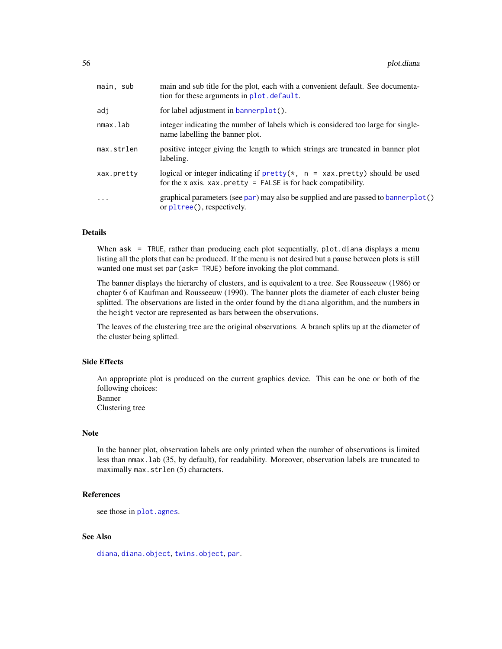| main, sub  | main and sub title for the plot, each with a convenient default. See documenta-<br>tion for these arguments in plot. default.                  |
|------------|------------------------------------------------------------------------------------------------------------------------------------------------|
| adj        | for label adjustment in bannerplot().                                                                                                          |
| nmax.lab   | integer indicating the number of labels which is considered too large for single-<br>name labelling the banner plot.                           |
| max.strlen | positive integer giving the length to which strings are truncated in banner plot<br>labeling.                                                  |
| xax.pretty | logical or integer indicating if $prety(*, n = xax.pretty)$ should be used<br>for the x axis. $xax.$ pretty = FALSE is for back compatibility. |
| .          | graphical parameters (see par) may also be supplied and are passed to bannerplot()<br>or pltree(), respectively.                               |

# Details

When  $ask = TRUE$ , rather than producing each plot sequentially, plot diana displays a menu listing all the plots that can be produced. If the menu is not desired but a pause between plots is still wanted one must set par (ask= TRUE) before invoking the plot command.

The banner displays the hierarchy of clusters, and is equivalent to a tree. See Rousseeuw (1986) or chapter 6 of Kaufman and Rousseeuw (1990). The banner plots the diameter of each cluster being splitted. The observations are listed in the order found by the diana algorithm, and the numbers in the height vector are represented as bars between the observations.

The leaves of the clustering tree are the original observations. A branch splits up at the diameter of the cluster being splitted.

# Side Effects

An appropriate plot is produced on the current graphics device. This can be one or both of the following choices: Banner

Clustering tree

# Note

In the banner plot, observation labels are only printed when the number of observations is limited less than nmax.lab (35, by default), for readability. Moreover, observation labels are truncated to maximally max.strlen (5) characters.

### References

```
see those in plot.agnes.
```
# See Also

[diana](#page-31-0), [diana.object](#page-31-1), [twins.object](#page-75-1), [par](#page-0-0).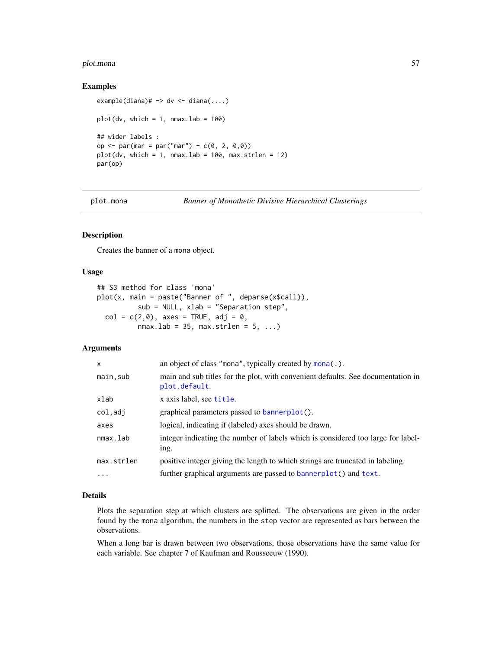#### plot.mona 57

#### Examples

```
example(diana)# -> dv <- diana(...)plot(dv, which = 1, nmax.lab = 100)## wider labels :
op <- par(mar = par("mar") + c(0, 2, 0,0))
plot(dv, which = 1, nmax.lab = 100, max.strlen = 12)par(op)
```
plot.mona *Banner of Monothetic Divisive Hierarchical Clusterings*

### Description

Creates the banner of a mona object.

### Usage

```
## S3 method for class 'mona'
plot(x, main = paste("Banner of ", deparse(x$call)),
           sub = NULL, xlab = "Separation step",
  col = c(2, \emptyset), axes = TRUE, adj = \emptyset,
          nmax.lab = 35, max.strlen = 5, ...)
```
### Arguments

| $\mathsf{x}$ | an object of class "mona", typically created by mona(.).                                          |
|--------------|---------------------------------------------------------------------------------------------------|
| main, sub    | main and sub titles for the plot, with convenient defaults. See documentation in<br>plot.default. |
| xlab         | x axis label, see title.                                                                          |
| col,adj      | graphical parameters passed to bannerplot().                                                      |
| axes         | logical, indicating if (labeled) axes should be drawn.                                            |
| nmax.lab     | integer indicating the number of labels which is considered too large for label-<br>ing.          |
| max.strlen   | positive integer giving the length to which strings are truncated in labeling.                    |
| $\ddotsc$    | further graphical arguments are passed to bannerplot() and text.                                  |

#### Details

Plots the separation step at which clusters are splitted. The observations are given in the order found by the mona algorithm, the numbers in the step vector are represented as bars between the observations.

When a long bar is drawn between two observations, those observations have the same value for each variable. See chapter 7 of Kaufman and Rousseeuw (1990).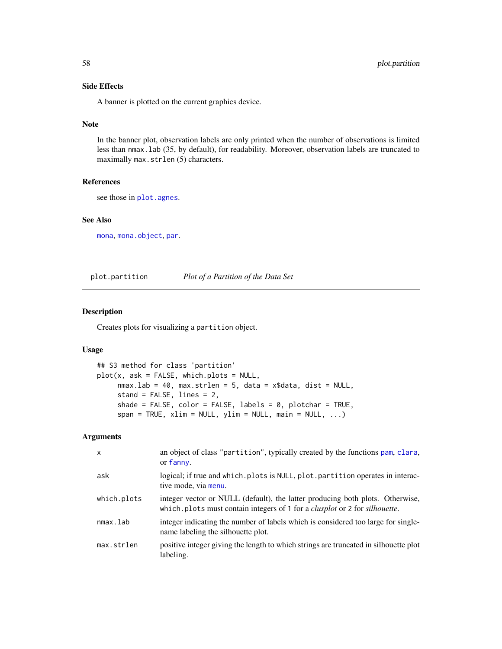# Side Effects

A banner is plotted on the current graphics device.

# Note

In the banner plot, observation labels are only printed when the number of observations is limited less than nmax.lab (35, by default), for readability. Moreover, observation labels are truncated to maximally max.strlen (5) characters.

#### References

see those in [plot.agnes](#page-52-0).

#### See Also

[mona](#page-42-0), [mona.object](#page-44-0), [par](#page-0-0).

<span id="page-57-0"></span>plot.partition *Plot of a Partition of the Data Set*

# Description

Creates plots for visualizing a partition object.

### Usage

```
## S3 method for class 'partition'
plot(x, ask = FALSE, which. plots = NULL,nmax.lab = 40, max.strlen = 5, data = x$data, dist = NULL,
     stand = FALSE, lines = 2,
     shade = FALSE, color = FALSE, labels = 0, plotchar = TRUE,
     span = TRUE, xlim = NULL, ylim = NULL, main = NULL, ...)
```
# Arguments

| $\mathsf{x}$ | an object of class "partition", typically created by the functions pam, clara,<br>or fanny.                                                                                |
|--------------|----------------------------------------------------------------------------------------------------------------------------------------------------------------------------|
| ask          | logical; if true and which. plots is NULL, plot. partition operates in interac-<br>tive mode, via menu.                                                                    |
| which.plots  | integer vector or NULL (default), the latter producing both plots. Otherwise,<br>which.plots must contain integers of 1 for a <i>clusplot</i> or 2 for <i>silhouette</i> . |
| nmax.lab     | integer indicating the number of labels which is considered too large for single-<br>name labeling the silhouette plot.                                                    |
| max.strlen   | positive integer giving the length to which strings are truncated in silhouette plot<br>labeling.                                                                          |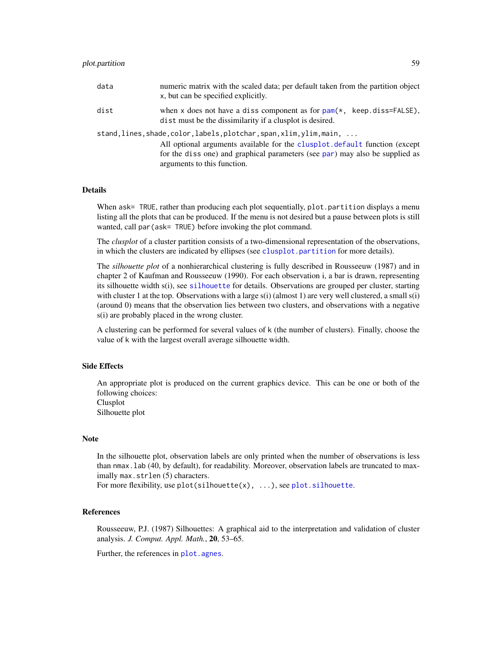## plot.partition 59

| data | numeric matrix with the scaled data; per default taken from the partition object<br>x, but can be specified explicitly.                                                                                                                                   |
|------|-----------------------------------------------------------------------------------------------------------------------------------------------------------------------------------------------------------------------------------------------------------|
| dist | when x does not have a diss component as for $\text{pam}(*)$ , keep.diss=FALSE),<br>dist must be the dissimilarity if a clusplot is desired.                                                                                                              |
|      | stand,lines,shade,color,labels,plotchar,span,xlim,ylim,main,<br>All optional arguments available for the clusplot.default function (except<br>for the diss one) and graphical parameters (see par) may also be supplied as<br>arguments to this function. |

#### Details

When ask= TRUE, rather than producing each plot sequentially, plot.partition displays a menu listing all the plots that can be produced. If the menu is not desired but a pause between plots is still wanted, call par(ask= TRUE) before invoking the plot command.

The *clusplot* of a cluster partition consists of a two-dimensional representation of the observations, in which the clusters are indicated by ellipses (see [clusplot.partition](#page-20-1) for more details).

The *silhouette plot* of a nonhierarchical clustering is fully described in Rousseeuw (1987) and in chapter 2 of Kaufman and Rousseeuw (1990). For each observation i, a bar is drawn, representing its silhouette width s(i), see [silhouette](#page-67-0) for details. Observations are grouped per cluster, starting with cluster 1 at the top. Observations with a large  $s(i)$  (almost 1) are very well clustered, a small  $s(i)$ (around 0) means that the observation lies between two clusters, and observations with a negative s(i) are probably placed in the wrong cluster.

A clustering can be performed for several values of k (the number of clusters). Finally, choose the value of k with the largest overall average silhouette width.

### Side Effects

An appropriate plot is produced on the current graphics device. This can be one or both of the following choices: Clusplot

Silhouette plot

#### Note

In the silhouette plot, observation labels are only printed when the number of observations is less than nmax.lab (40, by default), for readability. Moreover, observation labels are truncated to maximally max.strlen (5) characters.

For more flexibility, use  $plot(silhouette(x), ...,)$ , see [plot.silhouette](#page-67-1).

## References

Rousseeuw, P.J. (1987) Silhouettes: A graphical aid to the interpretation and validation of cluster analysis. *J. Comput. Appl. Math.*, 20, 53–65.

Further, the references in [plot.agnes](#page-52-0).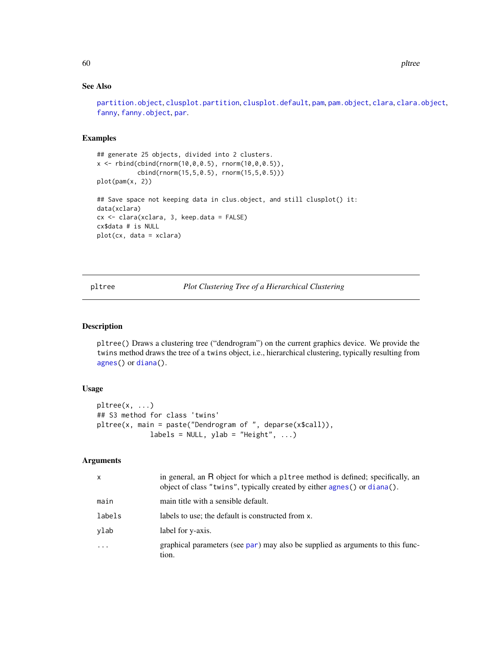# See Also

[partition.object](#page-49-0), [clusplot.partition](#page-20-1), [clusplot.default](#page-22-0), [pam](#page-44-1), [pam.object](#page-48-0), [clara](#page-12-0), [clara.object](#page-15-0), [fanny](#page-36-0), [fanny.object](#page-39-0), [par](#page-0-0).

# Examples

```
## generate 25 objects, divided into 2 clusters.
x \le rbind(cbind(rnorm(10,0,0.5), rnorm(10,0,0.5)),
           cbind(rnorm(15,5,0.5), rnorm(15,5,0.5)))
plot(pam(x, 2))
## Save space not keeping data in clus.object, and still clusplot() it:
data(xclara)
cx <- clara(xclara, 3, keep.data = FALSE)
cx$data # is NULL
plot(cx, data = xclara)
```
<span id="page-59-1"></span>pltree *Plot Clustering Tree of a Hierarchical Clustering*

#### <span id="page-59-0"></span>Description

pltree() Draws a clustering tree ("dendrogram") on the current graphics device. We provide the twins method draws the tree of a twins object, i.e., hierarchical clustering, typically resulting from [agnes\(](#page-2-0)) or [diana\(](#page-31-0)).

# Usage

```
pltree(x, ...)
## S3 method for class 'twins'
pltree(x, main = paste("Dendrogram of ", deparse(x$call)),
            labels = NULL, ylab = "Height", ...)
```
# **Arguments**

| $\mathsf{x}$ | in general, an R object for which a pltree method is defined; specifically, an<br>object of class "twins", typically created by either agnes() or diana(). |
|--------------|------------------------------------------------------------------------------------------------------------------------------------------------------------|
| main         | main title with a sensible default.                                                                                                                        |
| labels       | labels to use; the default is constructed from x.                                                                                                          |
| ylab         | label for y-axis.                                                                                                                                          |
| $\cdots$     | graphical parameters (see par) may also be supplied as arguments to this func-<br>tion.                                                                    |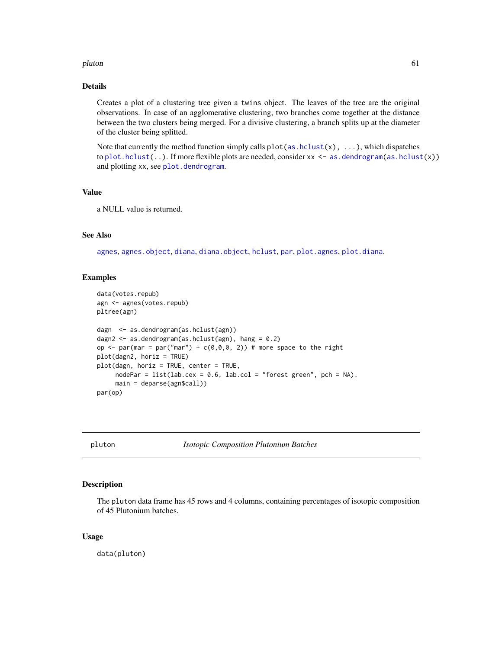#### pluton 61

# Details

Creates a plot of a clustering tree given a twins object. The leaves of the tree are the original observations. In case of an agglomerative clustering, two branches come together at the distance between the two clusters being merged. For a divisive clustering, a branch splits up at the diameter of the cluster being splitted.

Note that currently the method function simply calls  $plot(as.hclust(x), \ldots)$  $plot(as.hclust(x), \ldots)$  $plot(as.hclust(x), \ldots)$ , which dispatches to [plot.hclust\(](#page-0-0)..). If more flexible plots are needed, consider  $xx < -$  [as.dendrogram\(as.hclust\(](#page-0-0)x)) and plotting xx, see [plot.dendrogram](#page-0-0).

### Value

a NULL value is returned.

# See Also

[agnes](#page-2-0), [agnes.object](#page-6-0), [diana](#page-31-0), [diana.object](#page-31-1), [hclust](#page-0-0), [par](#page-0-0), [plot.agnes](#page-52-0), [plot.diana](#page-54-0).

### Examples

```
data(votes.repub)
agn <- agnes(votes.repub)
pltree(agn)
dagn <- as.dendrogram(as.hclust(agn))
dagn2 <- as.dendrogram(as.hclust(agn), hang = 0.2)
op \le- par(mar = par("mar") + c(0,0,0, 2)) # more space to the right
plot(dagn2, horiz = TRUE)
plot(dagn, horiz = TRUE, center = TRUE,
     nodePar = list(lab.cex = 0.6, lab.col = "forest green", pch = NA),main = deparse(agn$call))
par(op)
```
pluton *Isotopic Composition Plutonium Batches*

#### Description

The pluton data frame has 45 rows and 4 columns, containing percentages of isotopic composition of 45 Plutonium batches.

### Usage

data(pluton)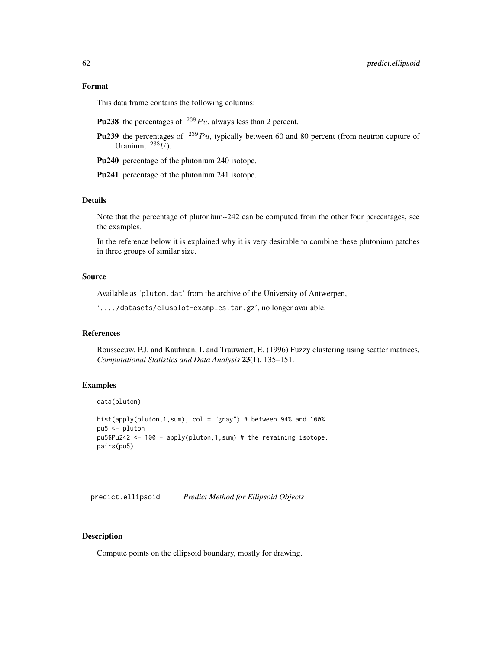# Format

This data frame contains the following columns:

- **Pu238** the percentages of  $^{238}Pu$ , always less than 2 percent.
- **Pu239** the percentages of <sup>239</sup>Pu, typically between 60 and 80 percent (from neutron capture of Uranium,  $^{238}U$ ).

Pu240 percentage of the plutonium 240 isotope.

Pu241 percentage of the plutonium 241 isotope.

### Details

Note that the percentage of plutonium~242 can be computed from the other four percentages, see the examples.

In the reference below it is explained why it is very desirable to combine these plutonium patches in three groups of similar size.

### Source

Available as 'pluton.dat' from the archive of the University of Antwerpen,

'..../datasets/clusplot-examples.tar.gz', no longer available.

# References

Rousseeuw, P.J. and Kaufman, L and Trauwaert, E. (1996) Fuzzy clustering using scatter matrices, *Computational Statistics and Data Analysis* 23(1), 135–151.

### Examples

data(pluton)

```
hist(apply(pluton, 1, sum), col = "gray") # between 94% and 100%
pu5 <- pluton
pu5$Pu242 <- 100 - apply(pluton,1,sum) # the remaining isotope.
pairs(pu5)
```
<span id="page-61-0"></span>predict.ellipsoid *Predict Method for Ellipsoid Objects*

# Description

Compute points on the ellipsoid boundary, mostly for drawing.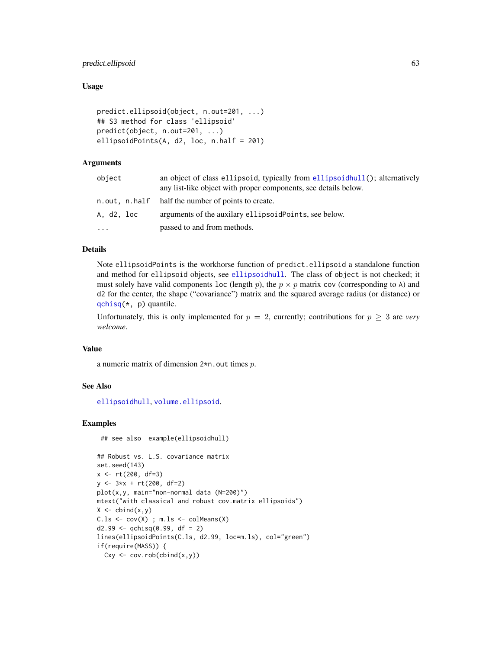# predict.ellipsoid 63

### Usage

```
predict.ellipsoid(object, n.out=201, ...)
## S3 method for class 'ellipsoid'
predict(object, n.out=201, ...)
ellipsoidPoints(A, d2, loc, n.half = 201)
```
# Arguments

| object     | an object of class ellipsoid, typically from ellipsoid hull(); alternatively<br>any list-like object with proper components, see details below. |
|------------|-------------------------------------------------------------------------------------------------------------------------------------------------|
|            | n.out, n.half half the number of points to create.                                                                                              |
| A, d2, loc | arguments of the auxilary ellipsoid Points, see below.                                                                                          |
| $\ddotsc$  | passed to and from methods.                                                                                                                     |

## Details

Note ellipsoidPoints is the workhorse function of predict.ellipsoid a standalone function and method for ellipsoid objects, see [ellipsoidhull](#page-34-0). The class of object is not checked; it must solely have valid components loc (length p), the  $p \times p$  matrix cov (corresponding to A) and d2 for the center, the shape ("covariance") matrix and the squared average radius (or distance) or [qchisq\(](#page-0-0)\*, p) quantile.

Unfortunately, this is only implemented for  $p = 2$ , currently; contributions for  $p \geq 3$  are *very welcome*.

## Value

a numeric matrix of dimension 2\*n.out times p.

### See Also

[ellipsoidhull](#page-34-0), [volume.ellipsoid](#page-75-0).

### Examples

```
## see also example(ellipsoidhull)
```

```
## Robust vs. L.S. covariance matrix
set.seed(143)
x <- rt(200, df=3)
y <- 3*x + rt(200, df=2)
plot(x,y, main="non-normal data (N=200)")
mtext("with classical and robust cov.matrix ellipsoids")
X \leftarrow \text{cbind}(x, y)C.ls \leftarrow cov(X); m.ls \leftarrow colMeans(X)d2.99 \leq -qchisq(0.99, df = 2)lines(ellipsoidPoints(C.ls, d2.99, loc=m.ls), col="green")
if(require(MASS)) {
  Cxy \leftarrow cov.rob(cbind(x,y))
```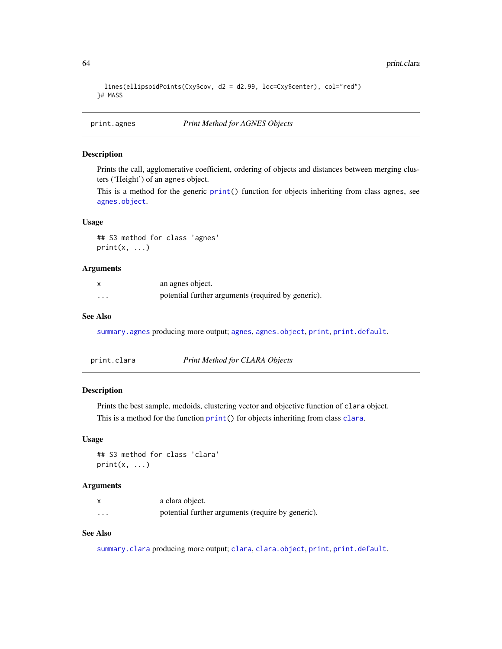```
lines(ellipsoidPoints(Cxy$cov, d2 = d2.99, loc=Cxy$center), col="red")
}# MASS
```
print.agnes *Print Method for AGNES Objects*

# Description

Prints the call, agglomerative coefficient, ordering of objects and distances between merging clusters ('Height') of an agnes object.

This is a method for the generic [print\(](#page-0-0)) function for objects inheriting from class agnes, see [agnes.object](#page-6-0).

### Usage

## S3 method for class 'agnes'  $print(x, \ldots)$ 

### Arguments

|          | an agnes object.                                   |
|----------|----------------------------------------------------|
| $\cdots$ | potential further arguments (required by generic). |

# See Also

[summary.agnes](#page-72-0) producing more output; [agnes](#page-2-0), [agnes.object](#page-6-0), [print](#page-0-0), [print.default](#page-0-0).

| print.clara | Print Method for CLARA Objects |
|-------------|--------------------------------|
|-------------|--------------------------------|

### Description

Prints the best sample, medoids, clustering vector and objective function of clara object. This is a method for the function [print\(](#page-0-0)) for objects inheriting from class [clara](#page-12-0).

### Usage

## S3 method for class 'clara'  $print(x, \ldots)$ 

### Arguments

|          | a clara object.                                   |
|----------|---------------------------------------------------|
| $\cdots$ | potential further arguments (require by generic). |

# See Also

[summary.clara](#page-72-1) producing more output; [clara](#page-12-0), [clara.object](#page-15-0), [print](#page-0-0), [print.default](#page-0-0).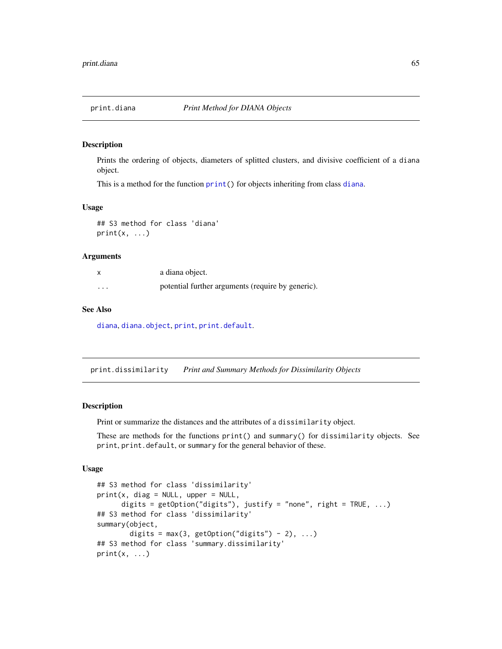# Description

Prints the ordering of objects, diameters of splitted clusters, and divisive coefficient of a diana object.

This is a method for the function [print\(](#page-0-0)) for objects inheriting from class [diana](#page-31-0).

### Usage

## S3 method for class 'diana'  $print(x, \ldots)$ 

### Arguments

|                         | a diana object.                                   |
|-------------------------|---------------------------------------------------|
| $\cdot$ $\cdot$ $\cdot$ | potential further arguments (require by generic). |

### See Also

[diana](#page-31-0), [diana.object](#page-31-1), [print](#page-0-0), [print.default](#page-0-0).

print.dissimilarity *Print and Summary Methods for Dissimilarity Objects*

#### Description

Print or summarize the distances and the attributes of a dissimilarity object.

These are methods for the functions print() and summary() for dissimilarity objects. See print, print.default, or summary for the general behavior of these.

### Usage

```
## S3 method for class 'dissimilarity'
print(x, diag = NULL, upper = NULL,digits = getOption("digits"), justify = "none", right = TRUE, ...)
## S3 method for class 'dissimilarity'
summary(object,
       digits = max(3, getOption("digits") - 2), ...## S3 method for class 'summary.dissimilarity'
print(x, \ldots)
```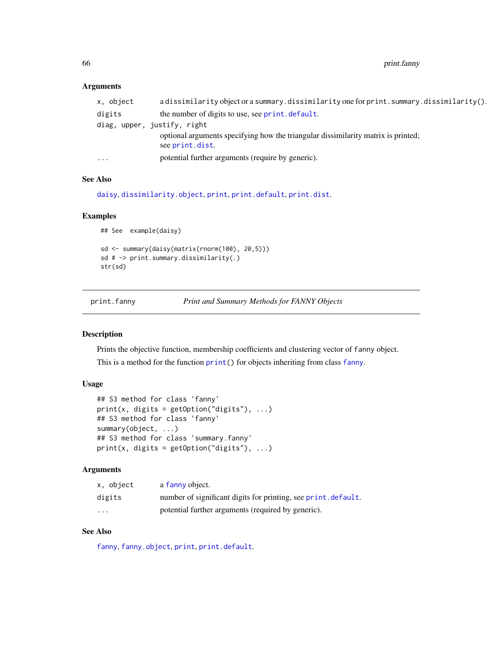# Arguments

| x, object | a dissimilarity object or a summary. dissimilarity one for print. summary. dissimilarity().                      |
|-----------|------------------------------------------------------------------------------------------------------------------|
| digits    | the number of digits to use, see print, default.                                                                 |
|           | diag, upper, justify, right<br>optional arguments specifying how the triangular dissimilarity matrix is printed; |
|           | see print.dist.                                                                                                  |
| $\cdots$  | potential further arguments (require by generic).                                                                |
|           |                                                                                                                  |

# See Also

[daisy](#page-27-0), [dissimilarity.object](#page-33-0), [print](#page-0-0), [print.default](#page-0-0), [print.dist](#page-0-0).

# Examples

```
## See example(daisy)
sd <- summary(daisy(matrix(rnorm(100), 20,5)))
sd # -> print.summary.dissimilarity(.)
str(sd)
```
<span id="page-65-0"></span>

print.fanny *Print and Summary Methods for FANNY Objects*

# Description

Prints the objective function, membership coefficients and clustering vector of fanny object. This is a method for the function [print\(](#page-0-0)) for objects inheriting from class [fanny](#page-36-0).

# Usage

```
## S3 method for class 'fanny'
print(x, digits = getOption("digits"), ...)## S3 method for class 'fanny'
summary(object, ...)
## S3 method for class 'summary.fanny'
print(x, digits = getOption("digits"), ...)
```
### Arguments

| x, object | a fanny object.                                                |
|-----------|----------------------------------------------------------------|
| digits    | number of significant digits for printing, see print. default. |
| $\cdots$  | potential further arguments (required by generic).             |

# See Also

[fanny](#page-36-0), [fanny.object](#page-39-0), [print](#page-0-0), [print.default](#page-0-0).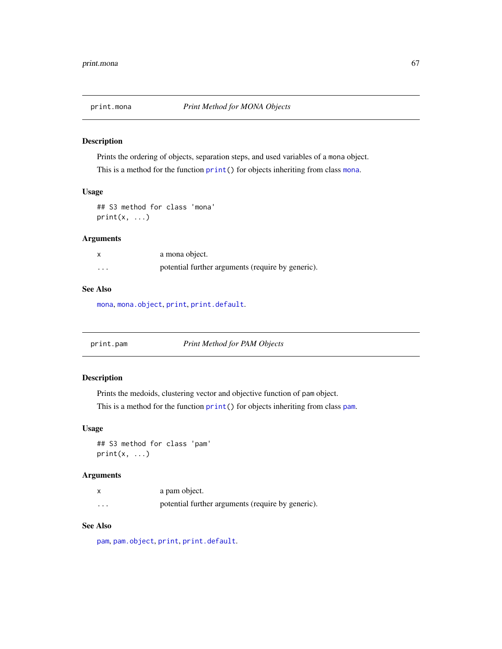# Description

Prints the ordering of objects, separation steps, and used variables of a mona object.

This is a method for the function  $print()$  $print()$  for objects inheriting from class [mona](#page-42-0).

#### Usage

## S3 method for class 'mona'  $print(x, \ldots)$ 

# Arguments

|          | a mona object.                                    |
|----------|---------------------------------------------------|
| $\cdots$ | potential further arguments (require by generic). |

# See Also

[mona](#page-42-0), [mona.object](#page-44-0), [print](#page-0-0), [print.default](#page-0-0).

print.pam *Print Method for PAM Objects*

# Description

Prints the medoids, clustering vector and objective function of pam object.

This is a method for the function  $print()$  $print()$  for objects inheriting from class [pam](#page-44-1).

### Usage

## S3 method for class 'pam'  $print(x, \ldots)$ 

#### Arguments

|          | a pam object.                                     |
|----------|---------------------------------------------------|
| $\cdots$ | potential further arguments (require by generic). |

### See Also

[pam](#page-44-1), [pam.object](#page-48-0), [print](#page-0-0), [print.default](#page-0-0).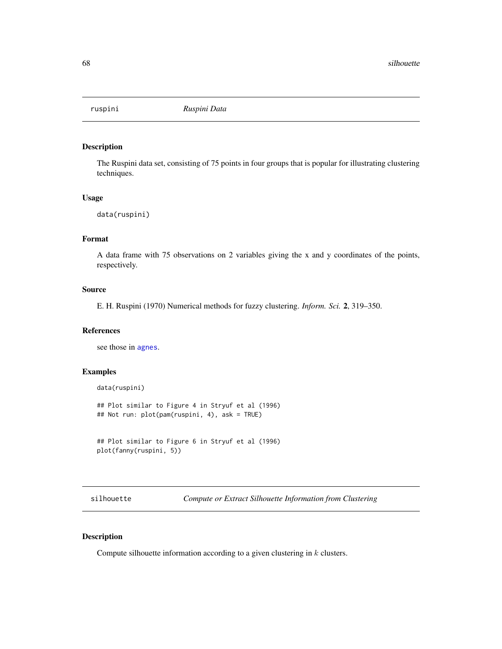### Description

The Ruspini data set, consisting of 75 points in four groups that is popular for illustrating clustering techniques.

### Usage

```
data(ruspini)
```
# Format

A data frame with 75 observations on 2 variables giving the x and y coordinates of the points, respectively.

### Source

E. H. Ruspini (1970) Numerical methods for fuzzy clustering. *Inform. Sci.* 2, 319–350.

#### References

see those in [agnes](#page-2-0).

### Examples

```
data(ruspini)
## Plot similar to Figure 4 in Stryuf et al (1996)
## Not run: plot(pam(ruspini, 4), ask = TRUE)
```

```
## Plot similar to Figure 6 in Stryuf et al (1996)
plot(fanny(ruspini, 5))
```
<span id="page-67-0"></span>silhouette *Compute or Extract Silhouette Information from Clustering*

# <span id="page-67-1"></span>Description

Compute silhouette information according to a given clustering in  $k$  clusters.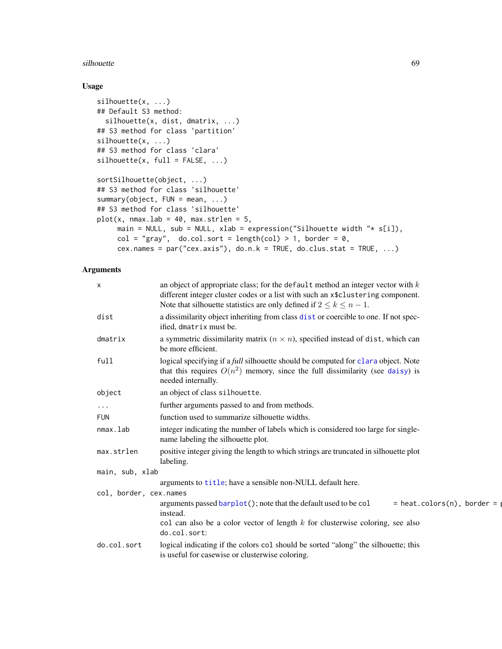#### silhouette 69 and 200 million and 200 million and 200 million and 200 million and 200 million and 30 million and 30 million and 30 million and 30 million and 30 million and 30 million and 30 million and 30 million and 30 m

# Usage

```
silhouette(x, ...)
## Default S3 method:
  silhouette(x, dist, dmatrix, ...)
## S3 method for class 'partition'
silhouette(x, ...)
## S3 method for class 'clara'
silhouette(x, full = FALSE, ...)sortSilhouette(object, ...)
## S3 method for class 'silhouette'
summary(object, FUN = mean, ...)
## S3 method for class 'silhouette'
plot(x, max.lab = 40, max.strlen = 5,main = NULL, sub = NULL, xlab = expression("Silhouette width "* s[i]),
     col = "gray", do.col.sort = length(col) > 1, border = 0,
     cex.names = par("cex.axis"), do.n.k = TRUE, do.class.stat = TRUE, ...)
```
# Arguments

| $\boldsymbol{\mathsf{x}}$ | an object of appropriate class; for the default method an integer vector with $k$<br>different integer cluster codes or a list with such an x\$clustering component.<br>Note that silhouette statistics are only defined if $2 \le k \le n - 1$ . |
|---------------------------|---------------------------------------------------------------------------------------------------------------------------------------------------------------------------------------------------------------------------------------------------|
| dist                      | a dissimilarity object inheriting from class dist or coercible to one. If not spec-<br>ified, dmatrix must be.                                                                                                                                    |
| dmatrix                   | a symmetric dissimilarity matrix $(n \times n)$ , specified instead of dist, which can<br>be more efficient.                                                                                                                                      |
| full                      | logical specifying if a <i>full</i> silhouette should be computed for clara object. Note<br>that this requires $O(n^2)$ memory, since the full dissimilarity (see daisy) is<br>needed internally.                                                 |
| object                    | an object of class silhouette.                                                                                                                                                                                                                    |
| $\cdots$                  | further arguments passed to and from methods.                                                                                                                                                                                                     |
| <b>FUN</b>                | function used to summarize silhouette widths.                                                                                                                                                                                                     |
| nmax.lab                  | integer indicating the number of labels which is considered too large for single-<br>name labeling the silhouette plot.                                                                                                                           |
| max.strlen                | positive integer giving the length to which strings are truncated in silhouette plot<br>labeling.                                                                                                                                                 |
| main, sub, xlab           |                                                                                                                                                                                                                                                   |
|                           | arguments to title; have a sensible non-NULL default here.                                                                                                                                                                                        |
| col, border, cex.names    |                                                                                                                                                                                                                                                   |
|                           | arguments passed barplot(); note that the default used to be col<br>$=$ heat.colors(n), border $=$<br>instead.<br>col can also be a color vector of length $k$ for clusterwise coloring, see also<br>do.col.sort:                                 |
| do.col.sort               | logical indicating if the colors col should be sorted "along" the silhouette; this<br>is useful for casewise or clusterwise coloring.                                                                                                             |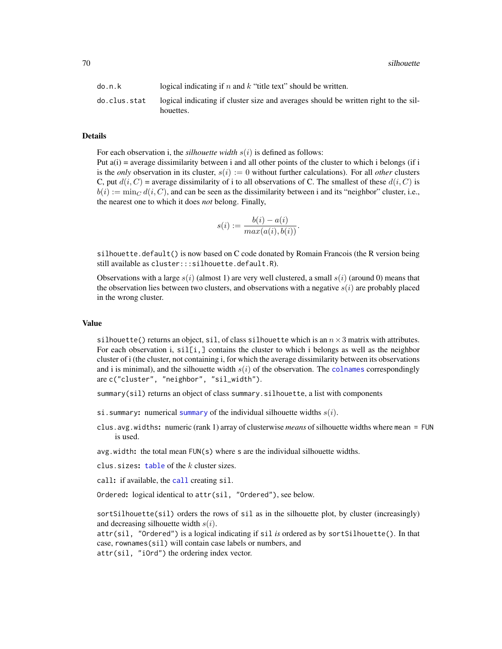70 silhouette

| do.n.k       | logical indicating if n and $k$ "title text" should be written.                                  |
|--------------|--------------------------------------------------------------------------------------------------|
| do.clus.stat | logical indicating if cluster size and averages should be written right to the sil-<br>houettes. |

#### Details

For each observation i, the *silhouette width*  $s(i)$  is defined as follows:

Put  $a(i)$  = average dissimilarity between i and all other points of the cluster to which i belongs (if i is the *only* observation in its cluster,  $s(i) := 0$  without further calculations). For all *other* clusters C, put  $d(i, C)$  = average dissimilarity of i to all observations of C. The smallest of these  $d(i, C)$  is  $b(i) := \min_C d(i, C)$ , and can be seen as the dissimilarity between i and its "neighbor" cluster, i.e., the nearest one to which it does *not* belong. Finally,

$$
s(i) := \frac{b(i) - a(i)}{max(a(i), b(i))}.
$$

silhouette.default() is now based on C code donated by Romain Francois (the R version being still available as cluster:::silhouette.default.R).

Observations with a large  $s(i)$  (almost 1) are very well clustered, a small  $s(i)$  (around 0) means that the observation lies between two clusters, and observations with a negative  $s(i)$  are probably placed in the wrong cluster.

#### Value

silhouette() returns an object, sil, of class silhouette which is an  $n \times 3$  matrix with attributes. For each observation i,  $\text{sil}[i]$ , contains the cluster to which i belongs as well as the neighbor cluster of i (the cluster, not containing i, for which the average dissimilarity between its observations and i is minimal), and the silhouette width  $s(i)$  of the observation. The [colnames](#page-0-0) correspondingly are c("cluster", "neighbor", "sil\_width").

summary(sil) returns an object of class summary.silhouette, a list with components

- si. [summary](#page-0-0): numerical summary of the individual silhouette widths  $s(i)$ .
- clus.avg.widths: numeric (rank 1) array of clusterwise *means* of silhouette widths where mean = FUN is used.

 $avg.width:$  the total mean  $FUN(s)$  where s are the individual silhouette widths.

clus. sizes:  $table of the k cluster sizes.$  $table of the k cluster sizes.$ 

[call](#page-0-0): if available, the call creating sil.

Ordered: logical identical to attr(sil, "Ordered"), see below.

sort Silhouette(sil) orders the rows of sil as in the silhouette plot, by cluster (increasingly) and decreasing silhouette width  $s(i)$ .

attr(sil, "Ordered") is a logical indicating if sil *is* ordered as by sortSilhouette(). In that case, rownames(sil) will contain case labels or numbers, and attr(sil, "iOrd") the ordering index vector.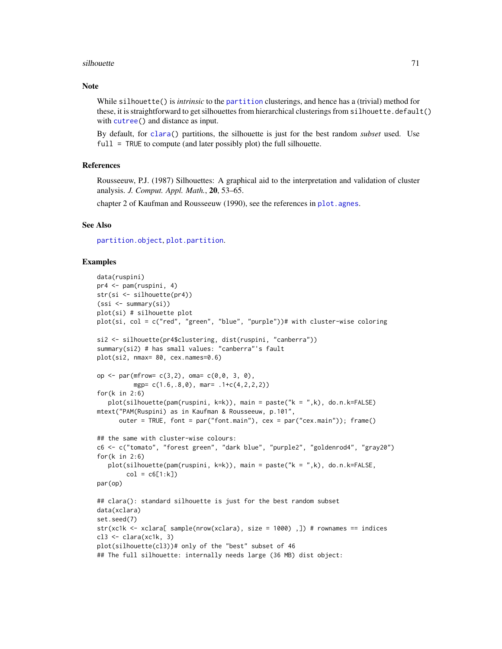#### silhouette the contract of the state of the state of the state of the state of the state of the state of the state of the state of the state of the state of the state of the state of the state of the state of the state of

### Note

While silhouette() is *intrinsic* to the [partition](#page-49-1) clusterings, and hence has a (trivial) method for these, it is straightforward to get silhouettes from hierarchical clusterings from silhouette.default() with [cutree\(](#page-0-0)) and distance as input.

By default, for [clara\(](#page-12-0)) partitions, the silhouette is just for the best random *subset* used. Use full = TRUE to compute (and later possibly plot) the full silhouette.

### **References**

Rousseeuw, P.J. (1987) Silhouettes: A graphical aid to the interpretation and validation of cluster analysis. *J. Comput. Appl. Math.*, 20, 53–65.

chapter 2 of Kaufman and Rousseeuw (1990), see the references in plot. agnes.

#### See Also

[partition.object](#page-49-0), [plot.partition](#page-57-0).

### Examples

```
data(ruspini)
pr4 <- pam(ruspini, 4)
str(si <- silhouette(pr4))
(ssi <- summary(si))
plot(si) # silhouette plot
plot(si, col = c("red", "green", "blue", "purple"))# with cluster-wise coloring
si2 <- silhouette(pr4$clustering, dist(ruspini, "canberra"))
summary(si2) # has small values: "canberra"'s fault
plot(si2, nmax= 80, cex.names=0.6)
op \leq par(mfrow= c(3,2), oma= c(0,0, 3, 0),
          mgp= c(1.6,.8,0), mar= .1+c(4,2,2,2))
for(k in 2:6)
  plot(silhouette(pam(ruspini, k=k)), main = paste("k = ",k), do.n.k=FALSE)
mtext("PAM(Ruspini) as in Kaufman & Rousseeuw, p.101",
      outer = TRUE, font = par("font.main"), cex = par("cex.main")); frame()
## the same with cluster-wise colours:
c6 <- c("tomato", "forest green", "dark blue", "purple2", "goldenrod4", "gray20")
for(k in 2:6)
  plot(silhouette(pam(ruspini, k=k)), main = paste("k = ",k), do.n.k=FALSE,
        col = c6[1:k])par(op)
## clara(): standard silhouette is just for the best random subset
data(xclara)
set.seed(7)
str(xc1k <- xclara[ sample(nrow(xclara), size = 1000) ,]) # rownames == indices
c13 \leftarrow \text{clara}(\text{xc1k}, 3)plot(silhouette(cl3))# only of the "best" subset of 46
## The full silhouette: internally needs large (36 MB) dist object:
```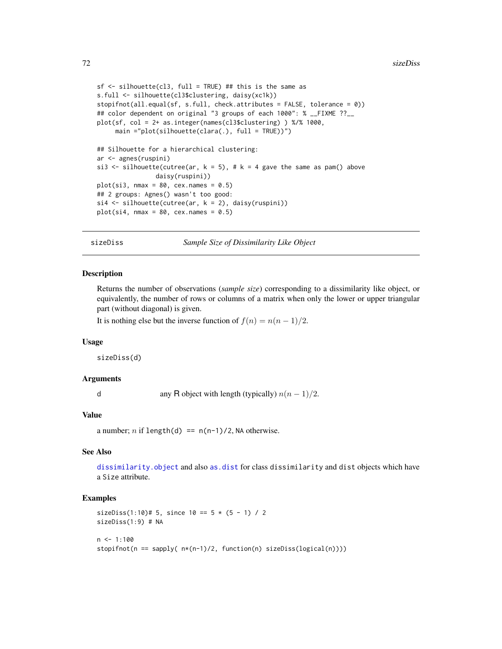```
sf <- silhouette(cl3, full = TRUE) ## this is the same as
s.full <- silhouette(cl3$clustering, daisy(xc1k))
stopifnot(all.equal(sf, s.full, check.attributes = FALSE, tolerance = 0))
## color dependent on original "3 groups of each 1000": % __FIXME ??__
plot(sf, col = 2+ as.integer(names(cl3$clustering) ) %/% 1000,
     main ="plot(silhouette(clara(.), full = TRUE))")
## Silhouette for a hierarchical clustering:
ar <- agnes(ruspini)
si3 <- silhouette(cutree(ar, k = 5), # k = 4 gave the same as pam() above
                daisy(ruspini))
plot(si3, nmax = 80, cex.names = 0.5)## 2 groups: Agnes() wasn't too good:
si4 \leftarrow silhouette(cutree(ar, k = 2), \ndaisy(ruspini))plot(si4, nmax = 80, cex.names = 0.5)
```
sizeDiss *Sample Size of Dissimilarity Like Object*

### **Description**

Returns the number of observations (*sample size*) corresponding to a dissimilarity like object, or equivalently, the number of rows or columns of a matrix when only the lower or upper triangular part (without diagonal) is given.

It is nothing else but the inverse function of  $f(n) = n(n-1)/2$ .

#### Usage

sizeDiss(d)

#### Arguments

d any R object with length (typically)  $n(n-1)/2$ .

### Value

a number; *n* if length(d) ==  $n(n-1)/2$ , NA otherwise.

### See Also

[dissimilarity.object](#page-33-0) and also [as.dist](#page-0-0) for class dissimilarity and dist objects which have a Size attribute.

### Examples

```
sizeDiss(1:10)# 5, since 10 == 5 * (5 - 1) / 2sizeDiss(1:9) # NA
n \leq -1:100stopifnot(n == sapply( n*(n-1)/2, function(n) sizeDiss(logical(n))))
```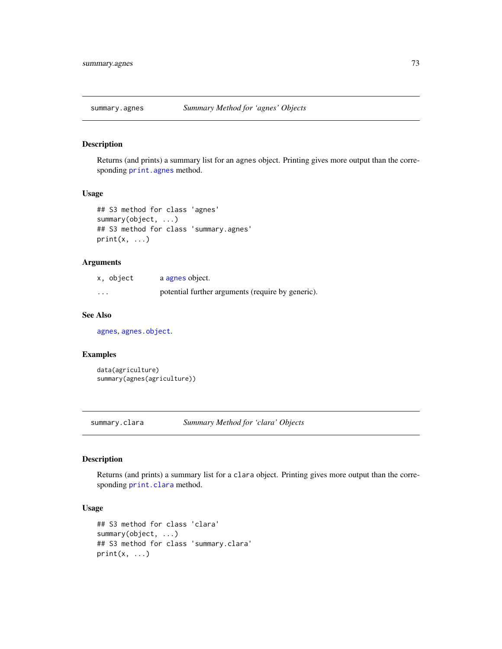<span id="page-72-0"></span>

# Description

Returns (and prints) a summary list for an agnes object. Printing gives more output than the corresponding [print.agnes](#page-63-0) method.

# Usage

```
## S3 method for class 'agnes'
summary(object, ...)
## S3 method for class 'summary.agnes'
print(x, \ldots)
```
# Arguments

| x, object | a agnes object.                                   |
|-----------|---------------------------------------------------|
| $\cdot$   | potential further arguments (require by generic). |

# See Also

[agnes](#page-2-0), [agnes.object](#page-6-0).

#### Examples

```
data(agriculture)
summary(agnes(agriculture))
```
summary.clara *Summary Method for 'clara' Objects*

# Description

Returns (and prints) a summary list for a clara object. Printing gives more output than the corresponding [print.clara](#page-63-1) method.

#### Usage

```
## S3 method for class 'clara'
summary(object, ...)
## S3 method for class 'summary.clara'
print(x, \ldots)
```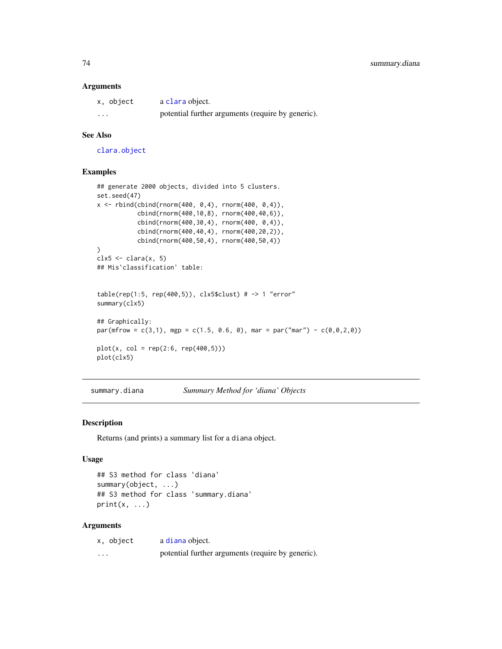#### <span id="page-73-0"></span>Arguments

| x, object | a clara object.                                   |
|-----------|---------------------------------------------------|
| $\cdots$  | potential further arguments (require by generic). |

# See Also

[clara.object](#page-15-0)

# Examples

```
## generate 2000 objects, divided into 5 clusters.
set.seed(47)
x < - rbind(cbind(rnorm(400, 0,4), rnorm(400, 0,4)),
           cbind(rnorm(400,10,8), rnorm(400,40,6)),
           cbind(rnorm(400,30,4), rnorm(400, 0,4)),
           cbind(rnorm(400,40,4), rnorm(400,20,2)),
           cbind(rnorm(400,50,4), rnorm(400,50,4))
\mathcal{L}clx5 \leftarrow clara(x, 5)## Mis`classification' table:
table(rep(1:5, rep(400,5)), clx5$clust) # -> 1 "error"summary(clx5)
## Graphically:
par(mfrow = c(3,1), mgp = c(1.5, 0.6, 0), marr = par("mar") - c(0,0,2,0))plot(x, col = rep(2:6, rep(400,5)))plot(clx5)
```
summary.diana *Summary Method for 'diana' Objects*

#### Description

Returns (and prints) a summary list for a diana object.

## Usage

```
## S3 method for class 'diana'
summary(object, ...)
## S3 method for class 'summary.diana'
print(x, \ldots)
```
#### Arguments

| x, object | a diana object.                                   |
|-----------|---------------------------------------------------|
| $\cdot$   | potential further arguments (require by generic). |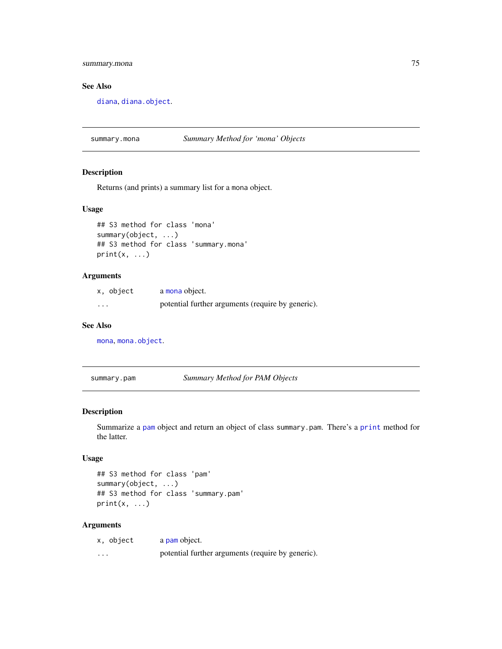# <span id="page-74-0"></span>summary.mona 75

# See Also

[diana](#page-31-0), [diana.object](#page-31-1).

summary.mona *Summary Method for 'mona' Objects*

#### Description

Returns (and prints) a summary list for a mona object.

#### Usage

```
## S3 method for class 'mona'
summary(object, ...)
## S3 method for class 'summary.mona'
print(x, \ldots)
```
### Arguments

| x, object | a mona object.                                    |
|-----------|---------------------------------------------------|
| $\cdots$  | potential further arguments (require by generic). |

#### See Also

[mona](#page-42-0), [mona.object](#page-44-0).

summary.pam *Summary Method for PAM Objects*

#### Description

Summarize a [pam](#page-44-1) object and return an object of class summary.pam. There's a [print](#page-0-0) method for the latter.

#### Usage

```
## S3 method for class 'pam'
summary(object, ...)
## S3 method for class 'summary.pam'
print(x, \ldots)
```
# Arguments

| x, object | a pam object.                                     |
|-----------|---------------------------------------------------|
| $\cdots$  | potential further arguments (require by generic). |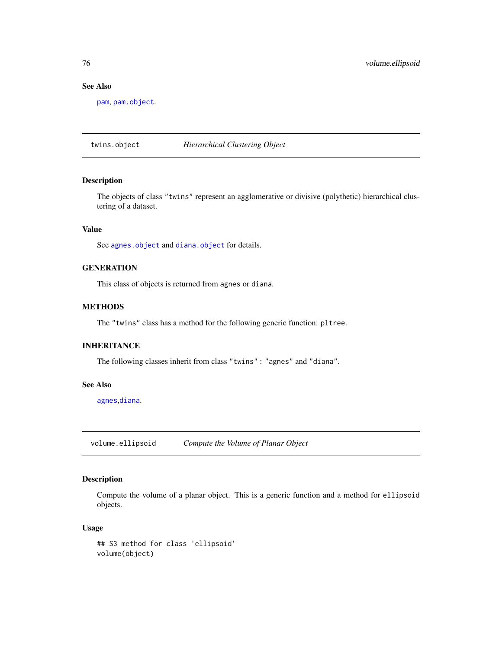# See Also

[pam](#page-44-1), [pam.object](#page-48-0).

twins.object *Hierarchical Clustering Object*

# Description

The objects of class "twins" represent an agglomerative or divisive (polythetic) hierarchical clustering of a dataset.

# Value

See [agnes.object](#page-6-0) and [diana.object](#page-31-1) for details.

# **GENERATION**

This class of objects is returned from agnes or diana.

## METHODS

The "twins" class has a method for the following generic function: pltree.

#### INHERITANCE

The following classes inherit from class "twins" : "agnes" and "diana".

#### See Also

[agnes](#page-2-0),[diana](#page-31-0).

volume.ellipsoid *Compute the Volume of Planar Object*

### Description

Compute the volume of a planar object. This is a generic function and a method for ellipsoid objects.

### Usage

```
## S3 method for class 'ellipsoid'
volume(object)
```
<span id="page-75-0"></span>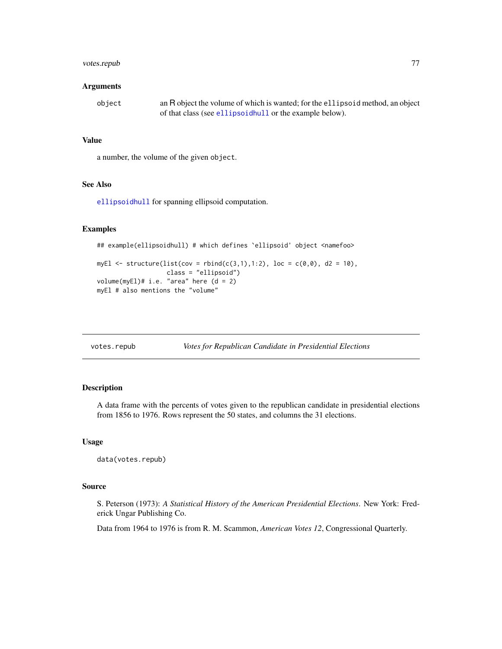# <span id="page-76-0"></span>votes.repub 77

#### Arguments

| object | an R object the volume of which is wanted; for the ellipsoid method, an object |
|--------|--------------------------------------------------------------------------------|
|        | of that class (see ellipsoid bull or the example below).                       |

# Value

a number, the volume of the given object.

### See Also

[ellipsoidhull](#page-34-0) for spanning ellipsoid computation.

# Examples

```
## example(ellipsoidhull) # which defines `ellipsoid' object <namefoo>
```

```
myEl <- structure(list(cov = rbind(c(3,1),1:2), loc = c(0,0), d2 = 10),
                  class = "ellipsoid")
volume(myEl)# i.e. "area" here (d = 2)
myEl # also mentions the "volume"
```

| votes.repub | Votes for Republican Candidate in Presidential Elections |
|-------------|----------------------------------------------------------|
|-------------|----------------------------------------------------------|

# Description

A data frame with the percents of votes given to the republican candidate in presidential elections from 1856 to 1976. Rows represent the 50 states, and columns the 31 elections.

#### Usage

data(votes.repub)

#### Source

S. Peterson (1973): *A Statistical History of the American Presidential Elections*. New York: Frederick Ungar Publishing Co.

Data from 1964 to 1976 is from R. M. Scammon, *American Votes 12*, Congressional Quarterly.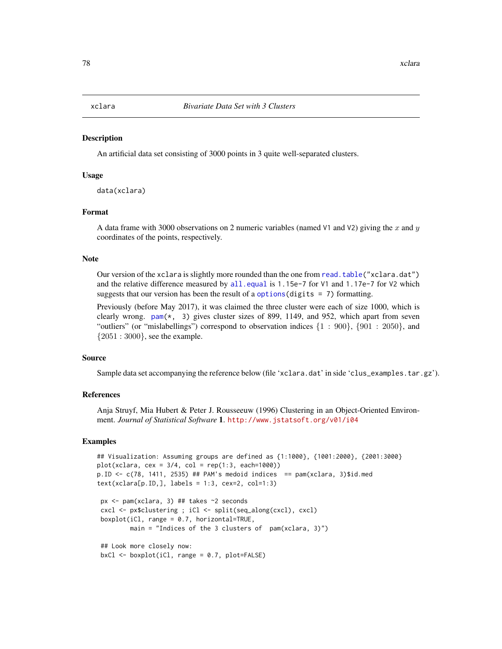#### <span id="page-77-0"></span>**Description**

An artificial data set consisting of 3000 points in 3 quite well-separated clusters.

#### Usage

```
data(xclara)
```
# Format

A data frame with 3000 observations on 2 numeric variables (named V1 and V2) giving the x and y coordinates of the points, respectively.

#### Note

Our version of the xclara is slightly more rounded than the one from [read.table\(](#page-0-0)"xclara.dat") and the relative difference measured by [all.equal](#page-0-0) is 1.15e-7 for V1 and 1.17e-7 for V2 which suggests that our version has been the result of a options (digits  $= 7$ ) formatting.

Previously (before May 2017), it was claimed the three cluster were each of size 1000, which is clearly wrong. [pam\(](#page-44-1)\*, 3) gives cluster sizes of 899, 1149, and 952, which apart from seven "outliers" (or "mislabellings") correspond to observation indices  $\{1 : 900\}$ ,  $\{901 : 2050\}$ , and  ${2051 : 3000}$ , see the example.

#### Source

Sample data set accompanying the reference below (file 'xclara.dat' in side 'clus\_examples.tar.gz').

#### References

Anja Struyf, Mia Hubert & Peter J. Rousseeuw (1996) Clustering in an Object-Oriented Environment. *Journal of Statistical Software* 1. <http://www.jstatsoft.org/v01/i04>

#### Examples

```
## Visualization: Assuming groups are defined as {1:1000}, {1001:2000}, {2001:3000}
plot(xclara, cex = 3/4, col = rep(1:3, each=1000))p.ID <- c(78, 1411, 2535) ## PAM's medoid indices == pam(xclara, 3)$id.med
text(xclara[p.ID,], labels = 1:3, cex=2, col=1:3)px <- pam(xclara, 3) ## takes ~2 seconds
 cxcl <- px$clustering ; iCl <- split(seq_along(cxcl), cxcl)
 boxplot(iCl, range = 0.7, horizontal=TRUE,
        main = "Indices of the 3 clusters of pam(xclara, 3)")
 ## Look more closely now:
 bxCl \leq boxplot(iCl, range = 0.7, plot=FALSE)
```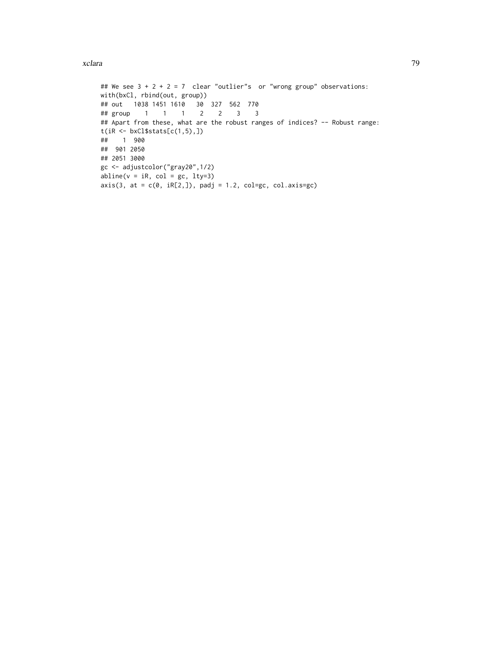#### xclara  $\sim$  79

```
## We see 3 + 2 + 2 = 7 clear "outlier"s or "wrong group" observations:
with(bxCl, rbind(out, group))
## out 1038 1451 1610 30 327 562 770
## group 1 1 1 2 2 3 3
## Apart from these, what are the robust ranges of indices? -- Robust range:
t(iR <- bxCl$stats[c(1,5),])
## 1 900
## 901 2050
## 2051 3000
gc <- adjustcolor("gray20",1/2)
abline(v = iR, col = gc, lty=3)axis(3, at = c(0, iR[2,]), padj = 1.2, col=gc, col.axis=gc)
```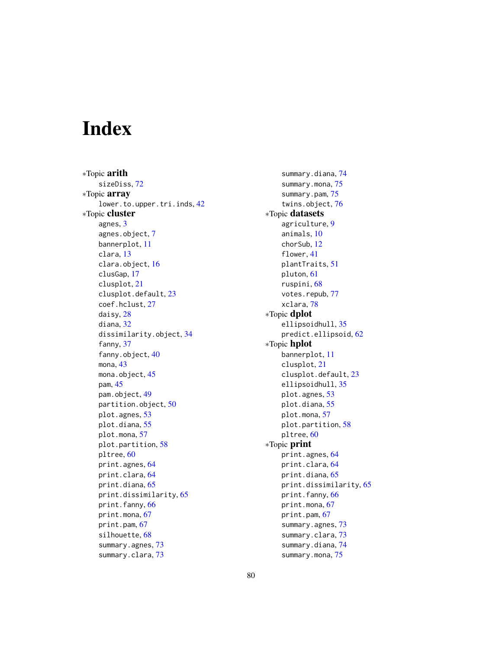# **Index**

∗Topic arith sizeDiss, [72](#page-71-0) ∗Topic array lower.to.upper.tri.inds, [42](#page-41-0) ∗Topic cluster agnes, [3](#page-2-1) agnes.object, [7](#page-6-1) bannerplot, [11](#page-10-0) clara, [13](#page-12-1) clara.object, [16](#page-15-1) clusGap, [17](#page-16-0) clusplot, [21](#page-20-0) clusplot.default, [23](#page-22-0) coef.hclust, [27](#page-26-0) daisy, [28](#page-27-0) diana, [32](#page-31-2) dissimilarity.object, [34](#page-33-0) fanny, [37](#page-36-0) fanny.object, [40](#page-39-0) mona, [43](#page-42-1) mona.object, [45](#page-44-2) pam, [45](#page-44-2) pam.object, [49](#page-48-1) partition.object, [50](#page-49-0) plot.agnes, [53](#page-52-0) plot.diana, [55](#page-54-0) plot.mona, [57](#page-56-0) plot.partition, [58](#page-57-0) pltree, [60](#page-59-0) print.agnes, [64](#page-63-2) print.clara, [64](#page-63-2) print.diana, [65](#page-64-0) print.dissimilarity, [65](#page-64-0) print.fanny, [66](#page-65-0) print.mona, [67](#page-66-0) print.pam, [67](#page-66-0) silhouette, [68](#page-67-0) summary.agnes, [73](#page-72-0) summary.clara, [73](#page-72-0)

summary.diana, [74](#page-73-0) summary.mona, [75](#page-74-0) summary.pam, [75](#page-74-0) twins.object, [76](#page-75-0) ∗Topic datasets agriculture, [9](#page-8-0) animals, [10](#page-9-0) chorSub, [12](#page-11-0) flower, [41](#page-40-0) plantTraits, [51](#page-50-0) pluton, [61](#page-60-0) ruspini, [68](#page-67-0) votes.repub, [77](#page-76-0) xclara, [78](#page-77-0) ∗Topic dplot ellipsoidhull, [35](#page-34-1) predict.ellipsoid, [62](#page-61-0) ∗Topic hplot bannerplot, [11](#page-10-0) clusplot, [21](#page-20-0) clusplot.default, [23](#page-22-0) ellipsoidhull, [35](#page-34-1) plot.agnes, [53](#page-52-0) plot.diana, [55](#page-54-0) plot.mona, [57](#page-56-0) plot.partition, [58](#page-57-0) pltree, [60](#page-59-0) ∗Topic print print.agnes, [64](#page-63-2) print.clara, [64](#page-63-2) print.diana, [65](#page-64-0) print.dissimilarity, [65](#page-64-0) print.fanny, [66](#page-65-0) print.mona, [67](#page-66-0) print.pam, [67](#page-66-0) summary.agnes, [73](#page-72-0) summary.clara, [73](#page-72-0) summary.diana, [74](#page-73-0) summary.mona, [75](#page-74-0)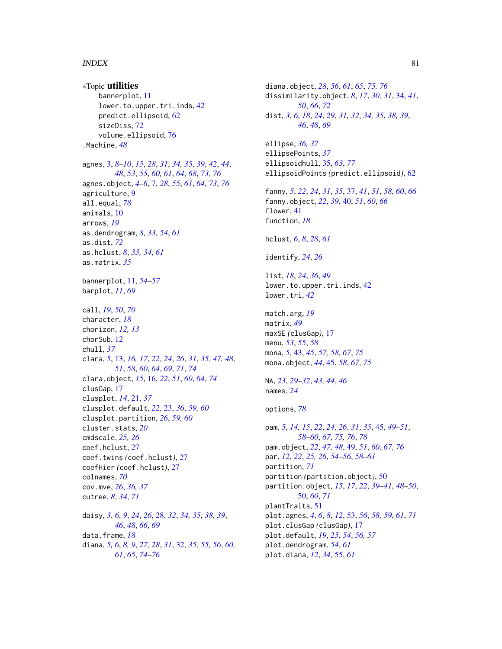#### INDEX  $81$

∗Topic utilities bannerplot, [11](#page-10-0) lower.to.upper.tri.inds, [42](#page-41-0) predict.ellipsoid, [62](#page-61-0) sizeDiss, [72](#page-71-0) volume.ellipsoid, [76](#page-75-0) .Machine, *[48](#page-47-0)* agnes, [3,](#page-2-1) *[8](#page-7-0)[–10](#page-9-0)*, *[15](#page-14-0)*, *[28](#page-27-0)*, *[31](#page-30-0)*, *[34,](#page-33-0) [35](#page-34-1)*, *[39](#page-38-0)*, *[42](#page-41-0)*, *[44](#page-43-0)*, *[48](#page-47-0)*, *[53](#page-52-0)*, *[55](#page-54-0)*, *[60,](#page-59-0) [61](#page-60-0)*, *[64](#page-63-2)*, *[68](#page-67-0)*, *[73](#page-72-0)*, *[76](#page-75-0)* agnes.object, *[4](#page-3-0)[–6](#page-5-0)*, [7,](#page-6-1) *[28](#page-27-0)*, *[55](#page-54-0)*, *[61](#page-60-0)*, *[64](#page-63-2)*, *[73](#page-72-0)*, *[76](#page-75-0)* agriculture, [9](#page-8-0) all.equal, *[78](#page-77-0)* animals, [10](#page-9-0) arrows, *[19](#page-18-0)* as.dendrogram, *[8](#page-7-0)*, *[33](#page-32-0)*, *[54](#page-53-0)*, *[61](#page-60-0)* as.dist, *[72](#page-71-0)* as.hclust, *[8](#page-7-0)*, *[33,](#page-32-0) [34](#page-33-0)*, *[61](#page-60-0)* as.matrix, *[35](#page-34-1)* bannerplot, [11,](#page-10-0) *[54](#page-53-0)[–57](#page-56-0)* barplot, *[11](#page-10-0)*, *[69](#page-68-0)* call, *[19](#page-18-0)*, *[50](#page-49-0)*, *[70](#page-69-0)* character, *[18](#page-17-0)* chorizon, *[12,](#page-11-0) [13](#page-12-1)* chorSub, [12](#page-11-0) chull, *[37](#page-36-0)* clara, *[5](#page-4-0)*, [13,](#page-12-1) *[16,](#page-15-1) [17](#page-16-0)*, *[22](#page-21-0)*, *[24](#page-23-0)*, *[26](#page-25-0)*, *[31](#page-30-0)*, *[35](#page-34-1)*, *[47,](#page-46-0) [48](#page-47-0)*, *[51](#page-50-0)*, *[58](#page-57-0)*, *[60](#page-59-0)*, *[64](#page-63-2)*, *[69](#page-68-0)*, *[71](#page-70-0)*, *[74](#page-73-0)* clara.object, *[15](#page-14-0)*, [16,](#page-15-1) *[22](#page-21-0)*, *[51](#page-50-0)*, *[60](#page-59-0)*, *[64](#page-63-2)*, *[74](#page-73-0)* clusGap, [17](#page-16-0) clusplot, *[14](#page-13-0)*, [21,](#page-20-0) *[37](#page-36-0)* clusplot.default, *[22](#page-21-0)*, [23,](#page-22-0) *[36](#page-35-0)*, *[59,](#page-58-0) [60](#page-59-0)* clusplot.partition, *[26](#page-25-0)*, *[59,](#page-58-0) [60](#page-59-0)* cluster.stats, *[20](#page-19-0)* cmdscale, *[25,](#page-24-0) [26](#page-25-0)* coef.hclust, [27](#page-26-0) coef.twins *(*coef.hclust*)*, [27](#page-26-0) coefHier *(*coef.hclust*)*, [27](#page-26-0) colnames, *[70](#page-69-0)* cov.mve, *[26](#page-25-0)*, *[36,](#page-35-0) [37](#page-36-0)* cutree, *[8](#page-7-0)*, *[34](#page-33-0)*, *[71](#page-70-0)* daisy, *[3](#page-2-1)*, *[6](#page-5-0)*, *[9](#page-8-0)*, *[24](#page-23-0)*, *[26](#page-25-0)*, [28,](#page-27-0) *[32](#page-31-2)*, *[34,](#page-33-0) [35](#page-34-1)*, *[38,](#page-37-0) [39](#page-38-0)*, *[46](#page-45-0)*, *[48](#page-47-0)*, *[66](#page-65-0)*, *[69](#page-68-0)* data.frame, *[18](#page-17-0)* diana, *[5,](#page-4-0) [6](#page-5-0)*, *[8,](#page-7-0) [9](#page-8-0)*, *[27,](#page-26-0) [28](#page-27-0)*, *[31](#page-30-0)*, [32,](#page-31-2) *[35](#page-34-1)*, *[55,](#page-54-0) [56](#page-55-0)*, *[60,](#page-59-0)*

*[61](#page-60-0)*, *[65](#page-64-0)*, *[74](#page-73-0)[–76](#page-75-0)*

diana.object, *[28](#page-27-0)*, *[56](#page-55-0)*, *[61](#page-60-0)*, *[65](#page-64-0)*, *[75,](#page-74-0) [76](#page-75-0)* dissimilarity.object, *[8](#page-7-0)*, *[17](#page-16-0)*, *[30,](#page-29-0) [31](#page-30-0)*, [34,](#page-33-0) *[41](#page-40-0)*, *[50](#page-49-0)*, *[66](#page-65-0)*, *[72](#page-71-0)* dist, *[3](#page-2-1)*, *[6](#page-5-0)*, *[18](#page-17-0)*, *[24](#page-23-0)*, *[29](#page-28-0)*, *[31,](#page-30-0) [32](#page-31-2)*, *[34,](#page-33-0) [35](#page-34-1)*, *[38,](#page-37-0) [39](#page-38-0)*, *[46](#page-45-0)*, *[48](#page-47-0)*, *[69](#page-68-0)* ellipse, *[36,](#page-35-0) [37](#page-36-0)* ellipsePoints, *[37](#page-36-0)* ellipsoidhull, [35,](#page-34-1) *[63](#page-62-0)*, *[77](#page-76-0)* ellipsoidPoints *(*predict.ellipsoid*)*, [62](#page-61-0) fanny, *[5](#page-4-0)*, *[22](#page-21-0)*, *[24](#page-23-0)*, *[31](#page-30-0)*, *[35](#page-34-1)*, [37,](#page-36-0) *[41](#page-40-0)*, *[51](#page-50-0)*, *[58](#page-57-0)*, *[60](#page-59-0)*, *[66](#page-65-0)* fanny.object, *[22](#page-21-0)*, *[39](#page-38-0)*, [40,](#page-39-0) *[51](#page-50-0)*, *[60](#page-59-0)*, *[66](#page-65-0)* flower, [41](#page-40-0) function, *[18](#page-17-0)* hclust, *[6](#page-5-0)*, *[8](#page-7-0)*, *[28](#page-27-0)*, *[61](#page-60-0)* identify, *[24](#page-23-0)*, *[26](#page-25-0)* list, *[18](#page-17-0)*, *[24](#page-23-0)*, *[36](#page-35-0)*, *[49](#page-48-1)* lower.to.upper.tri.inds, [42](#page-41-0) lower.tri, *[42](#page-41-0)* match.arg, *[19](#page-18-0)* matrix, *[49](#page-48-1)* maxSE *(*clusGap*)*, [17](#page-16-0) menu, *[53](#page-52-0)*, *[55](#page-54-0)*, *[58](#page-57-0)* mona, *[5](#page-4-0)*, [43,](#page-42-1) *[45](#page-44-2)*, *[57,](#page-56-0) [58](#page-57-0)*, *[67](#page-66-0)*, *[75](#page-74-0)* mona.object, *[44](#page-43-0)*, [45,](#page-44-2) *[58](#page-57-0)*, *[67](#page-66-0)*, *[75](#page-74-0)* NA, *[23](#page-22-0)*, *[29](#page-28-0)[–32](#page-31-2)*, *[43,](#page-42-1) [44](#page-43-0)*, *[46](#page-45-0)* names, *[24](#page-23-0)* options, *[78](#page-77-0)* pam, *[5](#page-4-0)*, *[14,](#page-13-0) [15](#page-14-0)*, *[22](#page-21-0)*, *[24](#page-23-0)*, *[26](#page-25-0)*, *[31](#page-30-0)*, *[35](#page-34-1)*, [45,](#page-44-2) *[49](#page-48-1)[–51](#page-50-0)*, *[58](#page-57-0)[–60](#page-59-0)*, *[67](#page-66-0)*, *[75,](#page-74-0) [76](#page-75-0)*, *[78](#page-77-0)* pam.object, *[22](#page-21-0)*, *[47,](#page-46-0) [48](#page-47-0)*, [49,](#page-48-1) *[51](#page-50-0)*, *[60](#page-59-0)*, *[67](#page-66-0)*, *[76](#page-75-0)* par, *[12](#page-11-0)*, *[22](#page-21-0)*, *[25,](#page-24-0) [26](#page-25-0)*, *[54](#page-53-0)[–56](#page-55-0)*, *[58](#page-57-0)[–61](#page-60-0)* partition, *[71](#page-70-0)* partition *(*partition.object*)*, [50](#page-49-0) partition.object, *[15](#page-14-0)*, *[17](#page-16-0)*, *[22](#page-21-0)*, *[39](#page-38-0)[–41](#page-40-0)*, *[48](#page-47-0)[–50](#page-49-0)*, [50,](#page-49-0) *[60](#page-59-0)*, *[71](#page-70-0)* plantTraits, [51](#page-50-0) plot.agnes, *[4](#page-3-0)*, *[6](#page-5-0)*, *[8](#page-7-0)*, *[12](#page-11-0)*, [53,](#page-52-0) *[56](#page-55-0)*, *[58,](#page-57-0) [59](#page-58-0)*, *[61](#page-60-0)*, *[71](#page-70-0)* plot.clusGap *(*clusGap*)*, [17](#page-16-0) plot.default, *[19](#page-18-0)*, *[25](#page-24-0)*, *[54](#page-53-0)*, *[56,](#page-55-0) [57](#page-56-0)* plot.dendrogram, *[54](#page-53-0)*, *[61](#page-60-0)*

plot.diana, *[12](#page-11-0)*, *[34](#page-33-0)*, [55,](#page-54-0) *[61](#page-60-0)*